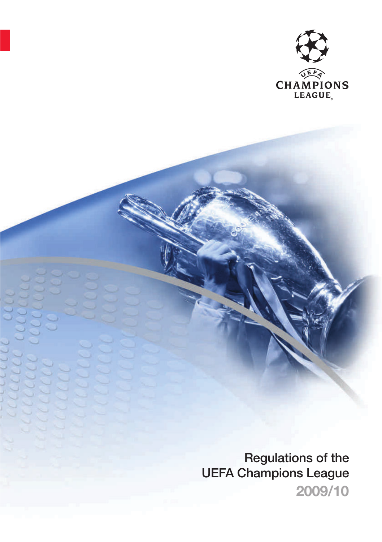

**2009/10 Regulations of the UEFA Champions League**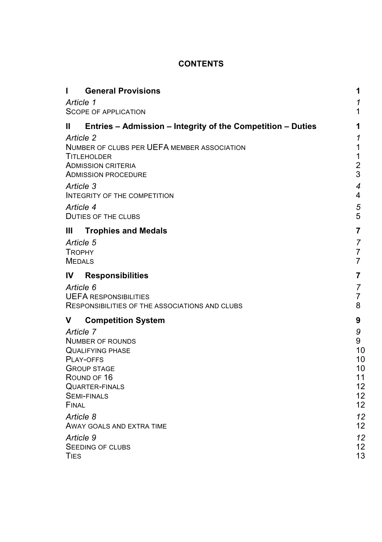# **CONTENTS**

| <b>General Provisions</b><br>п                                   | 1                       |
|------------------------------------------------------------------|-------------------------|
| Article 1                                                        | 1                       |
| <b>SCOPE OF APPLICATION</b>                                      | 1                       |
| Ш<br>Entries - Admission - Integrity of the Competition - Duties | 1                       |
| Article 2<br>NUMBER OF CLUBS PER UEFA MEMBER ASSOCIATION         | 1<br>1                  |
| <b>TITLEHOLDER</b>                                               | 1                       |
| <b>ADMISSION CRITERIA</b>                                        | $\overline{\mathbf{c}}$ |
| <b>ADMISSION PROCEDURE</b>                                       | 3                       |
| Article 3<br><b>INTEGRITY OF THE COMPETITION</b>                 | $\overline{4}$<br>4     |
| Article 4                                                        | 5                       |
| DUTIES OF THE CLUBS                                              | 5                       |
| Ш<br><b>Trophies and Medals</b>                                  | 7                       |
| Article 5                                                        | 7                       |
| <b>TROPHY</b><br><b>MEDALS</b>                                   | 7<br>$\overline{7}$     |
|                                                                  |                         |
| <b>Responsibilities</b><br>IV                                    | 7                       |
| Article 6<br><b>UEFA RESPONSIBILITIES</b>                        | 7<br>$\overline{7}$     |
| RESPONSIBILITIES OF THE ASSOCIATIONS AND CLUBS                   | 8                       |
| v<br><b>Competition System</b>                                   | 9                       |
| Article 7                                                        | 9                       |
| <b>NUMBER OF ROUNDS</b><br><b>QUALIFYING PHASE</b>               | 9<br>10                 |
| PLAY-OFFS                                                        | 10                      |
| <b>GROUP STAGE</b>                                               | 10                      |
| ROUND OF 16<br><b>QUARTER-FINALS</b>                             | 11<br>12                |
| <b>SEMI-FINALS</b>                                               | 12                      |
| FINAL                                                            | 12                      |
| Article 8                                                        | 12                      |
| AWAY GOALS AND EXTRA TIME                                        | 12                      |
| Article 9<br>SEEDING OF CLUBS                                    | 12<br>12                |
| TIES                                                             | 13                      |
|                                                                  |                         |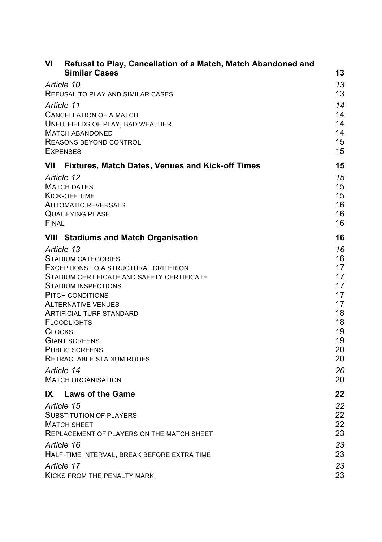| ۷ı                                        | Refusal to Play, Cancellation of a Match, Match Abandoned and<br><b>Similar Cases</b>                                                                                                                                                                                                                                                 | 13                                                                               |
|-------------------------------------------|---------------------------------------------------------------------------------------------------------------------------------------------------------------------------------------------------------------------------------------------------------------------------------------------------------------------------------------|----------------------------------------------------------------------------------|
| Article 10                                |                                                                                                                                                                                                                                                                                                                                       | 13                                                                               |
|                                           | REFUSAL TO PLAY AND SIMILAR CASES                                                                                                                                                                                                                                                                                                     | 13                                                                               |
| Article 11                                | CANCELLATION OF A MATCH<br>UNFIT FIELDS OF PLAY, BAD WEATHER<br><b>MATCH ABANDONED</b><br>REASONS BEYOND CONTROL<br><b>EXPENSES</b>                                                                                                                                                                                                   | 14<br>14<br>14<br>14<br>15<br>15                                                 |
| VII                                       | <b>Fixtures, Match Dates, Venues and Kick-off Times</b>                                                                                                                                                                                                                                                                               | 15                                                                               |
| Article 12<br>FINAL                       | <b>MATCH DATES</b><br>KICK-OFF TIME<br><b>AUTOMATIC REVERSALS</b><br><b>QUALIFYING PHASE</b>                                                                                                                                                                                                                                          | 15<br>15<br>15<br>16<br>16<br>16                                                 |
|                                           | <b>VIII</b> Stadiums and Match Organisation                                                                                                                                                                                                                                                                                           | 16                                                                               |
| Article 13<br><b>CLOCKS</b><br>Article 14 | <b>STADIUM CATEGORIES</b><br>EXCEPTIONS TO A STRUCTURAL CRITERION<br>STADIUM CERTIFICATE AND SAFETY CERTIFICATE<br><b>STADIUM INSPECTIONS</b><br>PITCH CONDITIONS<br><b>ALTERNATIVE VENUES</b><br><b>ARTIFICIAL TURF STANDARD</b><br><b>FLOODLIGHTS</b><br><b>GIANT SCREENS</b><br><b>PUBLIC SCREENS</b><br>RETRACTABLE STADIUM ROOFS | 16<br>16<br>17<br>17<br>17<br>17<br>17<br>18<br>18<br>19<br>19<br>20<br>20<br>20 |
|                                           | <b>MATCH ORGANISATION</b>                                                                                                                                                                                                                                                                                                             | 20                                                                               |
| IX                                        | <b>Laws of the Game</b>                                                                                                                                                                                                                                                                                                               | 22                                                                               |
| Article 15                                | SUBSTITUTION OF PLAYERS<br><b>MATCH SHEET</b><br>REPLACEMENT OF PLAYERS ON THE MATCH SHEET                                                                                                                                                                                                                                            | 22<br>22<br>22<br>23                                                             |
| Article 16                                |                                                                                                                                                                                                                                                                                                                                       | 23                                                                               |
|                                           | HALF-TIME INTERVAL, BREAK BEFORE EXTRA TIME                                                                                                                                                                                                                                                                                           | 23                                                                               |
| Article 17                                | <b>KICKS FROM THE PENALTY MARK</b>                                                                                                                                                                                                                                                                                                    | 23<br>23                                                                         |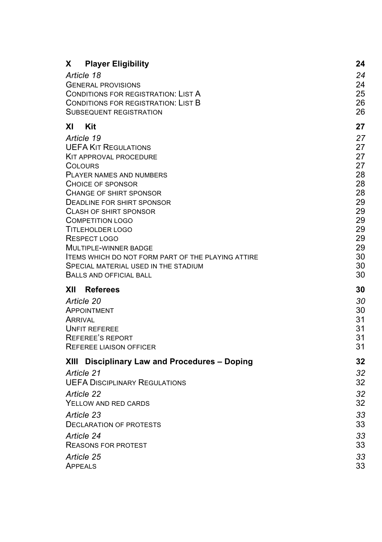| x<br><b>Player Eligibility</b><br>Article 18<br><b>GENERAL PROVISIONS</b><br><b>CONDITIONS FOR REGISTRATION: LIST A</b><br>CONDITIONS FOR REGISTRATION: LIST B<br><b>SUBSEQUENT REGISTRATION</b>                                                                                                                                                                                                                                                                       | 24<br>24<br>24<br>25<br>26<br>26                                                             |
|------------------------------------------------------------------------------------------------------------------------------------------------------------------------------------------------------------------------------------------------------------------------------------------------------------------------------------------------------------------------------------------------------------------------------------------------------------------------|----------------------------------------------------------------------------------------------|
| ΧI<br>Kit                                                                                                                                                                                                                                                                                                                                                                                                                                                              | 27                                                                                           |
| Article 19<br><b>UEFA KIT REGULATIONS</b><br>KIT APPROVAL PROCEDURE<br>COLOURS<br><b>PLAYER NAMES AND NUMBERS</b><br>CHOICE OF SPONSOR<br><b>CHANGE OF SHIRT SPONSOR</b><br>DEADLINE FOR SHIRT SPONSOR<br><b>CLASH OF SHIRT SPONSOR</b><br><b>COMPETITION LOGO</b><br><b>TITLEHOLDER LOGO</b><br>RESPECT LOGO<br>MULTIPLE-WINNER BADGE<br><b>ITEMS WHICH DO NOT FORM PART OF THE PLAYING ATTIRE</b><br>SPECIAL MATERIAL USED IN THE STADIUM<br>BALLS AND OFFICIAL BALL | 27<br>27<br>27<br>27<br>28<br>28<br>28<br>29<br>29<br>29<br>29<br>29<br>29<br>30<br>30<br>30 |
| XII<br><b>Referees</b>                                                                                                                                                                                                                                                                                                                                                                                                                                                 | 30                                                                                           |
| Article 20<br>APPOINTMENT<br>ARRIVAL<br><b>UNFIT REFEREE</b><br><b>REFEREE'S REPORT</b><br><b>REFEREE LIAISON OFFICER</b>                                                                                                                                                                                                                                                                                                                                              | 30<br>30<br>31<br>31<br>31<br>31                                                             |
| XIII Disciplinary Law and Procedures - Doping                                                                                                                                                                                                                                                                                                                                                                                                                          | 32                                                                                           |
| Article 21<br><b>UEFA DISCIPLINARY REGULATIONS</b><br>Article 22<br>YELLOW AND RED CARDS<br>Article 23<br><b>DECLARATION OF PROTESTS</b><br>Article 24<br><b>REASONS FOR PROTEST</b><br>Article 25<br>APPEALS                                                                                                                                                                                                                                                          | 32<br>32<br>32<br>32<br>33<br>33<br>33<br>33<br>33<br>33                                     |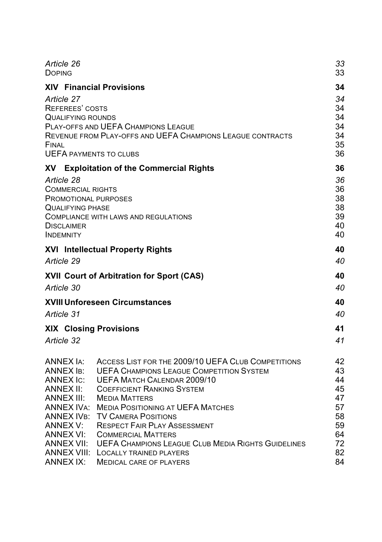| Article 26<br><b>DOPING</b>                                                                                                               |                                                                                                   | 33<br>33                               |
|-------------------------------------------------------------------------------------------------------------------------------------------|---------------------------------------------------------------------------------------------------|----------------------------------------|
|                                                                                                                                           | <b>XIV Financial Provisions</b>                                                                   | 34                                     |
| Article 27<br>REFEREES' COSTS<br><b>QUALIFYING ROUNDS</b><br>FINAL<br><b>UEFA PAYMENTS TO CLUBS</b>                                       | PLAY-OFFS AND UEFA CHAMPIONS LEAGUE<br>REVENUE FROM PLAY-OFFS AND UEFA CHAMPIONS LEAGUE CONTRACTS | 34<br>34<br>34<br>34<br>34<br>35<br>36 |
| XV                                                                                                                                        | <b>Exploitation of the Commercial Rights</b>                                                      | 36                                     |
| Article 28<br><b>COMMERCIAL RIGHTS</b><br><b>PROMOTIONAL PURPOSES</b><br><b>QUALIFYING PHASE</b><br><b>DISCLAIMER</b><br><b>INDEMNITY</b> | <b>COMPLIANCE WITH LAWS AND REGULATIONS</b>                                                       | 36<br>36<br>38<br>38<br>39<br>40<br>40 |
|                                                                                                                                           | <b>XVI</b> Intellectual Property Rights                                                           | 40                                     |
| Article 29                                                                                                                                |                                                                                                   | 40                                     |
|                                                                                                                                           | XVII Court of Arbitration for Sport (CAS)                                                         | 40                                     |
| Article 30                                                                                                                                |                                                                                                   | 40                                     |
|                                                                                                                                           | <b>XVIII Unforeseen Circumstances</b>                                                             | 40                                     |
| Article 31                                                                                                                                |                                                                                                   | 40                                     |
| <b>XIX Closing Provisions</b>                                                                                                             |                                                                                                   | 41                                     |
| Article 32                                                                                                                                |                                                                                                   | 41                                     |
|                                                                                                                                           |                                                                                                   |                                        |
| ANNEX IA:                                                                                                                                 | ACCESS LIST FOR THE 2009/10 UEFA CLUB COMPETITIONS                                                | 42                                     |
| <b>ANNEX IB:</b>                                                                                                                          | <b>UEFA CHAMPIONS LEAGUE COMPETITION SYSTEM</b>                                                   | 43                                     |
| ANNEX IC:<br>ANNEX II:                                                                                                                    | <b>UEFA MATCH CALENDAR 2009/10</b><br><b>COEFFICIENT RANKING SYSTEM</b>                           | 44<br>45                               |
| ANNEX III:                                                                                                                                | <b>MEDIA MATTERS</b>                                                                              | 47                                     |
|                                                                                                                                           | ANNEX IVA: MEDIA POSITIONING AT UEFA MATCHES                                                      | 57                                     |
| ANNEX IVв:                                                                                                                                | <b>TV CAMERA POSITIONS</b>                                                                        | 58                                     |
| ANNEX V:                                                                                                                                  | <b>RESPECT FAIR PLAY ASSESSMENT</b>                                                               | 59                                     |
| ANNEX VI:                                                                                                                                 | <b>COMMERCIAL MATTERS</b>                                                                         | 64                                     |
| <b>ANNEX VII:</b><br><b>UEFA CHAMPIONS LEAGUE CLUB MEDIA RIGHTS GUIDELINES</b><br>72                                                      |                                                                                                   |                                        |
| ANNEX VIII:                                                                                                                               | <b>LOCALLY TRAINED PLAYERS</b>                                                                    | 82                                     |
| ANNEX IX:                                                                                                                                 | <b>MEDICAL CARE OF PLAYERS</b>                                                                    | 84                                     |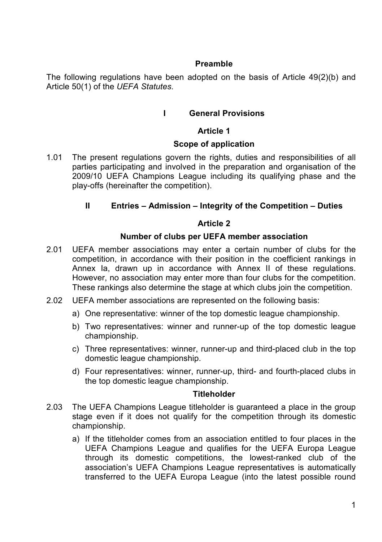## **Preamble**

The following regulations have been adopted on the basis of Article 49(2)(b) and Article 50(1) of the *UEFA Statutes*.

## **I General Provisions**

## **Article 1**

## **Scope of application**

1.01 The present regulations govern the rights, duties and responsibilities of all parties participating and involved in the preparation and organisation of the 2009/10 UEFA Champions League including its qualifying phase and the play-offs (hereinafter the competition).

## **II Entries – Admission – Integrity of the Competition – Duties**

## **Article 2**

## **Number of clubs per UEFA member association**

- 2.01 UEFA member associations may enter a certain number of clubs for the competition, in accordance with their position in the coefficient rankings in Annex Ia, drawn up in accordance with Annex II of these regulations. However, no association may enter more than four clubs for the competition. These rankings also determine the stage at which clubs join the competition.
- 2.02 UEFA member associations are represented on the following basis:
	- a) One representative: winner of the top domestic league championship.
	- b) Two representatives: winner and runner-up of the top domestic league championship.
	- c) Three representatives: winner, runner-up and third-placed club in the top domestic league championship.
	- d) Four representatives: winner, runner-up, third- and fourth-placed clubs in the top domestic league championship.

## **Titleholder**

- 2.03 The UEFA Champions League titleholder is guaranteed a place in the group stage even if it does not qualify for the competition through its domestic championship.
	- a) If the titleholder comes from an association entitled to four places in the UEFA Champions League and qualifies for the UEFA Europa League through its domestic competitions, the lowest-ranked club of the association's UEFA Champions League representatives is automatically transferred to the UEFA Europa League (into the latest possible round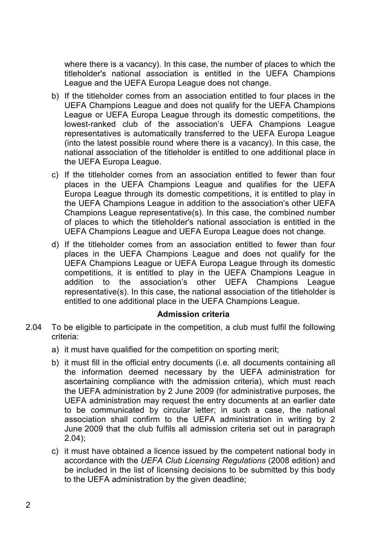where there is a vacancy). In this case, the number of places to which the titleholder's national association is entitled in the UEFA Champions League and the UEFA Europa League does not change.

- b) If the titleholder comes from an association entitled to four places in the UEFA Champions League and does not qualify for the UEFA Champions League or UEFA Europa League through its domestic competitions, the lowest-ranked club of the association's UEFA Champions League representatives is automatically transferred to the UEFA Europa League (into the latest possible round where there is a vacancy). In this case, the national association of the titleholder is entitled to one additional place in the UEFA Europa League.
- c) If the titleholder comes from an association entitled to fewer than four places in the UEFA Champions League and qualifies for the UEFA Europa League through its domestic competitions, it is entitled to play in the UEFA Champions League in addition to the association's other UEFA Champions League representative(s). In this case, the combined number of places to which the titleholder's national association is entitled in the UEFA Champions League and UEFA Europa League does not change.
- d) If the titleholder comes from an association entitled to fewer than four places in the UEFA Champions League and does not qualify for the UEFA Champions League or UEFA Europa League through its domestic competitions, it is entitled to play in the UEFA Champions League in addition to the association's other UEFA Champions League representative(s). In this case, the national association of the titleholder is entitled to one additional place in the UEFA Champions League.

## **Admission criteria**

- 2.04 To be eligible to participate in the competition, a club must fulfil the following criteria:
	- a) it must have qualified for the competition on sporting merit;
	- b) it must fill in the official entry documents (i.e. all documents containing all the information deemed necessary by the UEFA administration for ascertaining compliance with the admission criteria), which must reach the UEFA administration by 2 June 2009 (for administrative purposes, the UEFA administration may request the entry documents at an earlier date to be communicated by circular letter; in such a case, the national association shall confirm to the UEFA administration in writing by 2 June 2009 that the club fulfils all admission criteria set out in paragraph 2.04);
	- c) it must have obtained a licence issued by the competent national body in accordance with the *UEFA Club Licensing Regulations* (2008 edition) and be included in the list of licensing decisions to be submitted by this body to the UEFA administration by the given deadline;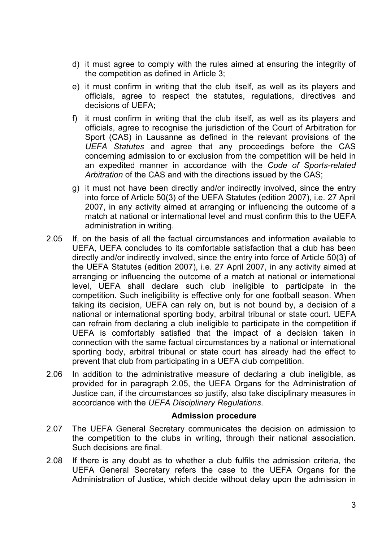- d) it must agree to comply with the rules aimed at ensuring the integrity of the competition as defined in Article 3;
- e) it must confirm in writing that the club itself, as well as its players and officials, agree to respect the statutes, regulations, directives and decisions of UEFA;
- f) it must confirm in writing that the club itself, as well as its players and officials, agree to recognise the jurisdiction of the Court of Arbitration for Sport (CAS) in Lausanne as defined in the relevant provisions of the *UEFA Statutes* and agree that any proceedings before the CAS concerning admission to or exclusion from the competition will be held in an expedited manner in accordance with the *Code of Sports-related Arbitration* of the CAS and with the directions issued by the CAS;
- g) it must not have been directly and/or indirectly involved, since the entry into force of Article 50(3) of the UEFA Statutes (edition 2007), i.e. 27 April 2007, in any activity aimed at arranging or influencing the outcome of a match at national or international level and must confirm this to the UEFA administration in writing.
- 2.05 If, on the basis of all the factual circumstances and information available to UEFA, UEFA concludes to its comfortable satisfaction that a club has been directly and/or indirectly involved, since the entry into force of Article 50(3) of the UEFA Statutes (edition 2007), i.e. 27 April 2007, in any activity aimed at arranging or influencing the outcome of a match at national or international level, UEFA shall declare such club ineligible to participate in the competition. Such ineligibility is effective only for one football season. When taking its decision, UEFA can rely on, but is not bound by, a decision of a national or international sporting body, arbitral tribunal or state court. UEFA can refrain from declaring a club ineligible to participate in the competition if UEFA is comfortably satisfied that the impact of a decision taken in connection with the same factual circumstances by a national or international sporting body, arbitral tribunal or state court has already had the effect to prevent that club from participating in a UEFA club competition.
- 2.06 In addition to the administrative measure of declaring a club ineligible, as provided for in paragraph 2.05, the UEFA Organs for the Administration of Justice can, if the circumstances so justify, also take disciplinary measures in accordance with the *UEFA Disciplinary Regulations*.

#### **Admission procedure**

- 2.07 The UEFA General Secretary communicates the decision on admission to the competition to the clubs in writing, through their national association. Such decisions are final.
- 2.08 If there is any doubt as to whether a club fulfils the admission criteria, the UEFA General Secretary refers the case to the UEFA Organs for the Administration of Justice, which decide without delay upon the admission in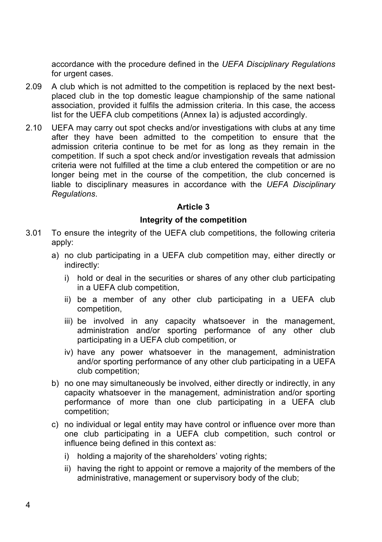accordance with the procedure defined in the *UEFA Disciplinary Regulations*  for urgent cases.

- 2.09 A club which is not admitted to the competition is replaced by the next bestplaced club in the top domestic league championship of the same national association, provided it fulfils the admission criteria. In this case, the access list for the UEFA club competitions (Annex Ia) is adjusted accordingly.
- 2.10 UEFA may carry out spot checks and/or investigations with clubs at any time after they have been admitted to the competition to ensure that the admission criteria continue to be met for as long as they remain in the competition. If such a spot check and/or investigation reveals that admission criteria were not fulfilled at the time a club entered the competition or are no longer being met in the course of the competition, the club concerned is liable to disciplinary measures in accordance with the *UEFA Disciplinary Regulations*.

## **Article 3**

## **Integrity of the competition**

- 3.01 To ensure the integrity of the UEFA club competitions, the following criteria apply:
	- a) no club participating in a UEFA club competition may, either directly or indirectly:
		- i) hold or deal in the securities or shares of any other club participating in a UEFA club competition,
		- ii) be a member of any other club participating in a UEFA club competition,
		- iii) be involved in any capacity whatsoever in the management, administration and/or sporting performance of any other club participating in a UEFA club competition, or
		- iv) have any power whatsoever in the management, administration and/or sporting performance of any other club participating in a UEFA club competition;
	- b) no one may simultaneously be involved, either directly or indirectly, in any capacity whatsoever in the management, administration and/or sporting performance of more than one club participating in a UEFA club competition;
	- c) no individual or legal entity may have control or influence over more than one club participating in a UEFA club competition, such control or influence being defined in this context as:
		- i) holding a majority of the shareholders' voting rights;
		- ii) having the right to appoint or remove a majority of the members of the administrative, management or supervisory body of the club;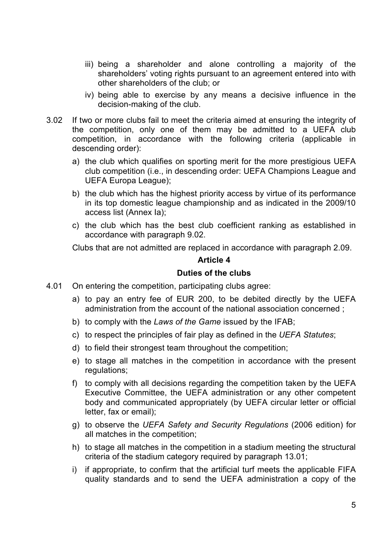- iii) being a shareholder and alone controlling a majority of the shareholders' voting rights pursuant to an agreement entered into with other shareholders of the club; or
- iv) being able to exercise by any means a decisive influence in the decision-making of the club.
- 3.02 If two or more clubs fail to meet the criteria aimed at ensuring the integrity of the competition, only one of them may be admitted to a UEFA club competition, in accordance with the following criteria (applicable in descending order):
	- a) the club which qualifies on sporting merit for the more prestigious UEFA club competition (i.e., in descending order: UEFA Champions League and UEFA Europa League);
	- b) the club which has the highest priority access by virtue of its performance in its top domestic league championship and as indicated in the 2009/10 access list (Annex Ia);
	- c) the club which has the best club coefficient ranking as established in accordance with paragraph 9.02.

Clubs that are not admitted are replaced in accordance with paragraph 2.09.

## **Article 4**

### **Duties of the clubs**

- 4.01 On entering the competition, participating clubs agree:
	- a) to pay an entry fee of EUR 200, to be debited directly by the UEFA administration from the account of the national association concerned ;
	- b) to comply with the *Laws of the Game* issued by the IFAB;
	- c) to respect the principles of fair play as defined in the *UEFA Statutes*;
	- d) to field their strongest team throughout the competition;
	- e) to stage all matches in the competition in accordance with the present regulations;
	- f) to comply with all decisions regarding the competition taken by the UEFA Executive Committee, the UEFA administration or any other competent body and communicated appropriately (by UEFA circular letter or official letter, fax or email);
	- g) to observe the *UEFA Safety and Security Regulations* (2006 edition) for all matches in the competition;
	- h) to stage all matches in the competition in a stadium meeting the structural criteria of the stadium category required by paragraph 13.01;
	- i) if appropriate, to confirm that the artificial turf meets the applicable FIFA quality standards and to send the UEFA administration a copy of the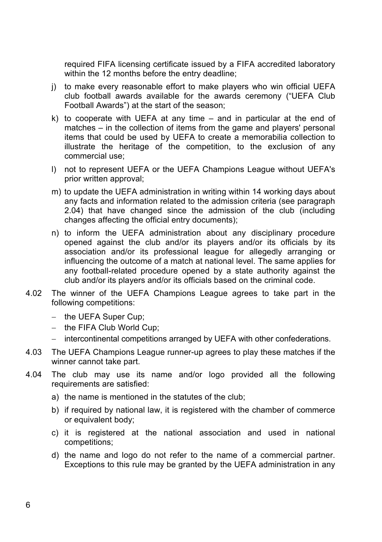required FIFA licensing certificate issued by a FIFA accredited laboratory within the 12 months before the entry deadline;

- j) to make every reasonable effort to make players who win official UEFA club football awards available for the awards ceremony ("UEFA Club Football Awards") at the start of the season;
- k) to cooperate with UEFA at any time and in particular at the end of matches – in the collection of items from the game and players' personal items that could be used by UEFA to create a memorabilia collection to illustrate the heritage of the competition, to the exclusion of any commercial use;
- l) not to represent UEFA or the UEFA Champions League without UEFA's prior written approval;
- m) to update the UEFA administration in writing within 14 working days about any facts and information related to the admission criteria (see paragraph 2.04) that have changed since the admission of the club (including changes affecting the official entry documents);
- n) to inform the UEFA administration about any disciplinary procedure opened against the club and/or its players and/or its officials by its association and/or its professional league for allegedly arranging or influencing the outcome of a match at national level. The same applies for any football-related procedure opened by a state authority against the club and/or its players and/or its officials based on the criminal code.
- 4.02 The winner of the UEFA Champions League agrees to take part in the following competitions:
	- the UEFA Super Cup:
	- $-$  the FIFA Club World Cup:
	- intercontinental competitions arranged by UEFA with other confederations.
- 4.03 The UEFA Champions League runner-up agrees to play these matches if the winner cannot take part.
- 4.04 The club may use its name and/or logo provided all the following requirements are satisfied:
	- a) the name is mentioned in the statutes of the club;
	- b) if required by national law, it is registered with the chamber of commerce or equivalent body;
	- c) it is registered at the national association and used in national competitions;
	- d) the name and logo do not refer to the name of a commercial partner. Exceptions to this rule may be granted by the UEFA administration in any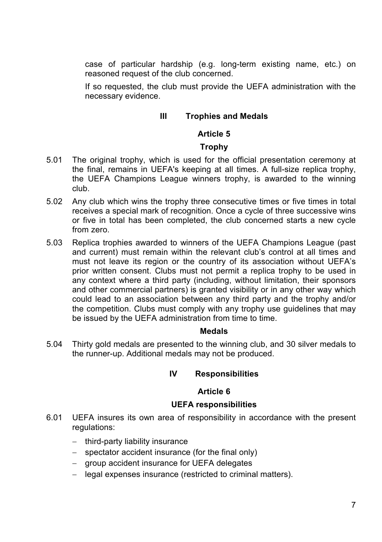case of particular hardship (e.g. long-term existing name, etc.) on reasoned request of the club concerned.

If so requested, the club must provide the UEFA administration with the necessary evidence.

## **III Trophies and Medals**

## **Article 5**

## **Trophy**

- 5.01 The original trophy, which is used for the official presentation ceremony at the final, remains in UEFA's keeping at all times. A full-size replica trophy, the UEFA Champions League winners trophy, is awarded to the winning club.
- 5.02 Any club which wins the trophy three consecutive times or five times in total receives a special mark of recognition. Once a cycle of three successive wins or five in total has been completed, the club concerned starts a new cycle from zero.
- 5.03 Replica trophies awarded to winners of the UEFA Champions League (past and current) must remain within the relevant club's control at all times and must not leave its region or the country of its association without UEFA's prior written consent. Clubs must not permit a replica trophy to be used in any context where a third party (including, without limitation, their sponsors and other commercial partners) is granted visibility or in any other way which could lead to an association between any third party and the trophy and/or the competition. Clubs must comply with any trophy use guidelines that may be issued by the UEFA administration from time to time.

## **Medals**

5.04 Thirty gold medals are presented to the winning club, and 30 silver medals to the runner-up. Additional medals may not be produced.

# **IV Responsibilities**

## **Article 6**

## **UEFA responsibilities**

- 6.01 UEFA insures its own area of responsibility in accordance with the present regulations:
	- $-$  third-party liability insurance
	- $-$  spectator accident insurance (for the final only)
	- group accident insurance for UEFA delegates
	- legal expenses insurance (restricted to criminal matters).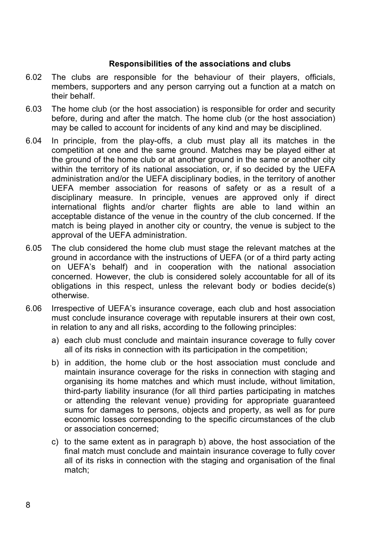## **Responsibilities of the associations and clubs**

- 6.02 The clubs are responsible for the behaviour of their players, officials, members, supporters and any person carrying out a function at a match on their behalf.
- 6.03 The home club (or the host association) is responsible for order and security before, during and after the match. The home club (or the host association) may be called to account for incidents of any kind and may be disciplined.
- 6.04 In principle, from the play-offs, a club must play all its matches in the competition at one and the same ground. Matches may be played either at the ground of the home club or at another ground in the same or another city within the territory of its national association, or, if so decided by the UEFA administration and/or the UEFA disciplinary bodies, in the territory of another UEFA member association for reasons of safety or as a result of a disciplinary measure. In principle, venues are approved only if direct international flights and/or charter flights are able to land within an acceptable distance of the venue in the country of the club concerned. If the match is being played in another city or country, the venue is subject to the approval of the UEFA administration.
- 6.05 The club considered the home club must stage the relevant matches at the ground in accordance with the instructions of UEFA (or of a third party acting on UEFA's behalf) and in cooperation with the national association concerned. However, the club is considered solely accountable for all of its obligations in this respect, unless the relevant body or bodies decide(s) otherwise.
- 6.06 Irrespective of UEFA's insurance coverage, each club and host association must conclude insurance coverage with reputable insurers at their own cost, in relation to any and all risks, according to the following principles:
	- a) each club must conclude and maintain insurance coverage to fully cover all of its risks in connection with its participation in the competition;
	- b) in addition, the home club or the host association must conclude and maintain insurance coverage for the risks in connection with staging and organising its home matches and which must include, without limitation, third-party liability insurance (for all third parties participating in matches or attending the relevant venue) providing for appropriate guaranteed sums for damages to persons, objects and property, as well as for pure economic losses corresponding to the specific circumstances of the club or association concerned;
	- c) to the same extent as in paragraph b) above, the host association of the final match must conclude and maintain insurance coverage to fully cover all of its risks in connection with the staging and organisation of the final match;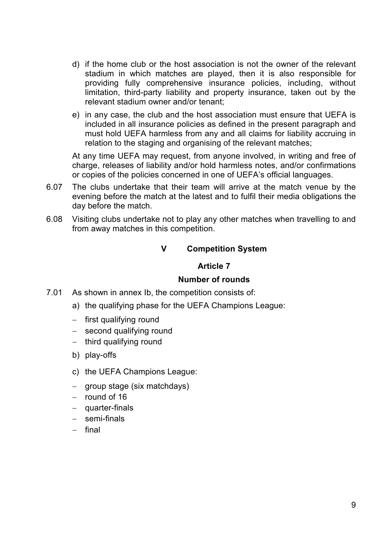- d) if the home club or the host association is not the owner of the relevant stadium in which matches are played, then it is also responsible for providing fully comprehensive insurance policies, including, without limitation, third-party liability and property insurance, taken out by the relevant stadium owner and/or tenant;
- e) in any case, the club and the host association must ensure that UEFA is included in all insurance policies as defined in the present paragraph and must hold UEFA harmless from any and all claims for liability accruing in relation to the staging and organising of the relevant matches;

At any time UEFA may request, from anyone involved, in writing and free of charge, releases of liability and/or hold harmless notes, and/or confirmations or copies of the policies concerned in one of UEFA's official languages.

- 6.07 The clubs undertake that their team will arrive at the match venue by the evening before the match at the latest and to fulfil their media obligations the day before the match.
- 6.08 Visiting clubs undertake not to play any other matches when travelling to and from away matches in this competition.

# **V Competition System**

## **Article 7**

## **Number of rounds**

- 7.01 As shown in annex Ib, the competition consists of:
	- a) the qualifying phase for the UEFA Champions League:
	- $-$  first qualifying round
	- $-$  second qualifying round
	- $-$  third qualifying round
	- b) play-offs
	- c) the UEFA Champions League:
	- $-$  group stage (six matchdays)
	- $-$  round of 16
	- quarter-finals
	- semi-finals
	- $-$  final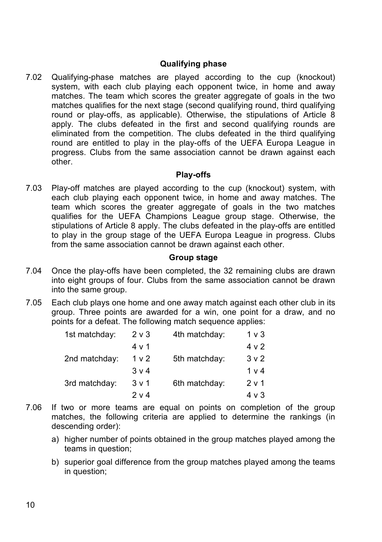## **Qualifying phase**

7.02 Qualifying-phase matches are played according to the cup (knockout) system, with each club playing each opponent twice, in home and away matches. The team which scores the greater aggregate of goals in the two matches qualifies for the next stage (second qualifying round, third qualifying round or play-offs, as applicable). Otherwise, the stipulations of Article 8 apply. The clubs defeated in the first and second qualifying rounds are eliminated from the competition. The clubs defeated in the third qualifying round are entitled to play in the play-offs of the UEFA Europa League in progress. Clubs from the same association cannot be drawn against each other.

## **Play-offs**

7.03 Play-off matches are played according to the cup (knockout) system, with each club playing each opponent twice, in home and away matches. The team which scores the greater aggregate of goals in the two matches qualifies for the UEFA Champions League group stage. Otherwise, the stipulations of Article 8 apply. The clubs defeated in the play-offs are entitled to play in the group stage of the UEFA Europa League in progress. Clubs from the same association cannot be drawn against each other.

#### **Group stage**

- 7.04 Once the play-offs have been completed, the 32 remaining clubs are drawn into eight groups of four. Clubs from the same association cannot be drawn into the same group.
- 7.05 Each club plays one home and one away match against each other club in its group. Three points are awarded for a win, one point for a draw, and no points for a defeat. The following match sequence applies:

| 1st matchday: | $2 \vee 3$     | 4th matchday: | $1v$ 3           |
|---------------|----------------|---------------|------------------|
|               | 4 v 1          |               | 4 v 2            |
| 2nd matchday: | 1 <sub>v</sub> | 5th matchday: | 3 <sub>v</sub> 2 |
|               | $3 \vee 4$     |               | 1 <sub>v</sub>   |
| 3rd matchday: | $3 \vee 1$     | 6th matchday: | 2 v 1            |
|               | 2 v 4          |               | 4 v 3            |

- 7.06 If two or more teams are equal on points on completion of the group matches, the following criteria are applied to determine the rankings (in descending order):
	- a) higher number of points obtained in the group matches played among the teams in question;
	- b) superior goal difference from the group matches played among the teams in question;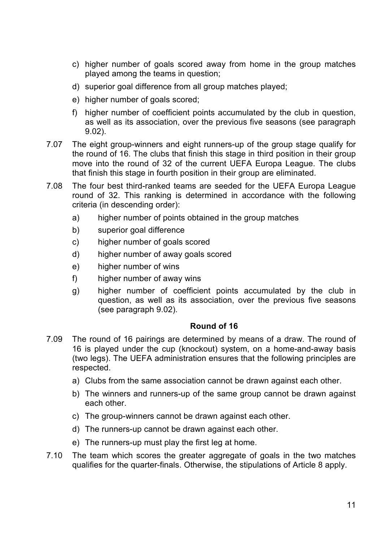- c) higher number of goals scored away from home in the group matches played among the teams in question;
- d) superior goal difference from all group matches played;
- e) higher number of goals scored;
- f) higher number of coefficient points accumulated by the club in question, as well as its association, over the previous five seasons (see paragraph 9.02).
- 7.07 The eight group-winners and eight runners-up of the group stage qualify for the round of 16. The clubs that finish this stage in third position in their group move into the round of 32 of the current UEFA Europa League. The clubs that finish this stage in fourth position in their group are eliminated.
- 7.08 The four best third-ranked teams are seeded for the UEFA Europa League round of 32. This ranking is determined in accordance with the following criteria (in descending order):
	- a) higher number of points obtained in the group matches
	- b) superior goal difference
	- c) higher number of goals scored
	- d) higher number of away goals scored
	- e) higher number of wins
	- f) higher number of away wins
	- g) higher number of coefficient points accumulated by the club in question, as well as its association, over the previous five seasons (see paragraph 9.02).

## **Round of 16**

- 7.09 The round of 16 pairings are determined by means of a draw. The round of 16 is played under the cup (knockout) system, on a home-and-away basis (two legs). The UEFA administration ensures that the following principles are respected.
	- a) Clubs from the same association cannot be drawn against each other.
	- b) The winners and runners-up of the same group cannot be drawn against each other.
	- c) The group-winners cannot be drawn against each other.
	- d) The runners-up cannot be drawn against each other.
	- e) The runners-up must play the first leg at home.
- 7.10 The team which scores the greater aggregate of goals in the two matches qualifies for the quarter-finals. Otherwise, the stipulations of Article 8 apply.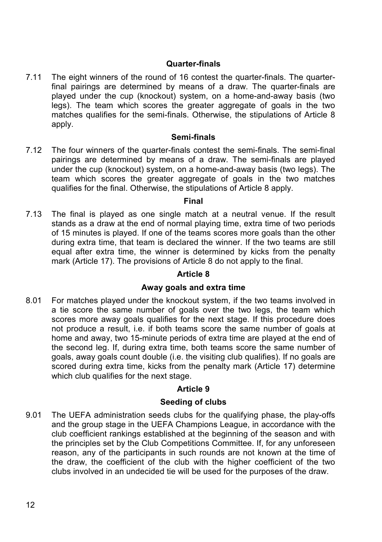## **Quarter-finals**

7.11 The eight winners of the round of 16 contest the quarter-finals. The quarterfinal pairings are determined by means of a draw. The quarter-finals are played under the cup (knockout) system, on a home-and-away basis (two legs). The team which scores the greater aggregate of goals in the two matches qualifies for the semi-finals. Otherwise, the stipulations of Article 8 apply.

### **Semi-finals**

7.12 The four winners of the quarter-finals contest the semi-finals. The semi-final pairings are determined by means of a draw. The semi-finals are played under the cup (knockout) system, on a home-and-away basis (two legs). The team which scores the greater aggregate of goals in the two matches qualifies for the final. Otherwise, the stipulations of Article 8 apply.

#### **Final**

7.13 The final is played as one single match at a neutral venue. If the result stands as a draw at the end of normal playing time, extra time of two periods of 15 minutes is played. If one of the teams scores more goals than the other during extra time, that team is declared the winner. If the two teams are still equal after extra time, the winner is determined by kicks from the penalty mark (Article 17). The provisions of Article 8 do not apply to the final.

## **Article 8**

## **Away goals and extra time**

8.01 For matches played under the knockout system, if the two teams involved in a tie score the same number of goals over the two legs, the team which scores more away goals qualifies for the next stage. If this procedure does not produce a result, i.e. if both teams score the same number of goals at home and away, two 15-minute periods of extra time are played at the end of the second leg. If, during extra time, both teams score the same number of goals, away goals count double (i.e. the visiting club qualifies). If no goals are scored during extra time, kicks from the penalty mark (Article 17) determine which club qualifies for the next stage.

## **Article 9**

## **Seeding of clubs**

9.01 The UEFA administration seeds clubs for the qualifying phase, the play-offs and the group stage in the UEFA Champions League, in accordance with the club coefficient rankings established at the beginning of the season and with the principles set by the Club Competitions Committee. If, for any unforeseen reason, any of the participants in such rounds are not known at the time of the draw, the coefficient of the club with the higher coefficient of the two clubs involved in an undecided tie will be used for the purposes of the draw.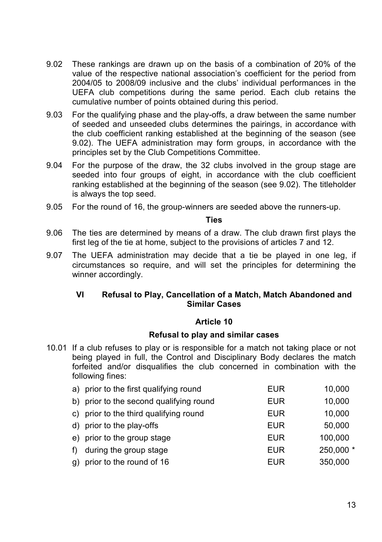- 9.02 These rankings are drawn up on the basis of a combination of 20% of the value of the respective national association's coefficient for the period from 2004/05 to 2008/09 inclusive and the clubs' individual performances in the UEFA club competitions during the same period. Each club retains the cumulative number of points obtained during this period.
- 9.03 For the qualifying phase and the play-offs, a draw between the same number of seeded and unseeded clubs determines the pairings, in accordance with the club coefficient ranking established at the beginning of the season (see 9.02). The UEFA administration may form groups, in accordance with the principles set by the Club Competitions Committee.
- 9.04 For the purpose of the draw, the 32 clubs involved in the group stage are seeded into four groups of eight, in accordance with the club coefficient ranking established at the beginning of the season (see 9.02). The titleholder is always the top seed.
- 9.05 For the round of 16, the group-winners are seeded above the runners-up.

#### **Ties**

- 9.06 The ties are determined by means of a draw. The club drawn first plays the first leg of the tie at home, subject to the provisions of articles 7 and 12.
- 9.07 The UEFA administration may decide that a tie be played in one leg, if circumstances so require, and will set the principles for determining the winner accordingly.

## **VI Refusal to Play, Cancellation of a Match, Match Abandoned and Similar Cases**

### **Article 10**

#### **Refusal to play and similar cases**

10.01 If a club refuses to play or is responsible for a match not taking place or not being played in full, the Control and Disciplinary Body declares the match forfeited and/or disqualifies the club concerned in combination with the following fines:

|    | a) prior to the first qualifying round  | <b>EUR</b> | 10,000    |
|----|-----------------------------------------|------------|-----------|
|    | b) prior to the second qualifying round | <b>EUR</b> | 10,000    |
|    | c) prior to the third qualifying round  | <b>EUR</b> | 10,000    |
|    | d) prior to the play-offs               | <b>EUR</b> | 50,000    |
|    | e) prior to the group stage             | <b>EUR</b> | 100.000   |
| f) | during the group stage                  | <b>EUR</b> | 250,000 * |
|    | g) prior to the round of 16             | <b>EUR</b> | 350,000   |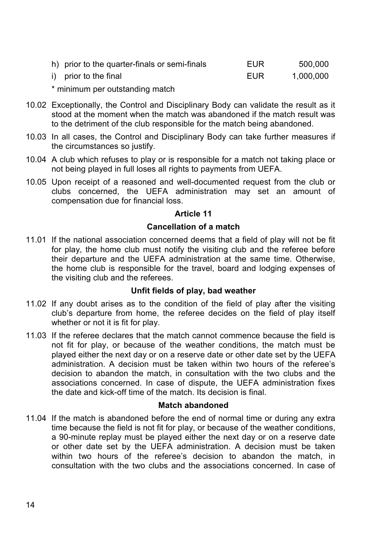| h) prior to the quarter-finals or semi-finals | EUR | 500.000   |
|-----------------------------------------------|-----|-----------|
| i) prior to the final                         | EUR | 1.000.000 |

\* minimum per outstanding match

- 10.02 Exceptionally, the Control and Disciplinary Body can validate the result as it stood at the moment when the match was abandoned if the match result was to the detriment of the club responsible for the match being abandoned.
- 10.03 In all cases, the Control and Disciplinary Body can take further measures if the circumstances so justify.
- 10.04 A club which refuses to play or is responsible for a match not taking place or not being played in full loses all rights to payments from UEFA.
- 10.05 Upon receipt of a reasoned and well-documented request from the club or clubs concerned, the UEFA administration may set an amount of compensation due for financial loss.

## **Article 11**

## **Cancellation of a match**

11.01 If the national association concerned deems that a field of play will not be fit for play, the home club must notify the visiting club and the referee before their departure and the UEFA administration at the same time. Otherwise, the home club is responsible for the travel, board and lodging expenses of the visiting club and the referees.

## **Unfit fields of play, bad weather**

- 11.02 If any doubt arises as to the condition of the field of play after the visiting club's departure from home, the referee decides on the field of play itself whether or not it is fit for play.
- 11.03 If the referee declares that the match cannot commence because the field is not fit for play, or because of the weather conditions, the match must be played either the next day or on a reserve date or other date set by the UEFA administration. A decision must be taken within two hours of the referee's decision to abandon the match, in consultation with the two clubs and the associations concerned. In case of dispute, the UEFA administration fixes the date and kick-off time of the match. Its decision is final.

## **Match abandoned**

11.04 If the match is abandoned before the end of normal time or during any extra time because the field is not fit for play, or because of the weather conditions, a 90-minute replay must be played either the next day or on a reserve date or other date set by the UEFA administration. A decision must be taken within two hours of the referee's decision to abandon the match, in consultation with the two clubs and the associations concerned. In case of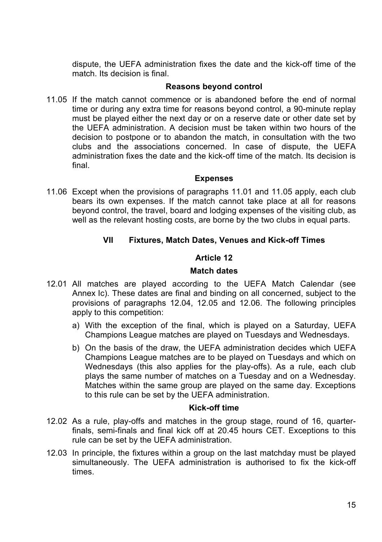dispute, the UEFA administration fixes the date and the kick-off time of the match. Its decision is final.

### **Reasons beyond control**

11.05 If the match cannot commence or is abandoned before the end of normal time or during any extra time for reasons beyond control, a 90-minute replay must be played either the next day or on a reserve date or other date set by the UEFA administration. A decision must be taken within two hours of the decision to postpone or to abandon the match, in consultation with the two clubs and the associations concerned. In case of dispute, the UEFA administration fixes the date and the kick-off time of the match. Its decision is final.

### **Expenses**

11.06 Except when the provisions of paragraphs 11.01 and 11.05 apply, each club bears its own expenses. If the match cannot take place at all for reasons beyond control, the travel, board and lodging expenses of the visiting club, as well as the relevant hosting costs, are borne by the two clubs in equal parts.

## **VII Fixtures, Match Dates, Venues and Kick-off Times**

## **Article 12**

### **Match dates**

- 12.01 All matches are played according to the UEFA Match Calendar (see Annex Ic). These dates are final and binding on all concerned, subject to the provisions of paragraphs 12.04, 12.05 and 12.06. The following principles apply to this competition:
	- a) With the exception of the final, which is played on a Saturday, UEFA Champions League matches are played on Tuesdays and Wednesdays.
	- b) On the basis of the draw, the UEFA administration decides which UEFA Champions League matches are to be played on Tuesdays and which on Wednesdays (this also applies for the play-offs). As a rule, each club plays the same number of matches on a Tuesday and on a Wednesday. Matches within the same group are played on the same day. Exceptions to this rule can be set by the UEFA administration.

### **Kick-off time**

- 12.02 As a rule, play-offs and matches in the group stage, round of 16, quarterfinals, semi-finals and final kick off at 20.45 hours CET. Exceptions to this rule can be set by the UEFA administration.
- 12.03 In principle, the fixtures within a group on the last matchday must be played simultaneously. The UEFA administration is authorised to fix the kick-off times.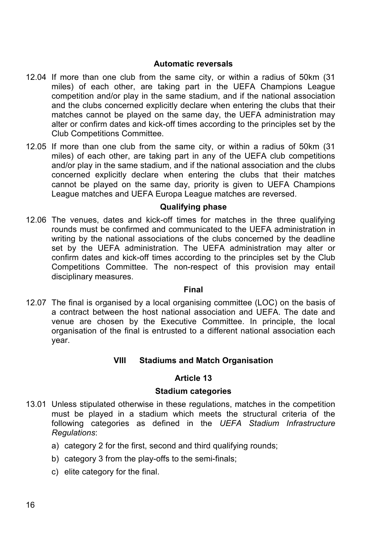### **Automatic reversals**

- 12.04 If more than one club from the same city, or within a radius of 50km (31 miles) of each other, are taking part in the UEFA Champions League competition and/or play in the same stadium, and if the national association and the clubs concerned explicitly declare when entering the clubs that their matches cannot be played on the same day, the UEFA administration may alter or confirm dates and kick-off times according to the principles set by the Club Competitions Committee.
- 12.05 If more than one club from the same city, or within a radius of 50km (31 miles) of each other, are taking part in any of the UEFA club competitions and/or play in the same stadium, and if the national association and the clubs concerned explicitly declare when entering the clubs that their matches cannot be played on the same day, priority is given to UEFA Champions League matches and UEFA Europa League matches are reversed.

### **Qualifying phase**

12.06 The venues, dates and kick-off times for matches in the three qualifying rounds must be confirmed and communicated to the UEFA administration in writing by the national associations of the clubs concerned by the deadline set by the UEFA administration. The UEFA administration may alter or confirm dates and kick-off times according to the principles set by the Club Competitions Committee. The non-respect of this provision may entail disciplinary measures.

#### **Final**

12.07 The final is organised by a local organising committee (LOC) on the basis of a contract between the host national association and UEFA. The date and venue are chosen by the Executive Committee. In principle, the local organisation of the final is entrusted to a different national association each year.

## **VIII Stadiums and Match Organisation**

## **Article 13**

#### **Stadium categories**

- 13.01 Unless stipulated otherwise in these regulations, matches in the competition must be played in a stadium which meets the structural criteria of the following categories as defined in the *UEFA Stadium Infrastructure Regulations*:
	- a) category 2 for the first, second and third qualifying rounds;
	- b) category 3 from the play-offs to the semi-finals;
	- c) elite category for the final.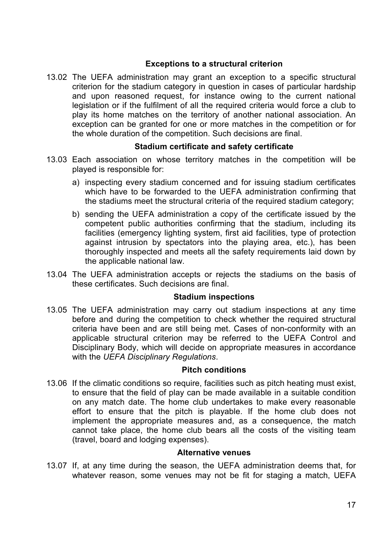## **Exceptions to a structural criterion**

13.02 The UEFA administration may grant an exception to a specific structural criterion for the stadium category in question in cases of particular hardship and upon reasoned request, for instance owing to the current national legislation or if the fulfilment of all the required criteria would force a club to play its home matches on the territory of another national association. An exception can be granted for one or more matches in the competition or for the whole duration of the competition. Such decisions are final.

## **Stadium certificate and safety certificate**

- 13.03 Each association on whose territory matches in the competition will be played is responsible for:
	- a) inspecting every stadium concerned and for issuing stadium certificates which have to be forwarded to the UEFA administration confirming that the stadiums meet the structural criteria of the required stadium category;
	- b) sending the UEFA administration a copy of the certificate issued by the competent public authorities confirming that the stadium, including its facilities (emergency lighting system, first aid facilities, type of protection against intrusion by spectators into the playing area, etc.), has been thoroughly inspected and meets all the safety requirements laid down by the applicable national law.
- 13.04 The UEFA administration accepts or rejects the stadiums on the basis of these certificates. Such decisions are final.

#### **Stadium inspections**

13.05 The UEFA administration may carry out stadium inspections at any time before and during the competition to check whether the required structural criteria have been and are still being met. Cases of non-conformity with an applicable structural criterion may be referred to the UEFA Control and Disciplinary Body, which will decide on appropriate measures in accordance with the *UEFA Disciplinary Regulations*.

## **Pitch conditions**

13.06 If the climatic conditions so require, facilities such as pitch heating must exist, to ensure that the field of play can be made available in a suitable condition on any match date. The home club undertakes to make every reasonable effort to ensure that the pitch is playable. If the home club does not implement the appropriate measures and, as a consequence, the match cannot take place, the home club bears all the costs of the visiting team (travel, board and lodging expenses).

## **Alternative venues**

13.07 If, at any time during the season, the UEFA administration deems that, for whatever reason, some venues may not be fit for staging a match. UEFA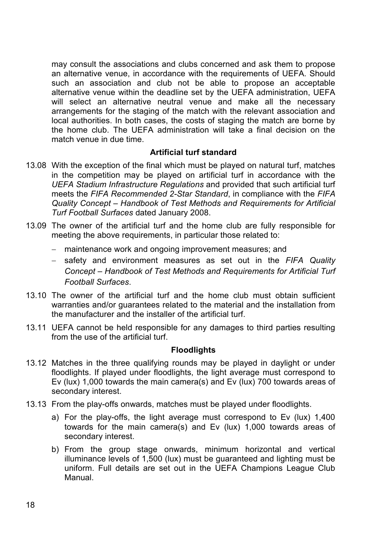may consult the associations and clubs concerned and ask them to propose an alternative venue, in accordance with the requirements of UEFA. Should such an association and club not be able to propose an acceptable alternative venue within the deadline set by the UEFA administration, UEFA will select an alternative neutral venue and make all the necessary arrangements for the staging of the match with the relevant association and local authorities. In both cases, the costs of staging the match are borne by the home club. The UEFA administration will take a final decision on the match venue in due time.

## **Artificial turf standard**

- 13.08 With the exception of the final which must be played on natural turf, matches in the competition may be played on artificial turf in accordance with the *UEFA Stadium Infrastructure Regulations* and provided that such artificial turf meets the *FIFA Recommended 2-Star Standard*, in compliance with the *FIFA Quality Concept – Handbook of Test Methods and Requirements for Artificial Turf Football Surfaces* dated January 2008.
- 13.09 The owner of the artificial turf and the home club are fully responsible for meeting the above requirements, in particular those related to:
	- maintenance work and ongoing improvement measures; and
	- safety and environment measures as set out in the *FIFA Quality Concept – Handbook of Test Methods and Requirements for Artificial Turf Football Surfaces*.
- 13.10 The owner of the artificial turf and the home club must obtain sufficient warranties and/or guarantees related to the material and the installation from the manufacturer and the installer of the artificial turf.
- 13.11 UEFA cannot be held responsible for any damages to third parties resulting from the use of the artificial turf.

## **Floodlights**

- 13.12 Matches in the three qualifying rounds may be played in daylight or under floodlights. If played under floodlights, the light average must correspond to Ev (lux) 1,000 towards the main camera(s) and Ev (lux) 700 towards areas of secondary interest.
- 13.13 From the play-offs onwards, matches must be played under floodlights.
	- a) For the play-offs, the light average must correspond to Ev (lux) 1,400 towards for the main camera(s) and Ev (lux) 1,000 towards areas of secondary interest.
	- b) From the group stage onwards, minimum horizontal and vertical illuminance levels of 1,500 (lux) must be guaranteed and lighting must be uniform. Full details are set out in the UEFA Champions League Club Manual.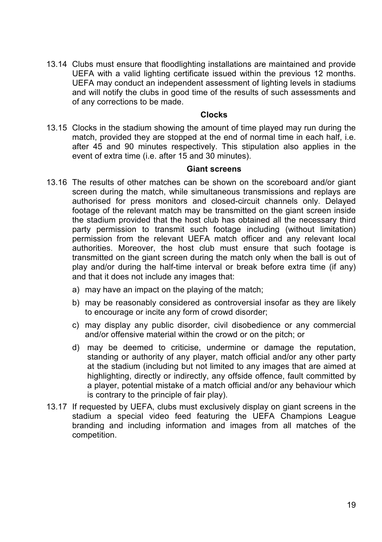13.14 Clubs must ensure that floodlighting installations are maintained and provide UEFA with a valid lighting certificate issued within the previous 12 months. UEFA may conduct an independent assessment of lighting levels in stadiums and will notify the clubs in good time of the results of such assessments and of any corrections to be made.

#### **Clocks**

13.15 Clocks in the stadium showing the amount of time played may run during the match, provided they are stopped at the end of normal time in each half, i.e. after 45 and 90 minutes respectively. This stipulation also applies in the event of extra time (i.e. after 15 and 30 minutes).

### **Giant screens**

- 13.16 The results of other matches can be shown on the scoreboard and/or giant screen during the match, while simultaneous transmissions and replays are authorised for press monitors and closed-circuit channels only. Delayed footage of the relevant match may be transmitted on the giant screen inside the stadium provided that the host club has obtained all the necessary third party permission to transmit such footage including (without limitation) permission from the relevant UEFA match officer and any relevant local authorities. Moreover, the host club must ensure that such footage is transmitted on the giant screen during the match only when the ball is out of play and/or during the half-time interval or break before extra time (if any) and that it does not include any images that:
	- a) may have an impact on the playing of the match;
	- b) may be reasonably considered as controversial insofar as they are likely to encourage or incite any form of crowd disorder;
	- c) may display any public disorder, civil disobedience or any commercial and/or offensive material within the crowd or on the pitch; or
	- d) may be deemed to criticise, undermine or damage the reputation, standing or authority of any player, match official and/or any other party at the stadium (including but not limited to any images that are aimed at highlighting, directly or indirectly, any offside offence, fault committed by a player, potential mistake of a match official and/or any behaviour which is contrary to the principle of fair play).
- 13.17 If requested by UEFA, clubs must exclusively display on giant screens in the stadium a special video feed featuring the UEFA Champions League branding and including information and images from all matches of the competition.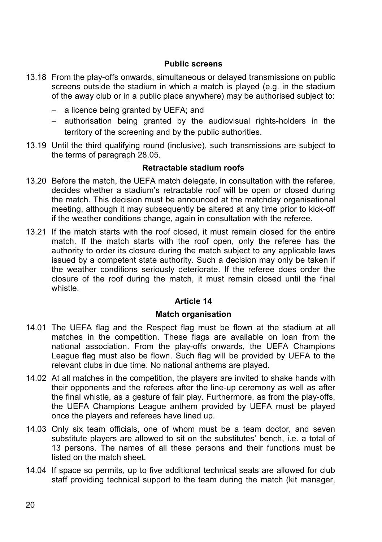## **Public screens**

- 13.18 From the play-offs onwards, simultaneous or delayed transmissions on public screens outside the stadium in which a match is played (e.g. in the stadium of the away club or in a public place anywhere) may be authorised subject to:
	- a licence being granted by UEFA; and
	- authorisation being granted by the audiovisual rights-holders in the territory of the screening and by the public authorities.
- 13.19 Until the third qualifying round (inclusive), such transmissions are subject to the terms of paragraph 28.05.

## **Retractable stadium roofs**

- 13.20 Before the match, the UEFA match delegate, in consultation with the referee, decides whether a stadium's retractable roof will be open or closed during the match. This decision must be announced at the matchday organisational meeting, although it may subsequently be altered at any time prior to kick-off if the weather conditions change, again in consultation with the referee.
- 13.21 If the match starts with the roof closed, it must remain closed for the entire match. If the match starts with the roof open, only the referee has the authority to order its closure during the match subject to any applicable laws issued by a competent state authority. Such a decision may only be taken if the weather conditions seriously deteriorate. If the referee does order the closure of the roof during the match, it must remain closed until the final whistle.

## **Article 14**

## **Match organisation**

- 14.01 The UEFA flag and the Respect flag must be flown at the stadium at all matches in the competition. These flags are available on loan from the national association. From the play-offs onwards, the UEFA Champions League flag must also be flown. Such flag will be provided by UEFA to the relevant clubs in due time. No national anthems are played.
- 14.02 At all matches in the competition, the players are invited to shake hands with their opponents and the referees after the line-up ceremony as well as after the final whistle, as a gesture of fair play. Furthermore, as from the play-offs, the UEFA Champions League anthem provided by UEFA must be played once the players and referees have lined up.
- 14.03 Only six team officials, one of whom must be a team doctor, and seven substitute players are allowed to sit on the substitutes' bench, i.e. a total of 13 persons. The names of all these persons and their functions must be listed on the match sheet.
- 14.04 If space so permits, up to five additional technical seats are allowed for club staff providing technical support to the team during the match (kit manager,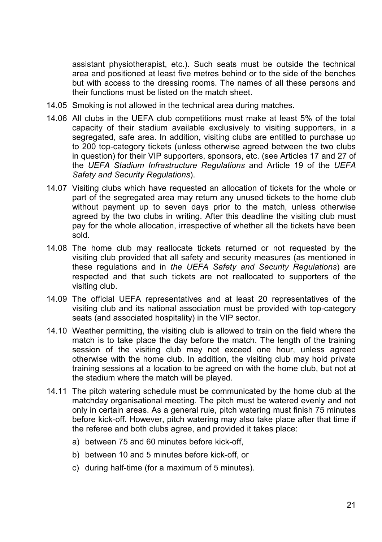assistant physiotherapist, etc.). Such seats must be outside the technical area and positioned at least five metres behind or to the side of the benches but with access to the dressing rooms. The names of all these persons and their functions must be listed on the match sheet.

- 14.05 Smoking is not allowed in the technical area during matches.
- 14.06 All clubs in the UEFA club competitions must make at least 5% of the total capacity of their stadium available exclusively to visiting supporters, in a segregated, safe area. In addition, visiting clubs are entitled to purchase up to 200 top-category tickets (unless otherwise agreed between the two clubs in question) for their VIP supporters, sponsors, etc. (see Articles 17 and 27 of the *UEFA Stadium Infrastructure Regulations* and Article 19 of the *UEFA Safety and Security Regulations*).
- 14.07 Visiting clubs which have requested an allocation of tickets for the whole or part of the segregated area may return any unused tickets to the home club without payment up to seven days prior to the match, unless otherwise agreed by the two clubs in writing. After this deadline the visiting club must pay for the whole allocation, irrespective of whether all the tickets have been sold.
- 14.08 The home club may reallocate tickets returned or not requested by the visiting club provided that all safety and security measures (as mentioned in these regulations and in *the UEFA Safety and Security Regulations*) are respected and that such tickets are not reallocated to supporters of the visiting club.
- 14.09 The official UEFA representatives and at least 20 representatives of the visiting club and its national association must be provided with top-category seats (and associated hospitality) in the VIP sector.
- 14.10 Weather permitting, the visiting club is allowed to train on the field where the match is to take place the day before the match. The length of the training session of the visiting club may not exceed one hour, unless agreed otherwise with the home club. In addition, the visiting club may hold private training sessions at a location to be agreed on with the home club, but not at the stadium where the match will be played.
- 14.11 The pitch watering schedule must be communicated by the home club at the matchday organisational meeting. The pitch must be watered evenly and not only in certain areas. As a general rule, pitch watering must finish 75 minutes before kick-off. However, pitch watering may also take place after that time if the referee and both clubs agree, and provided it takes place:
	- a) between 75 and 60 minutes before kick-off,
	- b) between 10 and 5 minutes before kick-off, or
	- c) during half-time (for a maximum of 5 minutes).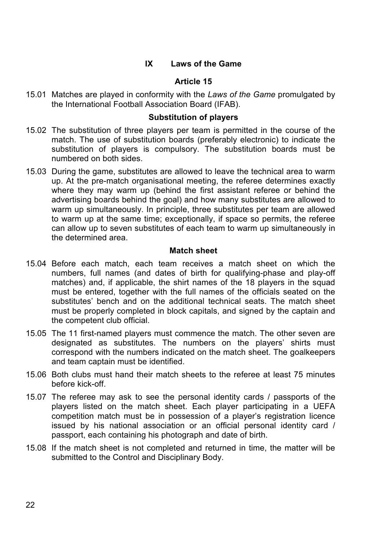## **IX Laws of the Game**

## **Article 15**

15.01 Matches are played in conformity with the *Laws of the Game* promulgated by the International Football Association Board (IFAB).

### **Substitution of players**

- 15.02 The substitution of three players per team is permitted in the course of the match. The use of substitution boards (preferably electronic) to indicate the substitution of players is compulsory. The substitution boards must be numbered on both sides.
- 15.03 During the game, substitutes are allowed to leave the technical area to warm up. At the pre-match organisational meeting, the referee determines exactly where they may warm up (behind the first assistant referee or behind the advertising boards behind the goal) and how many substitutes are allowed to warm up simultaneously. In principle, three substitutes per team are allowed to warm up at the same time; exceptionally, if space so permits, the referee can allow up to seven substitutes of each team to warm up simultaneously in the determined area.

#### **Match sheet**

- 15.04 Before each match, each team receives a match sheet on which the numbers, full names (and dates of birth for qualifying-phase and play-off matches) and, if applicable, the shirt names of the 18 players in the squad must be entered, together with the full names of the officials seated on the substitutes' bench and on the additional technical seats. The match sheet must be properly completed in block capitals, and signed by the captain and the competent club official.
- 15.05 The 11 first-named players must commence the match. The other seven are designated as substitutes. The numbers on the players' shirts must correspond with the numbers indicated on the match sheet. The goalkeepers and team captain must be identified.
- 15.06 Both clubs must hand their match sheets to the referee at least 75 minutes before kick-off.
- 15.07 The referee may ask to see the personal identity cards / passports of the players listed on the match sheet. Each player participating in a UEFA competition match must be in possession of a player's registration licence issued by his national association or an official personal identity card / passport, each containing his photograph and date of birth.
- 15.08 If the match sheet is not completed and returned in time, the matter will be submitted to the Control and Disciplinary Body.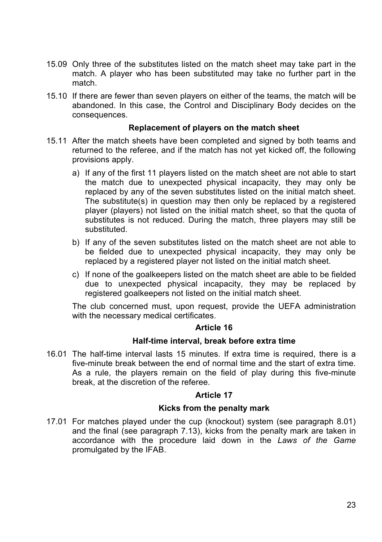- 15.09 Only three of the substitutes listed on the match sheet may take part in the match. A player who has been substituted may take no further part in the match.
- 15.10 If there are fewer than seven players on either of the teams, the match will be abandoned. In this case, the Control and Disciplinary Body decides on the consequences.

### **Replacement of players on the match sheet**

- 15.11 After the match sheets have been completed and signed by both teams and returned to the referee, and if the match has not yet kicked off, the following provisions apply.
	- a) If any of the first 11 players listed on the match sheet are not able to start the match due to unexpected physical incapacity, they may only be replaced by any of the seven substitutes listed on the initial match sheet. The substitute(s) in question may then only be replaced by a registered player (players) not listed on the initial match sheet, so that the quota of substitutes is not reduced. During the match, three players may still be substituted.
	- b) If any of the seven substitutes listed on the match sheet are not able to be fielded due to unexpected physical incapacity, they may only be replaced by a registered player not listed on the initial match sheet.
	- c) If none of the goalkeepers listed on the match sheet are able to be fielded due to unexpected physical incapacity, they may be replaced by registered goalkeepers not listed on the initial match sheet.

The club concerned must, upon request, provide the UEFA administration with the necessary medical certificates.

#### **Article 16**

### **Half-time interval, break before extra time**

16.01 The half-time interval lasts 15 minutes. If extra time is required, there is a five-minute break between the end of normal time and the start of extra time. As a rule, the players remain on the field of play during this five-minute break, at the discretion of the referee.

## **Article 17**

## **Kicks from the penalty mark**

17.01 For matches played under the cup (knockout) system (see paragraph 8.01) and the final (see paragraph 7.13), kicks from the penalty mark are taken in accordance with the procedure laid down in the *Laws of the Game* promulgated by the IFAB.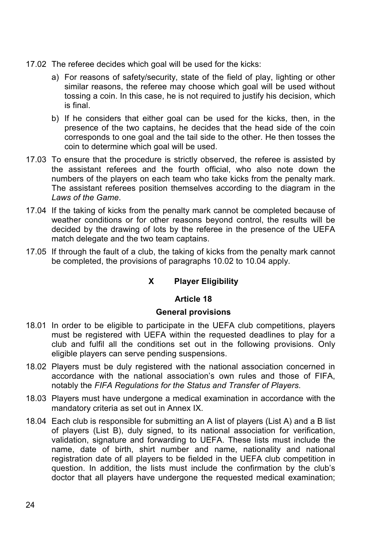- 17.02 The referee decides which goal will be used for the kicks:
	- a) For reasons of safety/security, state of the field of play, lighting or other similar reasons, the referee may choose which goal will be used without tossing a coin. In this case, he is not required to justify his decision, which is final.
	- b) If he considers that either goal can be used for the kicks, then, in the presence of the two captains, he decides that the head side of the coin corresponds to one goal and the tail side to the other. He then tosses the coin to determine which goal will be used.
- 17.03 To ensure that the procedure is strictly observed, the referee is assisted by the assistant referees and the fourth official, who also note down the numbers of the players on each team who take kicks from the penalty mark. The assistant referees position themselves according to the diagram in the *Laws of the Game*.
- 17.04 If the taking of kicks from the penalty mark cannot be completed because of weather conditions or for other reasons beyond control, the results will be decided by the drawing of lots by the referee in the presence of the UEFA match delegate and the two team captains.
- 17.05 If through the fault of a club, the taking of kicks from the penalty mark cannot be completed, the provisions of paragraphs 10.02 to 10.04 apply.

# **X Player Eligibility**

# **Article 18**

## **General provisions**

- 18.01 In order to be eligible to participate in the UEFA club competitions, players must be registered with UEFA within the requested deadlines to play for a club and fulfil all the conditions set out in the following provisions. Only eligible players can serve pending suspensions.
- 18.02 Players must be duly registered with the national association concerned in accordance with the national association's own rules and those of FIFA, notably the *FIFA Regulations for the Status and Transfer of Players*.
- 18.03 Players must have undergone a medical examination in accordance with the mandatory criteria as set out in Annex IX.
- 18.04 Each club is responsible for submitting an A list of players (List A) and a B list of players (List B), duly signed, to its national association for verification, validation, signature and forwarding to UEFA. These lists must include the name, date of birth, shirt number and name, nationality and national registration date of all players to be fielded in the UEFA club competition in question. In addition, the lists must include the confirmation by the club's doctor that all players have undergone the requested medical examination;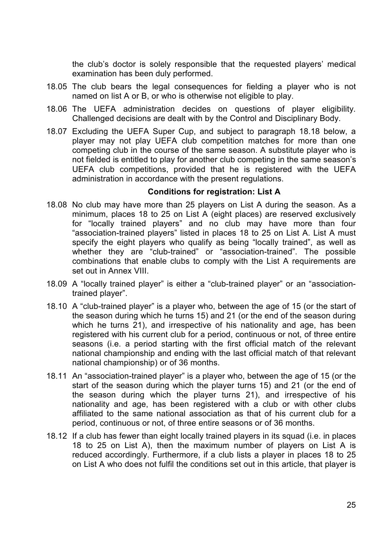the club's doctor is solely responsible that the requested players' medical examination has been duly performed.

- 18.05 The club bears the legal consequences for fielding a player who is not named on list A or B, or who is otherwise not eligible to play.
- 18.06 The UEFA administration decides on questions of player eligibility. Challenged decisions are dealt with by the Control and Disciplinary Body.
- 18.07 Excluding the UEFA Super Cup, and subject to paragraph 18.18 below, a player may not play UEFA club competition matches for more than one competing club in the course of the same season. A substitute player who is not fielded is entitled to play for another club competing in the same season's UEFA club competitions, provided that he is registered with the UEFA administration in accordance with the present regulations.

## **Conditions for registration: List A**

- 18.08 No club may have more than 25 players on List A during the season. As a minimum, places 18 to 25 on List A (eight places) are reserved exclusively for "locally trained players" and no club may have more than four "association-trained players" listed in places 18 to 25 on List A. List A must specify the eight players who qualify as being "locally trained", as well as whether they are "club-trained" or "association-trained". The possible combinations that enable clubs to comply with the List A requirements are set out in Annex VIII.
- 18.09 A "locally trained player" is either a "club-trained player" or an "associationtrained player".
- 18.10 A "club-trained player" is a player who, between the age of 15 (or the start of the season during which he turns 15) and 21 (or the end of the season during which he turns 21), and irrespective of his nationality and age, has been registered with his current club for a period, continuous or not, of three entire seasons (i.e. a period starting with the first official match of the relevant national championship and ending with the last official match of that relevant national championship) or of 36 months.
- 18.11 An "association-trained player" is a player who, between the age of 15 (or the start of the season during which the player turns 15) and 21 (or the end of the season during which the player turns 21), and irrespective of his nationality and age, has been registered with a club or with other clubs affiliated to the same national association as that of his current club for a period, continuous or not, of three entire seasons or of 36 months.
- 18.12 If a club has fewer than eight locally trained players in its squad (i.e. in places 18 to 25 on List A), then the maximum number of players on List A is reduced accordingly. Furthermore, if a club lists a player in places 18 to 25 on List A who does not fulfil the conditions set out in this article, that player is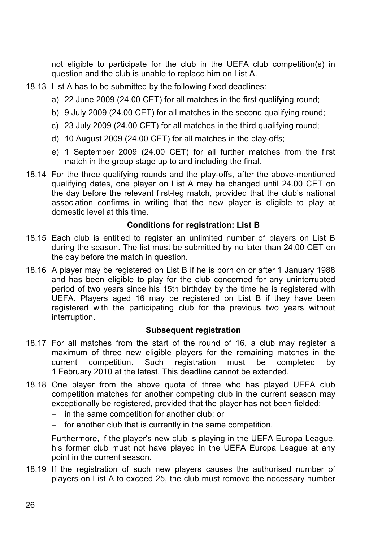not eligible to participate for the club in the UEFA club competition(s) in question and the club is unable to replace him on List A.

- 18.13 List A has to be submitted by the following fixed deadlines:
	- a) 22 June 2009 (24.00 CET) for all matches in the first qualifying round;
	- b) 9 July 2009 (24.00 CET) for all matches in the second qualifying round;
	- c) 23 July 2009 (24.00 CET) for all matches in the third qualifying round;
	- d) 10 August 2009 (24.00 CET) for all matches in the play-offs;
	- e) 1 September 2009 (24.00 CET) for all further matches from the first match in the group stage up to and including the final.
- 18.14 For the three qualifying rounds and the play-offs, after the above-mentioned qualifying dates, one player on List A may be changed until 24.00 CET on the day before the relevant first-leg match, provided that the club's national association confirms in writing that the new player is eligible to play at domestic level at this time.

# **Conditions for registration: List B**

- 18.15 Each club is entitled to register an unlimited number of players on List B during the season. The list must be submitted by no later than 24.00 CET on the day before the match in question.
- 18.16 A player may be registered on List B if he is born on or after 1 January 1988 and has been eligible to play for the club concerned for any uninterrupted period of two years since his 15th birthday by the time he is registered with UEFA. Players aged 16 may be registered on List B if they have been registered with the participating club for the previous two years without interruption.

## **Subsequent registration**

- 18.17 For all matches from the start of the round of 16, a club may register a maximum of three new eligible players for the remaining matches in the current competition. Such registration must be completed by 1 February 2010 at the latest. This deadline cannot be extended.
- 18.18 One player from the above quota of three who has played UEFA club competition matches for another competing club in the current season may exceptionally be registered, provided that the player has not been fielded:
	- in the same competition for another club; or
	- for another club that is currently in the same competition.

Furthermore, if the player's new club is playing in the UEFA Europa League, his former club must not have played in the UEFA Europa League at any point in the current season.

18.19 If the registration of such new players causes the authorised number of players on List A to exceed 25, the club must remove the necessary number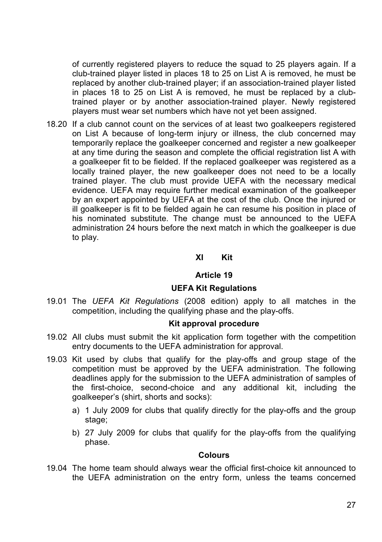of currently registered players to reduce the squad to 25 players again. If a club-trained player listed in places 18 to 25 on List A is removed, he must be replaced by another club-trained player; if an association-trained player listed in places 18 to 25 on List A is removed, he must be replaced by a clubtrained player or by another association-trained player. Newly registered players must wear set numbers which have not yet been assigned.

18.20 If a club cannot count on the services of at least two goalkeepers registered on List A because of long-term injury or illness, the club concerned may temporarily replace the goalkeeper concerned and register a new goalkeeper at any time during the season and complete the official registration list A with a goalkeeper fit to be fielded. If the replaced goalkeeper was registered as a locally trained player, the new goalkeeper does not need to be a locally trained player. The club must provide UEFA with the necessary medical evidence. UEFA may require further medical examination of the goalkeeper by an expert appointed by UEFA at the cost of the club. Once the injured or ill goalkeeper is fit to be fielded again he can resume his position in place of his nominated substitute. The change must be announced to the UEFA administration 24 hours before the next match in which the goalkeeper is due to play.

## **XI Kit**

#### **Article 19**

## **UEFA Kit Regulations**

19.01 The *UEFA Kit Regulations* (2008 edition) apply to all matches in the competition, including the qualifying phase and the play-offs.

## **Kit approval procedure**

- 19.02 All clubs must submit the kit application form together with the competition entry documents to the UEFA administration for approval.
- 19.03 Kit used by clubs that qualify for the play-offs and group stage of the competition must be approved by the UEFA administration. The following deadlines apply for the submission to the UEFA administration of samples of the first-choice, second-choice and any additional kit, including the goalkeeper's (shirt, shorts and socks):
	- a) 1 July 2009 for clubs that qualify directly for the play-offs and the group stage;
	- b) 27 July 2009 for clubs that qualify for the play-offs from the qualifying phase.

### **Colours**

19.04 The home team should always wear the official first-choice kit announced to the UEFA administration on the entry form, unless the teams concerned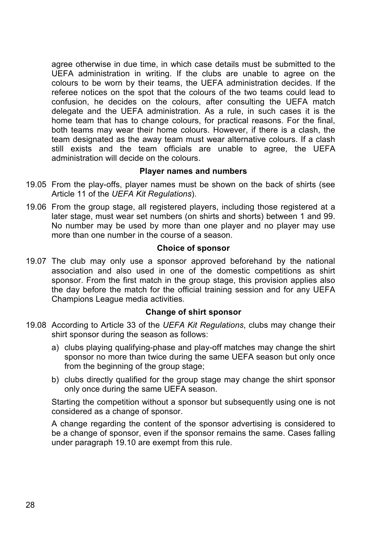agree otherwise in due time, in which case details must be submitted to the UEFA administration in writing. If the clubs are unable to agree on the colours to be worn by their teams, the UEFA administration decides. If the referee notices on the spot that the colours of the two teams could lead to confusion, he decides on the colours, after consulting the UEFA match delegate and the UEFA administration. As a rule, in such cases it is the home team that has to change colours, for practical reasons. For the final, both teams may wear their home colours. However, if there is a clash, the team designated as the away team must wear alternative colours. If a clash still exists and the team officials are unable to agree, the UEFA administration will decide on the colours.

## **Player names and numbers**

- 19.05 From the play-offs, player names must be shown on the back of shirts (see Article 11 of the *UEFA Kit Regulations*).
- 19.06 From the group stage, all registered players, including those registered at a later stage, must wear set numbers (on shirts and shorts) between 1 and 99. No number may be used by more than one player and no player may use more than one number in the course of a season.

## **Choice of sponsor**

19.07 The club may only use a sponsor approved beforehand by the national association and also used in one of the domestic competitions as shirt sponsor. From the first match in the group stage, this provision applies also the day before the match for the official training session and for any UEFA Champions League media activities.

## **Change of shirt sponsor**

- 19.08 According to Article 33 of the *UEFA Kit Regulations*, clubs may change their shirt sponsor during the season as follows:
	- a) clubs playing qualifying-phase and play-off matches may change the shirt sponsor no more than twice during the same UEFA season but only once from the beginning of the group stage;
	- b) clubs directly qualified for the group stage may change the shirt sponsor only once during the same UEFA season.

Starting the competition without a sponsor but subsequently using one is not considered as a change of sponsor.

A change regarding the content of the sponsor advertising is considered to be a change of sponsor, even if the sponsor remains the same. Cases falling under paragraph 19.10 are exempt from this rule.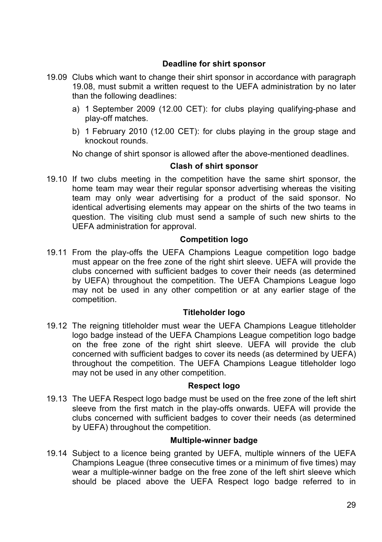## **Deadline for shirt sponsor**

- 19.09 Clubs which want to change their shirt sponsor in accordance with paragraph 19.08, must submit a written request to the UEFA administration by no later than the following deadlines:
	- a) 1 September 2009 (12.00 CET): for clubs playing qualifying-phase and play-off matches.
	- b) 1 February 2010 (12.00 CET): for clubs playing in the group stage and knockout rounds.

No change of shirt sponsor is allowed after the above-mentioned deadlines.

## **Clash of shirt sponsor**

19.10 If two clubs meeting in the competition have the same shirt sponsor, the home team may wear their regular sponsor advertising whereas the visiting team may only wear advertising for a product of the said sponsor. No identical advertising elements may appear on the shirts of the two teams in question. The visiting club must send a sample of such new shirts to the UEFA administration for approval.

## **Competition logo**

19.11 From the play-offs the UEFA Champions League competition logo badge must appear on the free zone of the right shirt sleeve. UEFA will provide the clubs concerned with sufficient badges to cover their needs (as determined by UEFA) throughout the competition. The UEFA Champions League logo may not be used in any other competition or at any earlier stage of the competition.

## **Titleholder logo**

19.12 The reigning titleholder must wear the UEFA Champions League titleholder logo badge instead of the UEFA Champions League competition logo badge on the free zone of the right shirt sleeve. UEFA will provide the club concerned with sufficient badges to cover its needs (as determined by UEFA) throughout the competition. The UEFA Champions League titleholder logo may not be used in any other competition.

## **Respect logo**

19.13 The UEFA Respect logo badge must be used on the free zone of the left shirt sleeve from the first match in the play-offs onwards. UEFA will provide the clubs concerned with sufficient badges to cover their needs (as determined by UEFA) throughout the competition.

## **Multiple-winner badge**

19.14 Subject to a licence being granted by UEFA, multiple winners of the UEFA Champions League (three consecutive times or a minimum of five times) may wear a multiple-winner badge on the free zone of the left shirt sleeve which should be placed above the UEFA Respect logo badge referred to in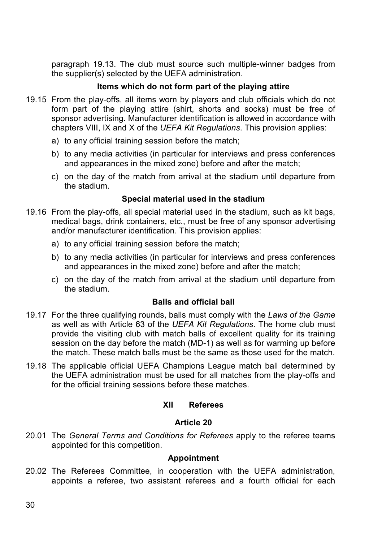paragraph 19.13. The club must source such multiple-winner badges from the supplier(s) selected by the UEFA administration.

## **Items which do not form part of the playing attire**

- 19.15 From the play-offs, all items worn by players and club officials which do not form part of the playing attire (shirt, shorts and socks) must be free of sponsor advertising. Manufacturer identification is allowed in accordance with chapters VIII, IX and X of the *UEFA Kit Regulations*. This provision applies:
	- a) to any official training session before the match;
	- b) to any media activities (in particular for interviews and press conferences and appearances in the mixed zone) before and after the match;
	- c) on the day of the match from arrival at the stadium until departure from the stadium.

## **Special material used in the stadium**

- 19.16 From the play-offs, all special material used in the stadium, such as kit bags, medical bags, drink containers, etc., must be free of any sponsor advertising and/or manufacturer identification. This provision applies:
	- a) to any official training session before the match;
	- b) to any media activities (in particular for interviews and press conferences and appearances in the mixed zone) before and after the match;
	- c) on the day of the match from arrival at the stadium until departure from the stadium.

## **Balls and official ball**

- 19.17 For the three qualifying rounds, balls must comply with the *Laws of the Game* as well as with Article 63 of the *UEFA Kit Regulations*. The home club must provide the visiting club with match balls of excellent quality for its training session on the day before the match (MD-1) as well as for warming up before the match. These match balls must be the same as those used for the match.
- 19.18 The applicable official UEFA Champions League match ball determined by the UEFA administration must be used for all matches from the play-offs and for the official training sessions before these matches.

## **XII Referees**

## **Article 20**

20.01 The *General Terms and Conditions for Referees* apply to the referee teams appointed for this competition.

#### **Appointment**

20.02 The Referees Committee, in cooperation with the UEFA administration, appoints a referee, two assistant referees and a fourth official for each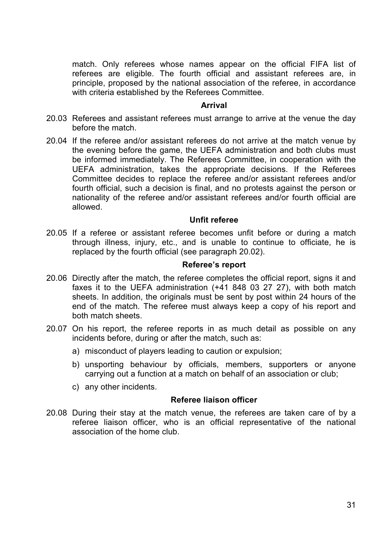match. Only referees whose names appear on the official FIFA list of referees are eligible. The fourth official and assistant referees are, in principle, proposed by the national association of the referee, in accordance with criteria established by the Referees Committee.

#### **Arrival**

- 20.03 Referees and assistant referees must arrange to arrive at the venue the day before the match.
- 20.04 If the referee and/or assistant referees do not arrive at the match venue by the evening before the game, the UEFA administration and both clubs must be informed immediately. The Referees Committee, in cooperation with the UEFA administration, takes the appropriate decisions. If the Referees Committee decides to replace the referee and/or assistant referees and/or fourth official, such a decision is final, and no protests against the person or nationality of the referee and/or assistant referees and/or fourth official are allowed.

#### **Unfit referee**

20.05 If a referee or assistant referee becomes unfit before or during a match through illness, injury, etc., and is unable to continue to officiate, he is replaced by the fourth official (see paragraph 20.02).

#### **Referee's report**

- 20.06 Directly after the match, the referee completes the official report, signs it and faxes it to the UEFA administration (+41 848 03 27 27), with both match sheets. In addition, the originals must be sent by post within 24 hours of the end of the match. The referee must always keep a copy of his report and both match sheets.
- 20.07 On his report, the referee reports in as much detail as possible on any incidents before, during or after the match, such as:
	- a) misconduct of players leading to caution or expulsion;
	- b) unsporting behaviour by officials, members, supporters or anyone carrying out a function at a match on behalf of an association or club;
	- c) any other incidents.

#### **Referee liaison officer**

20.08 During their stay at the match venue, the referees are taken care of by a referee liaison officer, who is an official representative of the national association of the home club.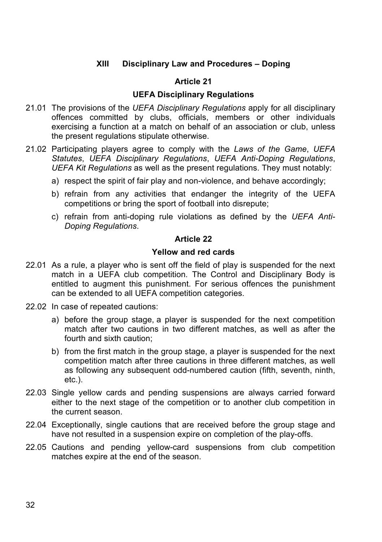# **XIII Disciplinary Law and Procedures – Doping**

## **Article 21**

### **UEFA Disciplinary Regulations**

- 21.01 The provisions of the *UEFA Disciplinary Regulations* apply for all disciplinary offences committed by clubs, officials, members or other individuals exercising a function at a match on behalf of an association or club, unless the present regulations stipulate otherwise.
- 21.02 Participating players agree to comply with the *Laws of the Game*, *UEFA Statutes*, *UEFA Disciplinary Regulations*, *UEFA Anti-Doping Regulations*, *UEFA Kit Regulations* as well as the present regulations. They must notably:
	- a) respect the spirit of fair play and non-violence, and behave accordingly;
	- b) refrain from any activities that endanger the integrity of the UEFA competitions or bring the sport of football into disrepute;
	- c) refrain from anti-doping rule violations as defined by the *UEFA Anti-Doping Regulations*.

### **Article 22**

### **Yellow and red cards**

- 22.01 As a rule, a player who is sent off the field of play is suspended for the next match in a UEFA club competition. The Control and Disciplinary Body is entitled to augment this punishment. For serious offences the punishment can be extended to all UEFA competition categories.
- 22.02 In case of repeated cautions:
	- a) before the group stage, a player is suspended for the next competition match after two cautions in two different matches, as well as after the fourth and sixth caution;
	- b) from the first match in the group stage, a player is suspended for the next competition match after three cautions in three different matches, as well as following any subsequent odd-numbered caution (fifth, seventh, ninth, etc.).
- 22.03 Single yellow cards and pending suspensions are always carried forward either to the next stage of the competition or to another club competition in the current season.
- 22.04 Exceptionally, single cautions that are received before the group stage and have not resulted in a suspension expire on completion of the play-offs.
- 22.05 Cautions and pending yellow-card suspensions from club competition matches expire at the end of the season.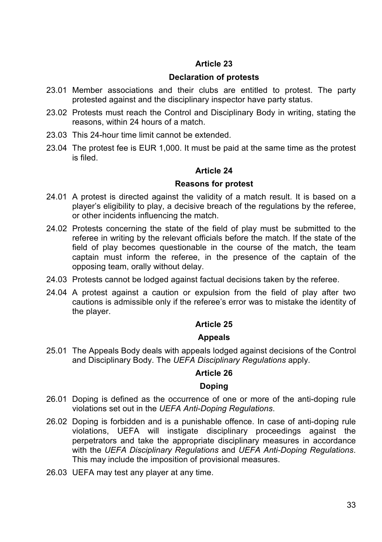# **Article 23**

### **Declaration of protests**

- 23.01 Member associations and their clubs are entitled to protest. The party protested against and the disciplinary inspector have party status.
- 23.02 Protests must reach the Control and Disciplinary Body in writing, stating the reasons, within 24 hours of a match.
- 23.03 This 24-hour time limit cannot be extended.
- 23.04 The protest fee is EUR 1,000. It must be paid at the same time as the protest is filed.

### **Article 24**

### **Reasons for protest**

- 24.01 A protest is directed against the validity of a match result. It is based on a player's eligibility to play, a decisive breach of the regulations by the referee, or other incidents influencing the match.
- 24.02 Protests concerning the state of the field of play must be submitted to the referee in writing by the relevant officials before the match. If the state of the field of play becomes questionable in the course of the match, the team captain must inform the referee, in the presence of the captain of the opposing team, orally without delay.
- 24.03 Protests cannot be lodged against factual decisions taken by the referee.
- 24.04 A protest against a caution or expulsion from the field of play after two cautions is admissible only if the referee's error was to mistake the identity of the player.

### **Article 25**

### **Appeals**

25.01 The Appeals Body deals with appeals lodged against decisions of the Control and Disciplinary Body. The *UEFA Disciplinary Regulations* apply.

### **Article 26**

### **Doping**

- 26.01 Doping is defined as the occurrence of one or more of the anti-doping rule violations set out in the *UEFA Anti-Doping Regulations*.
- 26.02 Doping is forbidden and is a punishable offence. In case of anti-doping rule violations, UEFA will instigate disciplinary proceedings against the perpetrators and take the appropriate disciplinary measures in accordance with the *UEFA Disciplinary Regulations* and *UEFA Anti-Doping Regulations*. This may include the imposition of provisional measures.
- 26.03 UEFA may test any player at any time.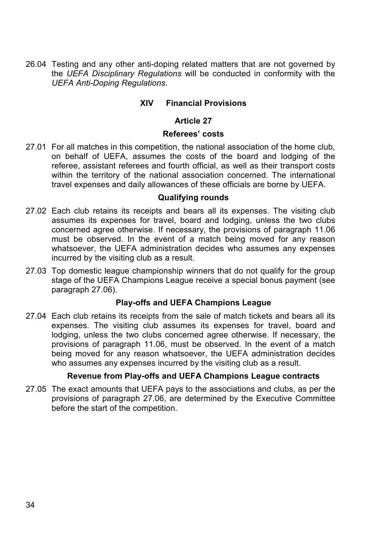26.04 Testing and any other anti-doping related matters that are not governed by the *UEFA Disciplinary Regulations* will be conducted in conformity with the *UEFA Anti-Doping Regulations*.

# **XIV Financial Provisions**

### **Article 27**

## **Referees' costs**

27.01 For all matches in this competition, the national association of the home club, on behalf of UEFA, assumes the costs of the board and lodging of the referee, assistant referees and fourth official, as well as their transport costs within the territory of the national association concerned. The international travel expenses and daily allowances of these officials are borne by UEFA.

### **Qualifying rounds**

- 27.02 Each club retains its receipts and bears all its expenses. The visiting club assumes its expenses for travel, board and lodging, unless the two clubs concerned agree otherwise. If necessary, the provisions of paragraph 11.06 must be observed. In the event of a match being moved for any reason whatsoever, the UEFA administration decides who assumes any expenses incurred by the visiting club as a result.
- 27.03 Top domestic league championship winners that do not qualify for the group stage of the UEFA Champions League receive a special bonus payment (see paragraph 27.06).

### **Play-offs and UEFA Champions League**

27.04 Each club retains its receipts from the sale of match tickets and bears all its expenses. The visiting club assumes its expenses for travel, board and lodging, unless the two clubs concerned agree otherwise. If necessary, the provisions of paragraph 11.06, must be observed. In the event of a match being moved for any reason whatsoever, the UEFA administration decides who assumes any expenses incurred by the visiting club as a result.

### **Revenue from Play-offs and UEFA Champions League contracts**

27.05 The exact amounts that UEFA pays to the associations and clubs, as per the provisions of paragraph 27.06, are determined by the Executive Committee before the start of the competition.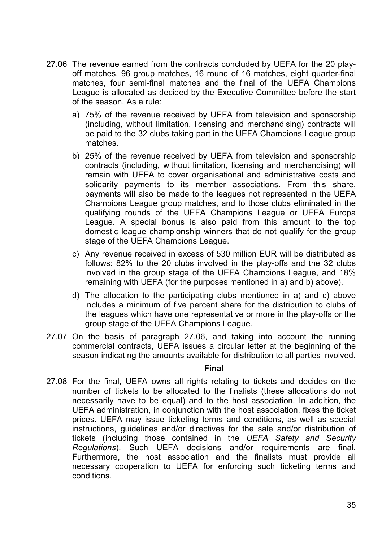- 27.06 The revenue earned from the contracts concluded by UEFA for the 20 playoff matches, 96 group matches, 16 round of 16 matches, eight quarter-final matches, four semi-final matches and the final of the UEFA Champions League is allocated as decided by the Executive Committee before the start of the season. As a rule:
	- a) 75% of the revenue received by UEFA from television and sponsorship (including, without limitation, licensing and merchandising) contracts will be paid to the 32 clubs taking part in the UEFA Champions League group matches.
	- b) 25% of the revenue received by UEFA from television and sponsorship contracts (including, without limitation, licensing and merchandising) will remain with UEFA to cover organisational and administrative costs and solidarity payments to its member associations. From this share, payments will also be made to the leagues not represented in the UEFA Champions League group matches, and to those clubs eliminated in the qualifying rounds of the UEFA Champions League or UEFA Europa League. A special bonus is also paid from this amount to the top domestic league championship winners that do not qualify for the group stage of the UEFA Champions League.
	- c) Any revenue received in excess of 530 million EUR will be distributed as follows: 82% to the 20 clubs involved in the play-offs and the 32 clubs involved in the group stage of the UEFA Champions League, and 18% remaining with UEFA (for the purposes mentioned in a) and b) above).
	- d) The allocation to the participating clubs mentioned in a) and c) above includes a minimum of five percent share for the distribution to clubs of the leagues which have one representative or more in the play-offs or the group stage of the UEFA Champions League.
- 27.07 On the basis of paragraph 27.06, and taking into account the running commercial contracts, UEFA issues a circular letter at the beginning of the season indicating the amounts available for distribution to all parties involved.

#### **Final**

27.08 For the final, UEFA owns all rights relating to tickets and decides on the number of tickets to be allocated to the finalists (these allocations do not necessarily have to be equal) and to the host association. In addition, the UEFA administration, in conjunction with the host association, fixes the ticket prices. UEFA may issue ticketing terms and conditions, as well as special instructions, guidelines and/or directives for the sale and/or distribution of tickets (including those contained in the *UEFA Safety and Security Regulations*). Such UEFA decisions and/or requirements are final. Furthermore, the host association and the finalists must provide all necessary cooperation to UEFA for enforcing such ticketing terms and conditions.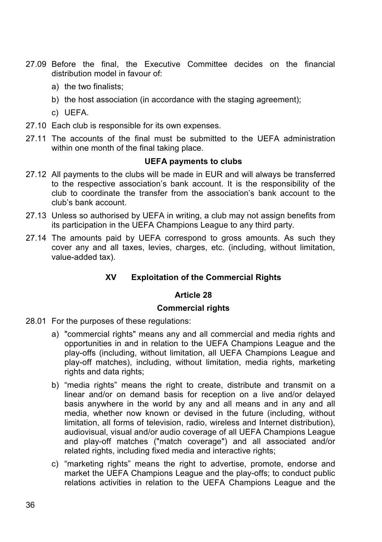- 27.09 Before the final, the Executive Committee decides on the financial distribution model in favour of:
	- a) the two finalists;
	- b) the host association (in accordance with the staging agreement);
	- c) UEFA.
- 27.10 Each club is responsible for its own expenses.
- 27.11 The accounts of the final must be submitted to the UEFA administration within one month of the final taking place.

### **UEFA payments to clubs**

- 27.12 All payments to the clubs will be made in EUR and will always be transferred to the respective association's bank account. It is the responsibility of the club to coordinate the transfer from the association's bank account to the club's bank account.
- 27.13 Unless so authorised by UEFA in writing, a club may not assign benefits from its participation in the UEFA Champions League to any third party.
- 27.14 The amounts paid by UEFA correspond to gross amounts. As such they cover any and all taxes, levies, charges, etc. (including, without limitation, value-added tax).

# **XV Exploitation of the Commercial Rights**

### **Article 28**

### **Commercial rights**

- 28.01 For the purposes of these regulations:
	- a) "commercial rights" means any and all commercial and media rights and opportunities in and in relation to the UEFA Champions League and the play-offs (including, without limitation, all UEFA Champions League and play-off matches), including, without limitation, media rights, marketing rights and data rights:
	- b) "media rights" means the right to create, distribute and transmit on a linear and/or on demand basis for reception on a live and/or delayed basis anywhere in the world by any and all means and in any and all media, whether now known or devised in the future (including, without limitation, all forms of television, radio, wireless and Internet distribution), audiovisual, visual and/or audio coverage of all UEFA Champions League and play-off matches ("match coverage") and all associated and/or related rights, including fixed media and interactive rights;
	- c) "marketing rights" means the right to advertise, promote, endorse and market the UEFA Champions League and the play-offs; to conduct public relations activities in relation to the UEFA Champions League and the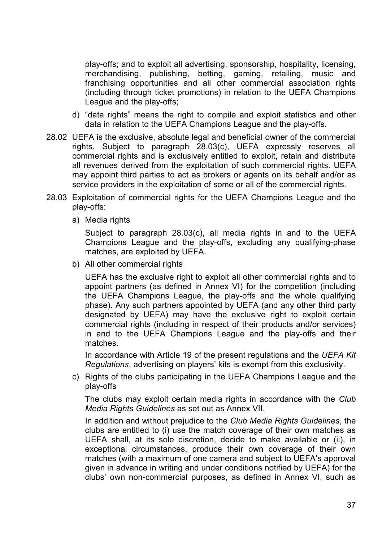play-offs; and to exploit all advertising, sponsorship, hospitality, licensing, merchandising, publishing, betting, gaming, retailing, music and franchising opportunities and all other commercial association rights (including through ticket promotions) in relation to the UEFA Champions League and the play-offs;

- d) "data rights" means the right to compile and exploit statistics and other data in relation to the UEFA Champions League and the play-offs.
- 28.02 UEFA is the exclusive, absolute legal and beneficial owner of the commercial rights. Subject to paragraph 28.03(c), UEFA expressly reserves all commercial rights and is exclusively entitled to exploit, retain and distribute all revenues derived from the exploitation of such commercial rights. UEFA may appoint third parties to act as brokers or agents on its behalf and/or as service providers in the exploitation of some or all of the commercial rights.
- 28.03 Exploitation of commercial rights for the UEFA Champions League and the play-offs:
	- a) Media rights

Subject to paragraph 28.03(c), all media rights in and to the UEFA Champions League and the play-offs, excluding any qualifying-phase matches, are exploited by UEFA.

b) All other commercial rights

UEFA has the exclusive right to exploit all other commercial rights and to appoint partners (as defined in Annex VI) for the competition (including the UEFA Champions League, the play-offs and the whole qualifying phase). Any such partners appointed by UEFA (and any other third party designated by UEFA) may have the exclusive right to exploit certain commercial rights (including in respect of their products and/or services) in and to the UEFA Champions League and the play-offs and their matches.

In accordance with Article 19 of the present regulations and the *UEFA Kit Regulations*, advertising on players' kits is exempt from this exclusivity.

c) Rights of the clubs participating in the UEFA Champions League and the play-offs

The clubs may exploit certain media rights in accordance with the *Club Media Rights Guidelines* as set out as Annex VII.

In addition and without prejudice to the *Club Media Rights Guidelines*, the clubs are entitled to (i) use the match coverage of their own matches as UEFA shall, at its sole discretion, decide to make available or (ii), in exceptional circumstances, produce their own coverage of their own matches (with a maximum of one camera and subject to UEFA's approval given in advance in writing and under conditions notified by UEFA) for the clubs' own non-commercial purposes, as defined in Annex VI, such as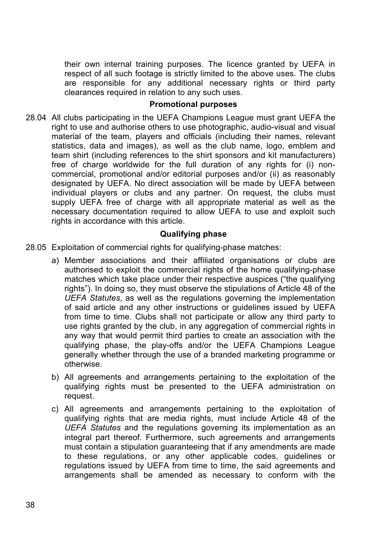their own internal training purposes. The licence granted by UEFA in respect of all such footage is strictly limited to the above uses. The clubs are responsible for any additional necessary rights or third party clearances required in relation to any such uses.

### **Promotional purposes**

28.04 All clubs participating in the UEFA Champions League must grant UEFA the right to use and authorise others to use photographic, audio-visual and visual material of the team, players and officials (including their names, relevant statistics, data and images), as well as the club name, logo, emblem and team shirt (including references to the shirt sponsors and kit manufacturers) free of charge worldwide for the full duration of any rights for (i) noncommercial, promotional and/or editorial purposes and/or (ii) as reasonably designated by UEFA. No direct association will be made by UEFA between individual players or clubs and any partner. On request, the clubs must supply UEFA free of charge with all appropriate material as well as the necessary documentation required to allow UEFA to use and exploit such rights in accordance with this article.

### **Qualifying phase**

- 28.05 Exploitation of commercial rights for qualifying-phase matches:
	- a) Member associations and their affiliated organisations or clubs are authorised to exploit the commercial rights of the home qualifying-phase matches which take place under their respective auspices ("the qualifying rights"). In doing so, they must observe the stipulations of Article 48 of the *UEFA Statutes*, as well as the regulations governing the implementation of said article and any other instructions or guidelines issued by UEFA from time to time. Clubs shall not participate or allow any third party to use rights granted by the club, in any aggregation of commercial rights in any way that would permit third parties to create an association with the qualifying phase, the play-offs and/or the UEFA Champions League generally whether through the use of a branded marketing programme or otherwise.
	- b) All agreements and arrangements pertaining to the exploitation of the qualifying rights must be presented to the UEFA administration on request.
	- c) All agreements and arrangements pertaining to the exploitation of qualifying rights that are media rights, must include Article 48 of the *UEFA Statutes* and the regulations governing its implementation as an integral part thereof. Furthermore, such agreements and arrangements must contain a stipulation guaranteeing that if any amendments are made to these regulations, or any other applicable codes, guidelines or regulations issued by UEFA from time to time, the said agreements and arrangements shall be amended as necessary to conform with the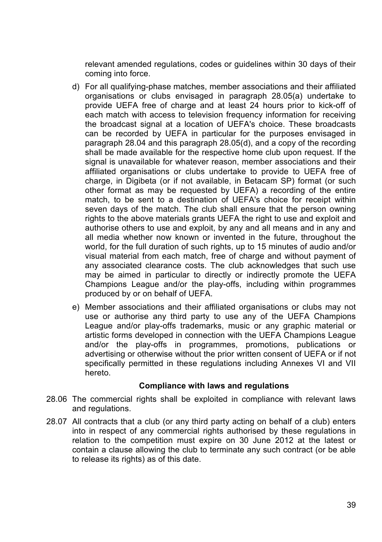relevant amended regulations, codes or guidelines within 30 days of their coming into force.

- d) For all qualifying-phase matches, member associations and their affiliated organisations or clubs envisaged in paragraph 28.05(a) undertake to provide UEFA free of charge and at least 24 hours prior to kick-off of each match with access to television frequency information for receiving the broadcast signal at a location of UEFA's choice. These broadcasts can be recorded by UEFA in particular for the purposes envisaged in paragraph 28.04 and this paragraph 28.05(d), and a copy of the recording shall be made available for the respective home club upon request. If the signal is unavailable for whatever reason, member associations and their affiliated organisations or clubs undertake to provide to UEFA free of charge, in Digibeta (or if not available, in Betacam SP) format (or such other format as may be requested by UEFA) a recording of the entire match, to be sent to a destination of UEFA's choice for receipt within seven days of the match. The club shall ensure that the person owning rights to the above materials grants UEFA the right to use and exploit and authorise others to use and exploit, by any and all means and in any and all media whether now known or invented in the future, throughout the world, for the full duration of such rights, up to 15 minutes of audio and/or visual material from each match, free of charge and without payment of any associated clearance costs. The club acknowledges that such use may be aimed in particular to directly or indirectly promote the UEFA Champions League and/or the play-offs, including within programmes produced by or on behalf of UEFA.
- e) Member associations and their affiliated organisations or clubs may not use or authorise any third party to use any of the UEFA Champions League and/or play-offs trademarks, music or any graphic material or artistic forms developed in connection with the UEFA Champions League and/or the play-offs in programmes, promotions, publications or advertising or otherwise without the prior written consent of UEFA or if not specifically permitted in these regulations including Annexes VI and VII hereto.

### **Compliance with laws and regulations**

- 28.06 The commercial rights shall be exploited in compliance with relevant laws and regulations.
- 28.07 All contracts that a club (or any third party acting on behalf of a club) enters into in respect of any commercial rights authorised by these regulations in relation to the competition must expire on 30 June 2012 at the latest or contain a clause allowing the club to terminate any such contract (or be able to release its rights) as of this date.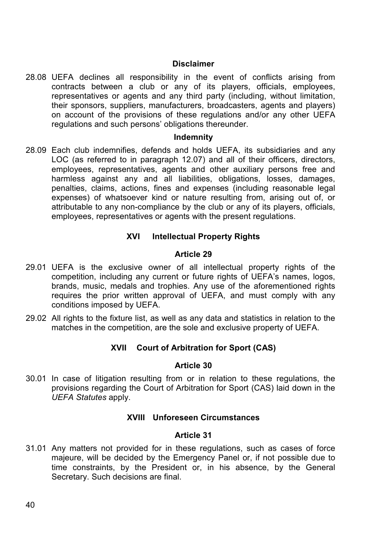#### **Disclaimer**

28.08 UEFA declines all responsibility in the event of conflicts arising from contracts between a club or any of its players, officials, employees, representatives or agents and any third party (including, without limitation, their sponsors, suppliers, manufacturers, broadcasters, agents and players) on account of the provisions of these regulations and/or any other UEFA regulations and such persons' obligations thereunder.

### **Indemnity**

28.09 Each club indemnifies, defends and holds UEFA, its subsidiaries and any LOC (as referred to in paragraph 12.07) and all of their officers, directors, employees, representatives, agents and other auxiliary persons free and harmless against any and all liabilities, obligations, losses, damages, penalties, claims, actions, fines and expenses (including reasonable legal expenses) of whatsoever kind or nature resulting from, arising out of, or attributable to any non-compliance by the club or any of its players, officials, employees, representatives or agents with the present regulations.

### **XVI Intellectual Property Rights**

### **Article 29**

- 29.01 UEFA is the exclusive owner of all intellectual property rights of the competition, including any current or future rights of UEFA's names, logos, brands, music, medals and trophies. Any use of the aforementioned rights requires the prior written approval of UEFA, and must comply with any conditions imposed by UEFA.
- 29.02 All rights to the fixture list, as well as any data and statistics in relation to the matches in the competition, are the sole and exclusive property of UEFA.

### **XVII Court of Arbitration for Sport (CAS)**

### **Article 30**

30.01 In case of litigation resulting from or in relation to these regulations, the provisions regarding the Court of Arbitration for Sport (CAS) laid down in the *UEFA Statutes* apply.

### **XVIII Unforeseen Circumstances**

### **Article 31**

31.01 Any matters not provided for in these regulations, such as cases of force majeure, will be decided by the Emergency Panel or, if not possible due to time constraints, by the President or, in his absence, by the General Secretary. Such decisions are final.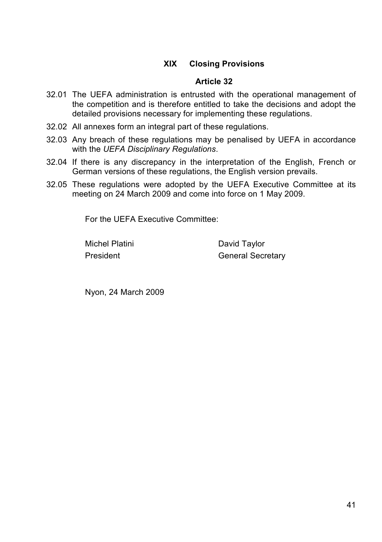# **XIX Closing Provisions**

### **Article 32**

- 32.01 The UEFA administration is entrusted with the operational management of the competition and is therefore entitled to take the decisions and adopt the detailed provisions necessary for implementing these regulations.
- 32.02 All annexes form an integral part of these regulations.
- 32.03 Any breach of these regulations may be penalised by UEFA in accordance with the *UEFA Disciplinary Regulations*.
- 32.04 If there is any discrepancy in the interpretation of the English, French or German versions of these regulations, the English version prevails.
- 32.05 These regulations were adopted by the UEFA Executive Committee at its meeting on 24 March 2009 and come into force on 1 May 2009.

For the UEFA Executive Committee:

Michel Platini David Taylor President General Secretary

Nyon, 24 March 2009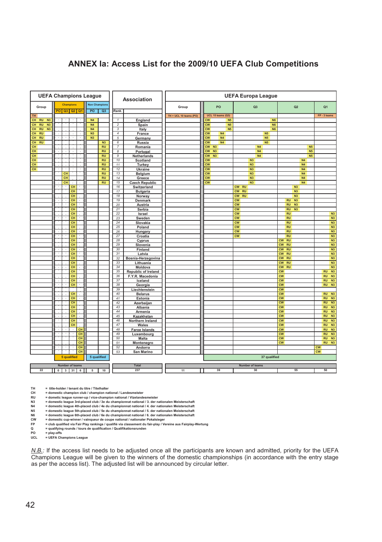## **ANNEX Ia: Access List for the 2009/10 UEFA Club Competitions**

| <b>UEFA Champions League</b>                      |                                           |                                  |                         | Association                | <b>UEFA Europa League</b> |                                          |                        |                             |                                                            |
|---------------------------------------------------|-------------------------------------------|----------------------------------|-------------------------|----------------------------|---------------------------|------------------------------------------|------------------------|-----------------------------|------------------------------------------------------------|
| Group                                             | Champions<br>$Q2$ $Q1$<br><b>PO</b><br>Q3 | <b>Non Champions</b><br>PO<br>Q3 | Rank.                   |                            | Group                     | PO                                       | Q <sub>3</sub>         | Q2                          | Q <sub>1</sub>                                             |
| <b>TH</b>                                         |                                           |                                  |                         |                            | TH + UCL 10 teams (PO)    | <b>UCL 15 teams (Q3)</b>                 |                        |                             | FP-3 teams                                                 |
| CH RU<br>N <sub>3</sub>                           |                                           | N <sub>4</sub>                   | $\mathbf{1}$            | England                    |                           | $\overline{\text{cw}}$<br>N <sub>5</sub> | N <sub>6</sub>         |                             |                                                            |
| <b>CH</b><br>RU<br>N <sub>3</sub>                 |                                           | N <sub>4</sub>                   | $\overline{\mathbf{c}}$ | Spain                      |                           | cw<br>N <sub>5</sub>                     | <b>N6</b>              |                             |                                                            |
| <b>CH</b><br>N <sub>3</sub><br><b>RU</b>          |                                           | <b>N4</b>                        | 3                       | Italy                      |                           | $\overline{\text{cw}}$<br>N <sub>5</sub> | N <sub>6</sub>         |                             |                                                            |
| CН<br><b>RU</b>                                   |                                           | N <sub>3</sub>                   | 4                       | France                     |                           | <b>CW</b><br>N <sub>4</sub>              | <b>N5</b>              |                             |                                                            |
| <b>RU</b><br>CH                                   |                                           | N <sub>3</sub>                   | 5                       | Germany                    |                           | <b>CW</b><br>N4                          | N <sub>5</sub>         |                             |                                                            |
| <b>CH</b><br><b>RU</b>                            |                                           | N3                               | 6                       | Russia                     |                           | <b>CW</b><br>N <sub>4</sub>              | <b>N5</b>              |                             |                                                            |
| CH                                                |                                           | <b>RU</b>                        | 7                       | Romania                    |                           | cw<br>N3                                 | N4                     | N <sub>5</sub>              |                                                            |
| <b>CH</b>                                         |                                           | <b>RU</b>                        | 8                       | Portugal                   |                           | cw<br>N3                                 | N4                     | N <sub>5</sub>              |                                                            |
| <b>CH</b>                                         |                                           | <b>RU</b>                        | 9                       | Netherlands                |                           | <b>CW</b><br>N3                          | N4                     | N <sub>5</sub>              |                                                            |
| <b>CH</b>                                         |                                           | <b>RU</b>                        | 10                      | Scotland                   |                           | <b>CW</b>                                | N <sub>3</sub>         | <b>N4</b>                   |                                                            |
| $\overline{\text{CH}}$                            |                                           | <b>RU</b>                        | 11                      | Turkey                     |                           | <b>CW</b>                                | N <sub>3</sub>         | <b>N4</b>                   |                                                            |
| <b>CH</b>                                         |                                           | <b>RU</b>                        | 12                      | Ukraine                    |                           | $\overline{\text{cw}}$                   | N <sub>3</sub>         | <b>N4</b>                   |                                                            |
|                                                   | CH                                        | RU                               | 13                      | Belgium                    |                           | <b>CW</b>                                | N <sub>3</sub>         | N4                          |                                                            |
|                                                   | CH                                        | <b>RU</b>                        | 14                      | Greece                     |                           | $\overline{\text{cw}}$                   | N3                     | <b>N4</b>                   |                                                            |
|                                                   | CH                                        | <b>RU</b>                        | 15                      | <b>Czech Republic</b>      |                           | $\overline{\text{cw}}$                   | N <sub>3</sub>         | <b>N4</b>                   |                                                            |
|                                                   | CH                                        |                                  | 16                      | Switzerland                |                           |                                          | CW RU                  | N <sub>3</sub>              |                                                            |
|                                                   | CH<br>÷                                   |                                  | 17                      | <b>Bulgaria</b>            |                           |                                          | cw<br><b>RU</b>        | N <sub>3</sub>              |                                                            |
|                                                   | CH                                        |                                  | 18                      | Norway                     |                           |                                          | cw<br><b>RU</b>        | N <sub>3</sub>              |                                                            |
|                                                   | CH                                        |                                  | 19                      | Denmark                    |                           |                                          | <b>CW</b>              | N <sub>3</sub><br><b>RU</b> |                                                            |
|                                                   | $\overline{CH}$                           |                                  | 20                      | Austria                    |                           |                                          | cw                     | <b>RU</b><br>N <sub>3</sub> |                                                            |
|                                                   | CH                                        |                                  | 21                      | Serbia                     |                           |                                          | <b>CW</b>              | <b>RU</b><br>N3             |                                                            |
|                                                   | CH                                        |                                  | 22                      | Israel                     |                           |                                          | cw                     | <b>RU</b>                   | N <sub>3</sub>                                             |
|                                                   | CH                                        |                                  | 23                      | Sweden                     |                           |                                          | <b>CW</b>              | <b>RU</b>                   | N <sub>3</sub>                                             |
|                                                   | CH                                        |                                  | 24                      | Slovakia                   |                           |                                          | <b>CW</b>              | <b>RU</b>                   | N <sub>3</sub>                                             |
|                                                   | CH                                        |                                  | 25                      | Poland                     |                           |                                          | <b>CW</b>              | RU                          | N <sub>3</sub>                                             |
|                                                   | CH                                        |                                  | 26                      | Hungary                    |                           |                                          | <b>CW</b>              | <b>RU</b>                   | N <sub>3</sub>                                             |
|                                                   | CH                                        |                                  | 27                      | Croatia                    |                           |                                          | cw                     | <b>RU</b>                   | N <sub>3</sub>                                             |
|                                                   | CH<br>×                                   |                                  | 28                      | Cyprus                     |                           |                                          |                        | <b>RU</b><br><b>CW</b>      | N <sub>3</sub>                                             |
|                                                   | CH                                        |                                  | 29                      | Slovenia                   |                           |                                          |                        | <b>CW</b><br><b>RU</b>      | N <sub>3</sub>                                             |
|                                                   | CH                                        |                                  | 30 <sup>2</sup>         | Finland                    |                           |                                          |                        | <b>RU</b><br><b>CW</b>      | N <sub>3</sub>                                             |
|                                                   | CH                                        |                                  | 31                      | Latvia                     |                           |                                          |                        | <b>CW</b><br><b>RU</b>      | N <sub>3</sub>                                             |
|                                                   | CH                                        |                                  | 32                      | Bosnia-Herzegovina         |                           |                                          |                        | <b>CW</b><br><b>RU</b>      | N <sub>3</sub>                                             |
|                                                   | CH<br>÷                                   |                                  | 33                      | Lithuania                  |                           |                                          |                        | <b>CW</b><br><b>RU</b>      | N <sub>3</sub>                                             |
|                                                   | CH<br>CH                                  |                                  | 34<br>35                | Moldova                    |                           |                                          |                        | cw<br><b>RU</b>             | N <sub>3</sub>                                             |
|                                                   | CH                                        |                                  | 36                      | <b>Republic of Ireland</b> |                           |                                          |                        | <b>CW</b><br>cw             | <b>RU</b><br>N <sub>3</sub><br><b>RU</b><br>N <sub>3</sub> |
|                                                   | CH                                        |                                  | 37                      | F.Y.R. Macedonia           |                           |                                          |                        | <b>CW</b>                   | <b>RU</b><br>N <sub>3</sub>                                |
|                                                   | CH                                        |                                  | 38                      | Iceland<br>Georgia         |                           |                                          |                        | <b>CW</b>                   | <b>RU</b><br>N <sub>3</sub>                                |
|                                                   | Π                                         |                                  | 39                      | Liechtenstein              |                           |                                          |                        | cw                          |                                                            |
|                                                   | CH                                        |                                  | 40                      | <b>Belarus</b>             |                           |                                          |                        | <b>CW</b>                   | <b>RU</b><br>N <sub>3</sub>                                |
|                                                   | CH                                        |                                  | 41                      | Estonia                    |                           |                                          |                        | cw                          | RU N3                                                      |
|                                                   | CH                                        |                                  | 42                      | Azerbaijan                 |                           |                                          |                        | <b>CW</b>                   | <b>RU</b><br>N <sub>3</sub>                                |
|                                                   | CH                                        |                                  | 43                      | Albania                    |                           |                                          |                        | <b>CW</b>                   | <b>RU</b><br>N <sub>3</sub>                                |
|                                                   | CH<br>$\cdot$                             |                                  | 44                      | Armenia                    |                           |                                          |                        | <b>CW</b>                   | <b>RU</b><br>N <sub>3</sub>                                |
|                                                   | CH<br>$\epsilon$                          |                                  | 45                      | Kazakhstan                 |                           |                                          |                        | <b>CW</b>                   | N <sub>3</sub><br><b>RU</b>                                |
|                                                   | CH                                        |                                  | 46                      | Northern Ireland           |                           |                                          |                        | <b>CW</b>                   | N <sub>3</sub><br><b>RU</b>                                |
|                                                   | CH                                        |                                  | 47                      | Wales                      |                           |                                          |                        | <b>CW</b>                   | N <sub>3</sub><br><b>RU</b>                                |
|                                                   | CH                                        |                                  | 48                      | <b>Faroe Islands</b>       |                           |                                          |                        | cw                          | N <sub>3</sub><br><b>RU</b>                                |
|                                                   | CH                                        |                                  | 49                      | Luxembourg                 |                           |                                          |                        | cw                          | <b>RU</b><br>N <sub>3</sub>                                |
|                                                   | CH                                        |                                  | 50                      | Malta                      |                           |                                          |                        | cw                          | RU N3                                                      |
|                                                   | CH                                        |                                  | 51                      | Montenegro                 |                           |                                          |                        | <b>CW</b>                   | <b>RU</b><br>N3                                            |
|                                                   | CH                                        |                                  | 52                      | Andorra                    |                           |                                          |                        |                             | cw                                                         |
|                                                   | CH                                        |                                  | 53                      | San Marino                 |                           |                                          |                        |                             | cw                                                         |
|                                                   | <b>5</b> qualified                        | 5 qualified                      |                         |                            |                           |                                          | 37 qualified           |                             |                                                            |
|                                                   |                                           |                                  |                         |                            |                           |                                          |                        |                             |                                                            |
| <b>Number of teams</b><br>Total                   |                                           |                                  |                         |                            |                           |                                          | <b>Number of teams</b> |                             |                                                            |
| 22<br>$\circ$<br>$3 \mid 31 \mid$<br>6<br>10<br>5 |                                           |                                  |                         | 237                        | 11                        | 39                                       | 30                     | 55                          | 50                                                         |
|                                                   |                                           |                                  |                         |                            |                           |                                          |                        |                             |                                                            |

TH = title-holder / tenant du titre / Titelhalter<br>CH = domestic champion club / champion national / Landesmeister<br>RU = domestic league runner-up / vice-champion national / Vizelandesmeister<br>N3 = domestic league 4th-placed

× = domestic league Sth-placed club /5e du championnat national /5. der nationalen Meisterschaft<br>N6 = domestic league Sth-placed club /6e du championnat national / 6. der nationalen Meisterschaft<br>CW = domestic cup-winner

Q = qualifyin<br>
PO = play-offs<br>
UCL = UEFA Ch **UCL = UEFA Champions League**

*N.B.:* If the access list needs to be adjusted once all the participants are known and admitted, priority for the UEFA Champions League will be given to the winners of the domestic championships (in accordance with the entry stage as per the access list). The adjusted list will be announced by circular letter.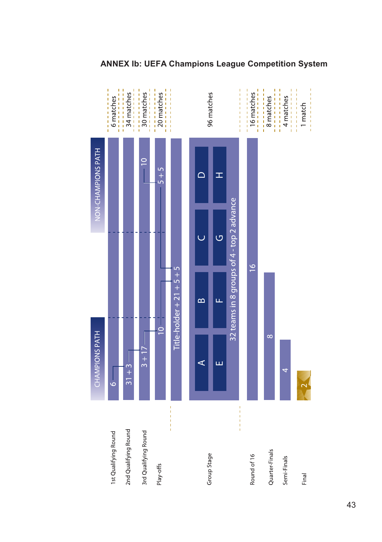

# **ANNEX Ib: UEFA Champions League Competition System**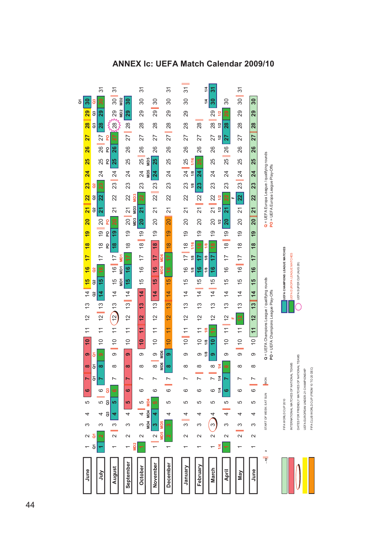

#### **ANNEX Ic: UEFA Match Calendar 2009/10**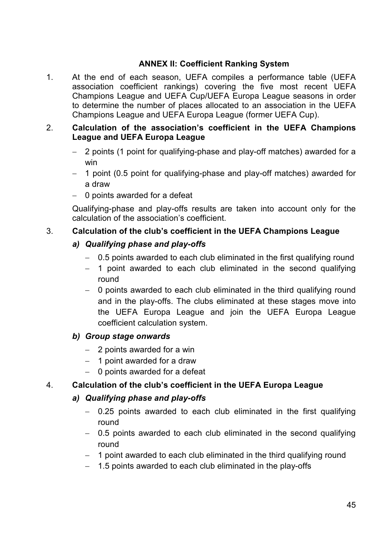# **ANNEX II: Coefficient Ranking System**

1. At the end of each season, UEFA compiles a performance table (UEFA association coefficient rankings) covering the five most recent UEFA Champions League and UEFA Cup/UEFA Europa League seasons in order to determine the number of places allocated to an association in the UEFA Champions League and UEFA Europa League (former UEFA Cup).

# 2. **Calculation of the association's coefficient in the UEFA Champions League and UEFA Europa League**

- 2 points (1 point for qualifying-phase and play-off matches) awarded for a win
- 1 point (0.5 point for qualifying-phase and play-off matches) awarded for a draw
- 0 points awarded for a defeat

Qualifying-phase and play-offs results are taken into account only for the calculation of the association's coefficient.

# 3. **Calculation of the club's coefficient in the UEFA Champions League**

# *a) Qualifying phase and play-offs*

- 0.5 points awarded to each club eliminated in the first qualifying round
- $-$  1 point awarded to each club eliminated in the second qualifying round
- 0 points awarded to each club eliminated in the third qualifying round and in the play-offs. The clubs eliminated at these stages move into the UEFA Europa League and join the UEFA Europa League coefficient calculation system.

# *b) Group stage onwards*

- $-$  2 points awarded for a win
- $-$  1 point awarded for a draw
- $-$  0 points awarded for a defeat

# 4. **Calculation of the club's coefficient in the UEFA Europa League**

# *a) Qualifying phase and play-offs*

- 0.25 points awarded to each club eliminated in the first qualifying round
- 0.5 points awarded to each club eliminated in the second qualifying round
- $-$  1 point awarded to each club eliminated in the third qualifying round
- $-$  1.5 points awarded to each club eliminated in the play-offs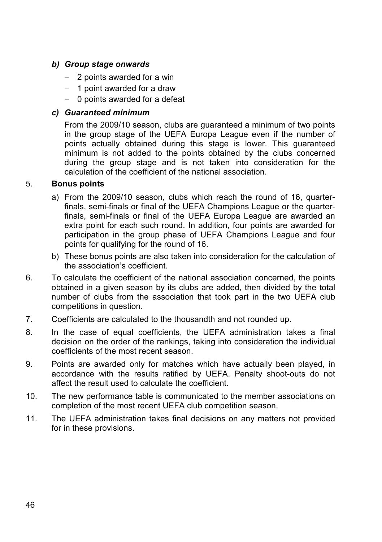# *b) Group stage onwards*

- $-$  2 points awarded for a win
- $-$  1 point awarded for a draw
- $-$  0 points awarded for a defeat

# *c) Guaranteed minimum*

From the 2009/10 season, clubs are guaranteed a minimum of two points in the group stage of the UEFA Europa League even if the number of points actually obtained during this stage is lower. This guaranteed minimum is not added to the points obtained by the clubs concerned during the group stage and is not taken into consideration for the calculation of the coefficient of the national association.

# 5. **Bonus points**

- a) From the 2009/10 season, clubs which reach the round of 16, quarterfinals, semi-finals or final of the UEFA Champions League or the quarterfinals, semi-finals or final of the UEFA Europa League are awarded an extra point for each such round. In addition, four points are awarded for participation in the group phase of UEFA Champions League and four points for qualifying for the round of 16.
- b) These bonus points are also taken into consideration for the calculation of the association's coefficient.
- 6. To calculate the coefficient of the national association concerned, the points obtained in a given season by its clubs are added, then divided by the total number of clubs from the association that took part in the two UEFA club competitions in question.
- 7. Coefficients are calculated to the thousandth and not rounded up.
- 8. In the case of equal coefficients, the UEFA administration takes a final decision on the order of the rankings, taking into consideration the individual coefficients of the most recent season.
- 9. Points are awarded only for matches which have actually been played, in accordance with the results ratified by UEFA. Penalty shoot-outs do not affect the result used to calculate the coefficient.
- 10. The new performance table is communicated to the member associations on completion of the most recent UEFA club competition season.
- 11. The UEFA administration takes final decisions on any matters not provided for in these provisions.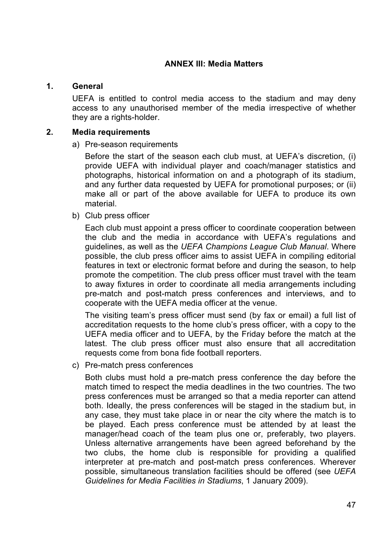### **ANNEX III: Media Matters**

### **1. General**

UEFA is entitled to control media access to the stadium and may deny access to any unauthorised member of the media irrespective of whether they are a rights-holder.

#### **2. Media requirements**

#### a) Pre-season requirements

Before the start of the season each club must, at UEFA's discretion, (i) provide UEFA with individual player and coach/manager statistics and photographs, historical information on and a photograph of its stadium, and any further data requested by UEFA for promotional purposes; or (ii) make all or part of the above available for UEFA to produce its own material.

b) Club press officer

Each club must appoint a press officer to coordinate cooperation between the club and the media in accordance with UEFA's regulations and guidelines, as well as the *UEFA Champions League Club Manual*. Where possible, the club press officer aims to assist UEFA in compiling editorial features in text or electronic format before and during the season, to help promote the competition. The club press officer must travel with the team to away fixtures in order to coordinate all media arrangements including pre-match and post-match press conferences and interviews, and to cooperate with the UEFA media officer at the venue.

The visiting team's press officer must send (by fax or email) a full list of accreditation requests to the home club's press officer, with a copy to the UEFA media officer and to UEFA, by the Friday before the match at the latest. The club press officer must also ensure that all accreditation requests come from bona fide football reporters.

c) Pre-match press conferences

Both clubs must hold a pre-match press conference the day before the match timed to respect the media deadlines in the two countries. The two press conferences must be arranged so that a media reporter can attend both. Ideally, the press conferences will be staged in the stadium but, in any case, they must take place in or near the city where the match is to be played. Each press conference must be attended by at least the manager/head coach of the team plus one or, preferably, two players. Unless alternative arrangements have been agreed beforehand by the two clubs, the home club is responsible for providing a qualified interpreter at pre-match and post-match press conferences. Wherever possible, simultaneous translation facilities should be offered (see *UEFA Guidelines for Media Facilities in Stadiums*, 1 January 2009).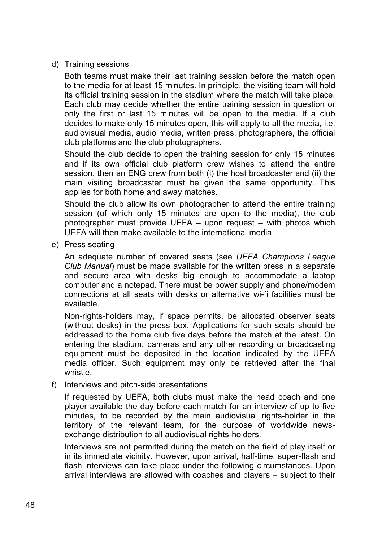d) Training sessions

Both teams must make their last training session before the match open to the media for at least 15 minutes. In principle, the visiting team will hold its official training session in the stadium where the match will take place. Each club may decide whether the entire training session in question or only the first or last 15 minutes will be open to the media. If a club decides to make only 15 minutes open, this will apply to all the media, i.e. audiovisual media, audio media, written press, photographers, the official club platforms and the club photographers.

Should the club decide to open the training session for only 15 minutes and if its own official club platform crew wishes to attend the entire session, then an ENG crew from both (i) the host broadcaster and (ii) the main visiting broadcaster must be given the same opportunity. This applies for both home and away matches.

Should the club allow its own photographer to attend the entire training session (of which only 15 minutes are open to the media), the club photographer must provide UEFA – upon request – with photos which UEFA will then make available to the international media.

e) Press seating

An adequate number of covered seats (see *UEFA Champions League Club Manual*) must be made available for the written press in a separate and secure area with desks big enough to accommodate a laptop computer and a notepad. There must be power supply and phone/modem connections at all seats with desks or alternative wi-fi facilities must be available.

Non-rights-holders may, if space permits, be allocated observer seats (without desks) in the press box. Applications for such seats should be addressed to the home club five days before the match at the latest. On entering the stadium, cameras and any other recording or broadcasting equipment must be deposited in the location indicated by the UEFA media officer. Such equipment may only be retrieved after the final whistle.

f) Interviews and pitch-side presentations

If requested by UEFA, both clubs must make the head coach and one player available the day before each match for an interview of up to five minutes, to be recorded by the main audiovisual rights-holder in the territory of the relevant team, for the purpose of worldwide newsexchange distribution to all audiovisual rights-holders.

Interviews are not permitted during the match on the field of play itself or in its immediate vicinity. However, upon arrival, half-time, super-flash and flash interviews can take place under the following circumstances. Upon arrival interviews are allowed with coaches and players – subject to their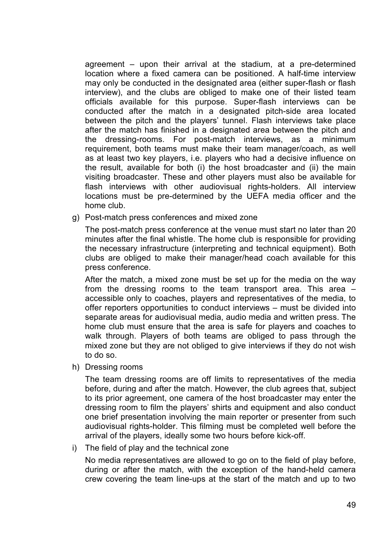agreement – upon their arrival at the stadium, at a pre-determined location where a fixed camera can be positioned. A half-time interview may only be conducted in the designated area (either super-flash or flash interview), and the clubs are obliged to make one of their listed team officials available for this purpose. Super-flash interviews can be conducted after the match in a designated pitch-side area located between the pitch and the players' tunnel. Flash interviews take place after the match has finished in a designated area between the pitch and the dressing-rooms. For post-match interviews, as a minimum requirement, both teams must make their team manager/coach, as well as at least two key players, i.e. players who had a decisive influence on the result, available for both (i) the host broadcaster and (ii) the main visiting broadcaster. These and other players must also be available for flash interviews with other audiovisual rights-holders. All interview locations must be pre-determined by the UEFA media officer and the home club.

g) Post-match press conferences and mixed zone

The post-match press conference at the venue must start no later than 20 minutes after the final whistle. The home club is responsible for providing the necessary infrastructure (interpreting and technical equipment). Both clubs are obliged to make their manager/head coach available for this press conference.

After the match, a mixed zone must be set up for the media on the way from the dressing rooms to the team transport area. This area – accessible only to coaches, players and representatives of the media, to offer reporters opportunities to conduct interviews – must be divided into separate areas for audiovisual media, audio media and written press. The home club must ensure that the area is safe for players and coaches to walk through. Players of both teams are obliged to pass through the mixed zone but they are not obliged to give interviews if they do not wish to do so.

h) Dressing rooms

The team dressing rooms are off limits to representatives of the media before, during and after the match. However, the club agrees that, subject to its prior agreement, one camera of the host broadcaster may enter the dressing room to film the players' shirts and equipment and also conduct one brief presentation involving the main reporter or presenter from such audiovisual rights-holder. This filming must be completed well before the arrival of the players, ideally some two hours before kick-off.

i) The field of play and the technical zone

No media representatives are allowed to go on to the field of play before, during or after the match, with the exception of the hand-held camera crew covering the team line-ups at the start of the match and up to two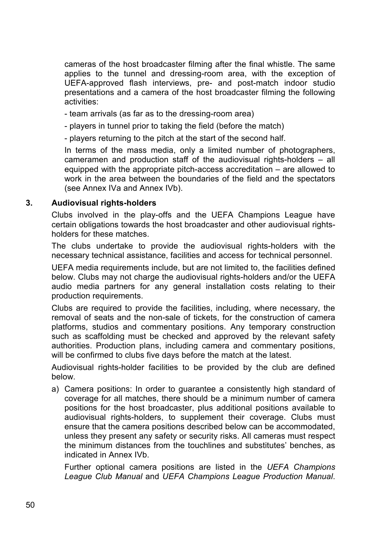cameras of the host broadcaster filming after the final whistle. The same applies to the tunnel and dressing-room area, with the exception of UEFA-approved flash interviews, pre- and post-match indoor studio presentations and a camera of the host broadcaster filming the following activities:

- team arrivals (as far as to the dressing-room area)
- players in tunnel prior to taking the field (before the match)

- players returning to the pitch at the start of the second half.

In terms of the mass media, only a limited number of photographers, cameramen and production staff of the audiovisual rights-holders – all equipped with the appropriate pitch-access accreditation – are allowed to work in the area between the boundaries of the field and the spectators (see Annex IVa and Annex IVb).

### **3. Audiovisual rights-holders**

Clubs involved in the play-offs and the UEFA Champions League have certain obligations towards the host broadcaster and other audiovisual rightsholders for these matches.

The clubs undertake to provide the audiovisual rights-holders with the necessary technical assistance, facilities and access for technical personnel.

UEFA media requirements include, but are not limited to, the facilities defined below. Clubs may not charge the audiovisual rights-holders and/or the UEFA audio media partners for any general installation costs relating to their production requirements.

Clubs are required to provide the facilities, including, where necessary, the removal of seats and the non-sale of tickets, for the construction of camera platforms, studios and commentary positions. Any temporary construction such as scaffolding must be checked and approved by the relevant safety authorities. Production plans, including camera and commentary positions, will be confirmed to clubs five days before the match at the latest.

Audiovisual rights-holder facilities to be provided by the club are defined below.

a) Camera positions: In order to guarantee a consistently high standard of coverage for all matches, there should be a minimum number of camera positions for the host broadcaster, plus additional positions available to audiovisual rights-holders, to supplement their coverage. Clubs must ensure that the camera positions described below can be accommodated, unless they present any safety or security risks. All cameras must respect the minimum distances from the touchlines and substitutes' benches, as indicated in Annex IVb.

Further optional camera positions are listed in the *UEFA Champions League Club Manual* and *UEFA Champions League Production Manual*.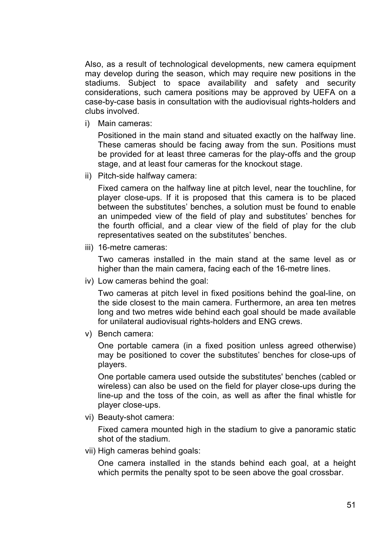Also, as a result of technological developments, new camera equipment may develop during the season, which may require new positions in the stadiums. Subject to space availability and safety and security considerations, such camera positions may be approved by UEFA on a case-by-case basis in consultation with the audiovisual rights-holders and clubs involved.

i) Main cameras:

Positioned in the main stand and situated exactly on the halfway line. These cameras should be facing away from the sun. Positions must be provided for at least three cameras for the play-offs and the group stage, and at least four cameras for the knockout stage.

ii) Pitch-side halfway camera:

Fixed camera on the halfway line at pitch level, near the touchline, for player close-ups. If it is proposed that this camera is to be placed between the substitutes' benches, a solution must be found to enable an unimpeded view of the field of play and substitutes' benches for the fourth official, and a clear view of the field of play for the club representatives seated on the substitutes' benches.

iii) 16-metre cameras:

Two cameras installed in the main stand at the same level as or higher than the main camera, facing each of the 16-metre lines.

iv) Low cameras behind the goal:

Two cameras at pitch level in fixed positions behind the goal-line, on the side closest to the main camera. Furthermore, an area ten metres long and two metres wide behind each goal should be made available for unilateral audiovisual rights-holders and ENG crews.

v) Bench camera:

One portable camera (in a fixed position unless agreed otherwise) may be positioned to cover the substitutes' benches for close-ups of players.

One portable camera used outside the substitutes' benches (cabled or wireless) can also be used on the field for player close-ups during the line-up and the toss of the coin, as well as after the final whistle for player close-ups.

vi) Beauty-shot camera:

Fixed camera mounted high in the stadium to give a panoramic static shot of the stadium.

vii) High cameras behind goals:

One camera installed in the stands behind each goal, at a height which permits the penalty spot to be seen above the goal crossbar.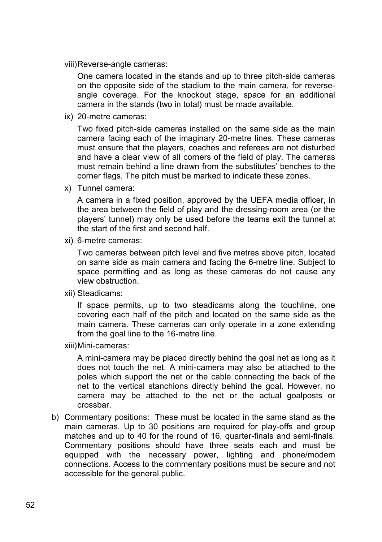viii) Reverse-angle cameras:

One camera located in the stands and up to three pitch-side cameras on the opposite side of the stadium to the main camera, for reverseangle coverage. For the knockout stage, space for an additional camera in the stands (two in total) must be made available.

ix) 20-metre cameras:

Two fixed pitch-side cameras installed on the same side as the main camera facing each of the imaginary 20-metre lines. These cameras must ensure that the players, coaches and referees are not disturbed and have a clear view of all corners of the field of play. The cameras must remain behind a line drawn from the substitutes' benches to the corner flags. The pitch must be marked to indicate these zones.

x) Tunnel camera:

A camera in a fixed position, approved by the UEFA media officer, in the area between the field of play and the dressing-room area (or the players' tunnel) may only be used before the teams exit the tunnel at the start of the first and second half.

xi) 6-metre cameras:

Two cameras between pitch level and five metres above pitch, located on same side as main camera and facing the 6-metre line. Subject to space permitting and as long as these cameras do not cause any view obstruction.

xii) Steadicams:

If space permits, up to two steadicams along the touchline, one covering each half of the pitch and located on the same side as the main camera. These cameras can only operate in a zone extending from the goal line to the 16-metre line.

xiii) Mini-cameras:

A mini-camera may be placed directly behind the goal net as long as it does not touch the net. A mini-camera may also be attached to the poles which support the net or the cable connecting the back of the net to the vertical stanchions directly behind the goal. However, no camera may be attached to the net or the actual goalposts or crossbar.

b) Commentary positions: These must be located in the same stand as the main cameras. Up to 30 positions are required for play-offs and group matches and up to 40 for the round of 16, quarter-finals and semi-finals. Commentary positions should have three seats each and must be equipped with the necessary power, lighting and phone/modem connections. Access to the commentary positions must be secure and not accessible for the general public.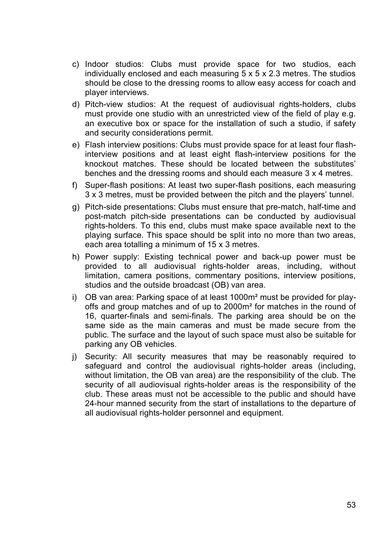- c) Indoor studios: Clubs must provide space for two studios, each individually enclosed and each measuring 5 x 5 x 2.3 metres. The studios should be close to the dressing rooms to allow easy access for coach and player interviews.
- d) Pitch-view studios: At the request of audiovisual rights-holders, clubs must provide one studio with an unrestricted view of the field of play e.g. an executive box or space for the installation of such a studio, if safety and security considerations permit.
- e) Flash interview positions: Clubs must provide space for at least four flashinterview positions and at least eight flash-interview positions for the knockout matches. These should be located between the substitutes' benches and the dressing rooms and should each measure 3 x 4 metres.
- f) Super-flash positions: At least two super-flash positions, each measuring 3 x 3 metres, must be provided between the pitch and the players' tunnel.
- g) Pitch-side presentations: Clubs must ensure that pre-match, half-time and post-match pitch-side presentations can be conducted by audiovisual rights-holders. To this end, clubs must make space available next to the playing surface. This space should be split into no more than two areas, each area totalling a minimum of 15 x 3 metres.
- h) Power supply: Existing technical power and back-up power must be provided to all audiovisual rights-holder areas, including, without limitation, camera positions, commentary positions, interview positions, studios and the outside broadcast (OB) van area.
- i) OB van area: Parking space of at least  $1000m<sup>2</sup>$  must be provided for playoffs and group matches and of up to 2000m² for matches in the round of 16, quarter-finals and semi-finals. The parking area should be on the same side as the main cameras and must be made secure from the public. The surface and the layout of such space must also be suitable for parking any OB vehicles.
- j) Security: All security measures that may be reasonably required to safeguard and control the audiovisual rights-holder areas (including, without limitation, the OB van area) are the responsibility of the club. The security of all audiovisual rights-holder areas is the responsibility of the club. These areas must not be accessible to the public and should have 24-hour manned security from the start of installations to the departure of all audiovisual rights-holder personnel and equipment.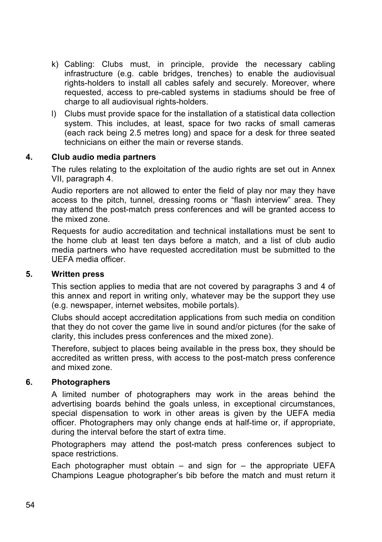- k) Cabling: Clubs must, in principle, provide the necessary cabling infrastructure (e.g. cable bridges, trenches) to enable the audiovisual rights-holders to install all cables safely and securely. Moreover, where requested, access to pre-cabled systems in stadiums should be free of charge to all audiovisual rights-holders.
- l) Clubs must provide space for the installation of a statistical data collection system. This includes, at least, space for two racks of small cameras (each rack being 2.5 metres long) and space for a desk for three seated technicians on either the main or reverse stands.

### **4. Club audio media partners**

The rules relating to the exploitation of the audio rights are set out in Annex VII, paragraph 4.

Audio reporters are not allowed to enter the field of play nor may they have access to the pitch, tunnel, dressing rooms or "flash interview" area. They may attend the post-match press conferences and will be granted access to the mixed zone.

Requests for audio accreditation and technical installations must be sent to the home club at least ten days before a match, and a list of club audio media partners who have requested accreditation must be submitted to the UEFA media officer.

### **5. Written press**

This section applies to media that are not covered by paragraphs 3 and 4 of this annex and report in writing only, whatever may be the support they use (e.g. newspaper, internet websites, mobile portals).

Clubs should accept accreditation applications from such media on condition that they do not cover the game live in sound and/or pictures (for the sake of clarity, this includes press conferences and the mixed zone).

Therefore, subject to places being available in the press box, they should be accredited as written press, with access to the post-match press conference and mixed zone.

### **6. Photographers**

A limited number of photographers may work in the areas behind the advertising boards behind the goals unless, in exceptional circumstances, special dispensation to work in other areas is given by the UEFA media officer. Photographers may only change ends at half-time or, if appropriate, during the interval before the start of extra time.

Photographers may attend the post-match press conferences subject to space restrictions.

Each photographer must obtain  $-$  and sign for  $-$  the appropriate UEFA Champions League photographer's bib before the match and must return it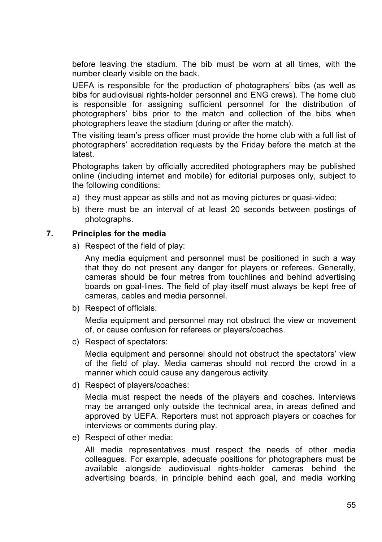before leaving the stadium. The bib must be worn at all times, with the number clearly visible on the back.

UEFA is responsible for the production of photographers' bibs (as well as bibs for audiovisual rights-holder personnel and ENG crews). The home club is responsible for assigning sufficient personnel for the distribution of photographers' bibs prior to the match and collection of the bibs when photographers leave the stadium (during or after the match).

The visiting team's press officer must provide the home club with a full list of photographers' accreditation requests by the Friday before the match at the latest.

Photographs taken by officially accredited photographers may be published online (including internet and mobile) for editorial purposes only, subject to the following conditions:

- a) they must appear as stills and not as moving pictures or quasi-video;
- b) there must be an interval of at least 20 seconds between postings of photographs.

### **7. Principles for the media**

a) Respect of the field of play:

Any media equipment and personnel must be positioned in such a way that they do not present any danger for players or referees. Generally, cameras should be four metres from touchlines and behind advertising boards on goal-lines. The field of play itself must always be kept free of cameras, cables and media personnel.

b) Respect of officials:

Media equipment and personnel may not obstruct the view or movement of, or cause confusion for referees or players/coaches.

c) Respect of spectators:

Media equipment and personnel should not obstruct the spectators' view of the field of play. Media cameras should not record the crowd in a manner which could cause any dangerous activity.

d) Respect of players/coaches:

Media must respect the needs of the players and coaches. Interviews may be arranged only outside the technical area, in areas defined and approved by UEFA. Reporters must not approach players or coaches for interviews or comments during play.

e) Respect of other media:

All media representatives must respect the needs of other media colleagues. For example, adequate positions for photographers must be available alongside audiovisual rights-holder cameras behind the advertising boards, in principle behind each goal, and media working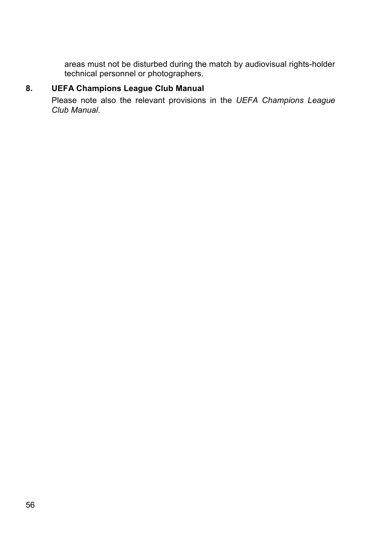areas must not be disturbed during the match by audiovisual rights-holder technical personnel or photographers.

# **8. UEFA Champions League Club Manual**

Please note also the relevant provisions in the *UEFA Champions League Club Manual*.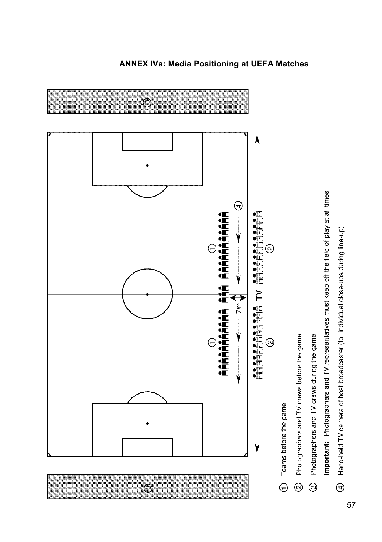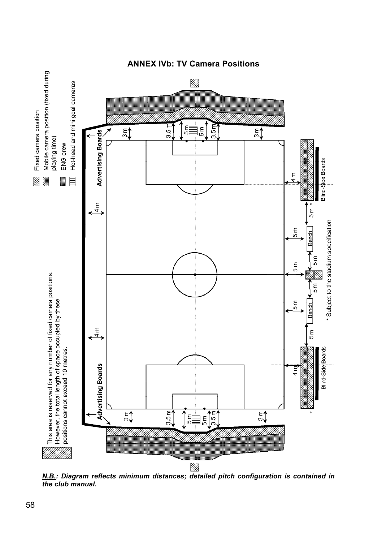

**ANNEX IVb: TV Camera Positions** 

*N.B.: Diagram reflects minimum distances; detailed pitch configuration is contained in the club manual.*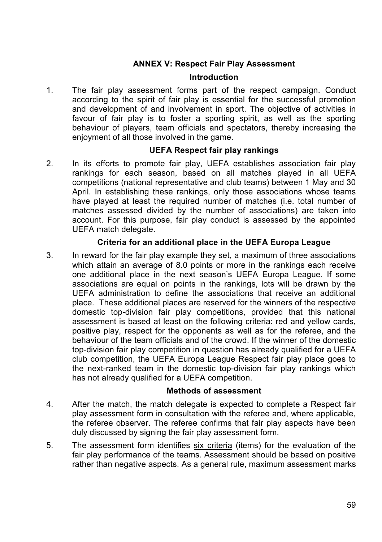# **ANNEX V: Respect Fair Play Assessment**

### **Introduction**

1. The fair play assessment forms part of the respect campaign. Conduct according to the spirit of fair play is essential for the successful promotion and development of and involvement in sport. The objective of activities in favour of fair play is to foster a sporting spirit, as well as the sporting behaviour of players, team officials and spectators, thereby increasing the enjoyment of all those involved in the game.

### **UEFA Respect fair play rankings**

2. In its efforts to promote fair play, UEFA establishes association fair play rankings for each season, based on all matches played in all UEFA competitions (national representative and club teams) between 1 May and 30 April. In establishing these rankings, only those associations whose teams have played at least the required number of matches (i.e. total number of matches assessed divided by the number of associations) are taken into account. For this purpose, fair play conduct is assessed by the appointed UEFA match delegate.

### **Criteria for an additional place in the UEFA Europa League**

3. In reward for the fair play example they set, a maximum of three associations which attain an average of 8.0 points or more in the rankings each receive one additional place in the next season's UEFA Europa League. If some associations are equal on points in the rankings, lots will be drawn by the UEFA administration to define the associations that receive an additional place. These additional places are reserved for the winners of the respective domestic top-division fair play competitions, provided that this national assessment is based at least on the following criteria: red and yellow cards, positive play, respect for the opponents as well as for the referee, and the behaviour of the team officials and of the crowd. If the winner of the domestic top-division fair play competition in question has already qualified for a UEFA club competition, the UEFA Europa League Respect fair play place goes to the next-ranked team in the domestic top-division fair play rankings which has not already qualified for a UEFA competition.

#### **Methods of assessment**

- 4. After the match, the match delegate is expected to complete a Respect fair play assessment form in consultation with the referee and, where applicable, the referee observer. The referee confirms that fair play aspects have been duly discussed by signing the fair play assessment form.
- 5. The assessment form identifies six criteria (items) for the evaluation of the fair play performance of the teams. Assessment should be based on positive rather than negative aspects. As a general rule, maximum assessment marks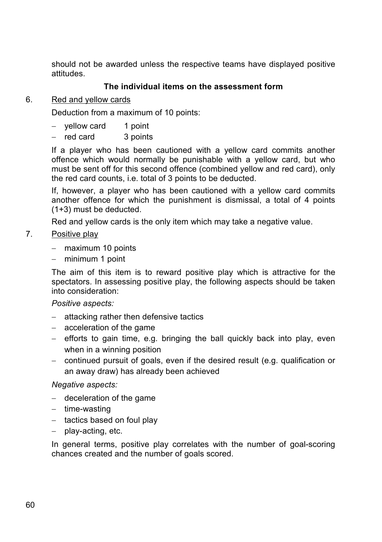should not be awarded unless the respective teams have displayed positive attitudes.

# **The individual items on the assessment form**

## 6. Red and yellow cards

Deduction from a maximum of 10 points:

- $-$  vellow card 1 point
- red card 3 points

If a player who has been cautioned with a yellow card commits another offence which would normally be punishable with a yellow card, but who must be sent off for this second offence (combined yellow and red card), only the red card counts, i.e. total of 3 points to be deducted.

If, however, a player who has been cautioned with a yellow card commits another offence for which the punishment is dismissal, a total of 4 points (1+3) must be deducted.

Red and yellow cards is the only item which may take a negative value.

# 7. Positive play

- $-$  maximum 10 points
- minimum 1 point

The aim of this item is to reward positive play which is attractive for the spectators. In assessing positive play, the following aspects should be taken into consideration:

### *Positive aspects:*

- $-$  attacking rather then defensive tactics
- $-$  acceleration of the game
- $-$  efforts to gain time, e.g. bringing the ball quickly back into play, even when in a winning position
- continued pursuit of goals, even if the desired result (e.g. qualification or an away draw) has already been achieved

### *Negative aspects:*

- $-$  deceleration of the game
- $-$  time-wasting
- $-$  tactics based on foul play
- $-$  play-acting, etc.

In general terms, positive play correlates with the number of goal-scoring chances created and the number of goals scored.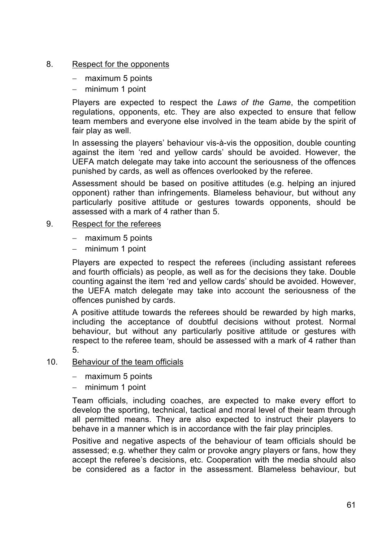### 8. Respect for the opponents

- $-$  maximum 5 points
- minimum 1 point

Players are expected to respect the *Laws of the Game*, the competition regulations, opponents, etc. They are also expected to ensure that fellow team members and everyone else involved in the team abide by the spirit of fair play as well.

In assessing the players' behaviour vis-à-vis the opposition, double counting against the item 'red and yellow cards' should be avoided. However, the UEFA match delegate may take into account the seriousness of the offences punished by cards, as well as offences overlooked by the referee.

Assessment should be based on positive attitudes (e.g. helping an injured opponent) rather than infringements. Blameless behaviour, but without any particularly positive attitude or gestures towards opponents, should be assessed with a mark of 4 rather than 5.

### 9. Respect for the referees

- $-$  maximum 5 points
- minimum 1 point

Players are expected to respect the referees (including assistant referees and fourth officials) as people, as well as for the decisions they take. Double counting against the item 'red and yellow cards' should be avoided. However, the UEFA match delegate may take into account the seriousness of the offences punished by cards.

A positive attitude towards the referees should be rewarded by high marks, including the acceptance of doubtful decisions without protest. Normal behaviour, but without any particularly positive attitude or gestures with respect to the referee team, should be assessed with a mark of 4 rather than 5.

### 10. Behaviour of the team officials

- $-$  maximum 5 points
- minimum 1 point

Team officials, including coaches, are expected to make every effort to develop the sporting, technical, tactical and moral level of their team through all permitted means. They are also expected to instruct their players to behave in a manner which is in accordance with the fair play principles.

Positive and negative aspects of the behaviour of team officials should be assessed; e.g. whether they calm or provoke angry players or fans, how they accept the referee's decisions, etc. Cooperation with the media should also be considered as a factor in the assessment. Blameless behaviour, but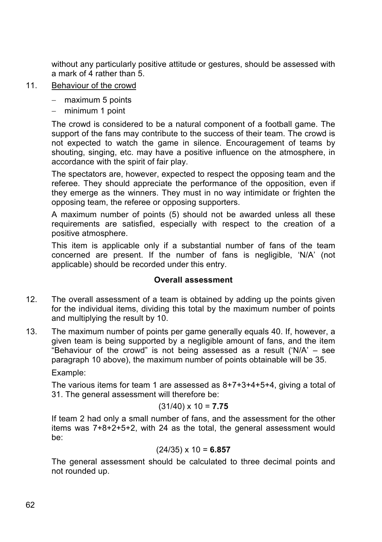without any particularly positive attitude or gestures, should be assessed with a mark of 4 rather than 5.

- 11. Behaviour of the crowd
	- $-$  maximum 5 points
	- $-$  minimum 1 point

The crowd is considered to be a natural component of a football game. The support of the fans may contribute to the success of their team. The crowd is not expected to watch the game in silence. Encouragement of teams by shouting, singing, etc. may have a positive influence on the atmosphere, in accordance with the spirit of fair play.

The spectators are, however, expected to respect the opposing team and the referee. They should appreciate the performance of the opposition, even if they emerge as the winners. They must in no way intimidate or frighten the opposing team, the referee or opposing supporters.

A maximum number of points (5) should not be awarded unless all these requirements are satisfied, especially with respect to the creation of a positive atmosphere.

This item is applicable only if a substantial number of fans of the team concerned are present. If the number of fans is negligible, 'N/A' (not applicable) should be recorded under this entry.

### **Overall assessment**

- 12. The overall assessment of a team is obtained by adding up the points given for the individual items, dividing this total by the maximum number of points and multiplying the result by 10.
- 13. The maximum number of points per game generally equals 40. If, however, a given team is being supported by a negligible amount of fans, and the item "Behaviour of the crowd" is not being assessed as a result ('N/A'  $-$  see paragraph 10 above), the maximum number of points obtainable will be 35.

Example:

The various items for team 1 are assessed as 8+7+3+4+5+4, giving a total of 31. The general assessment will therefore be:

### (31/40) x 10 = **7.75**

If team 2 had only a small number of fans, and the assessment for the other items was 7+8+2+5+2, with 24 as the total, the general assessment would be:

### (24/35) x 10 = **6.857**

The general assessment should be calculated to three decimal points and not rounded up.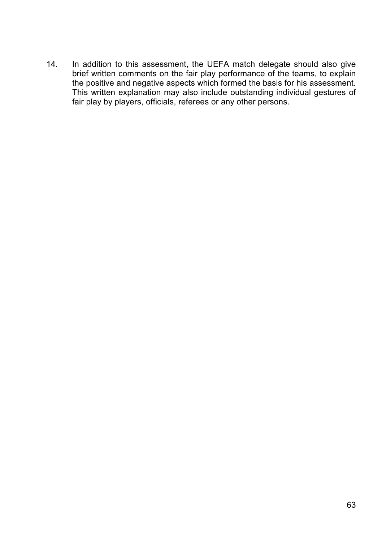14. In addition to this assessment, the UEFA match delegate should also give brief written comments on the fair play performance of the teams, to explain the positive and negative aspects which formed the basis for his assessment. This written explanation may also include outstanding individual gestures of fair play by players, officials, referees or any other persons.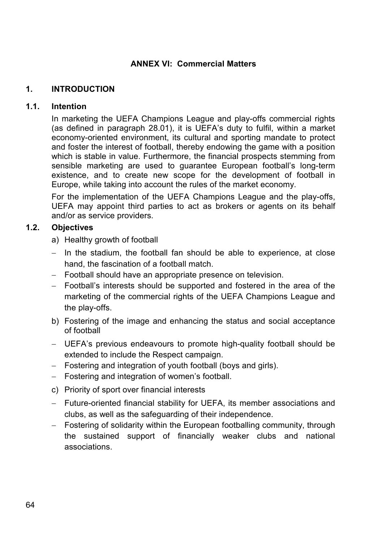# **ANNEX VI: Commercial Matters**

# **1. INTRODUCTION**

## **1.1. Intention**

In marketing the UEFA Champions League and play-offs commercial rights (as defined in paragraph 28.01), it is UEFA's duty to fulfil, within a market economy-oriented environment, its cultural and sporting mandate to protect and foster the interest of football, thereby endowing the game with a position which is stable in value. Furthermore, the financial prospects stemming from sensible marketing are used to guarantee European football's long-term existence, and to create new scope for the development of football in Europe, while taking into account the rules of the market economy.

For the implementation of the UEFA Champions League and the play-offs, UEFA may appoint third parties to act as brokers or agents on its behalf and/or as service providers.

# **1.2. Objectives**

a) Healthy growth of football

- $-$  In the stadium, the football fan should be able to experience, at close hand, the fascination of a football match.
- Football should have an appropriate presence on television.
- Football's interests should be supported and fostered in the area of the marketing of the commercial rights of the UEFA Champions League and the play-offs.
- b) Fostering of the image and enhancing the status and social acceptance of football
- UEFA's previous endeavours to promote high-quality football should be extended to include the Respect campaign.
- Fostering and integration of youth football (boys and girls).
- Fostering and integration of women's football.
- c) Priority of sport over financial interests
- Future-oriented financial stability for UEFA, its member associations and clubs, as well as the safeguarding of their independence.
- Fostering of solidarity within the European footballing community, through the sustained support of financially weaker clubs and national associations.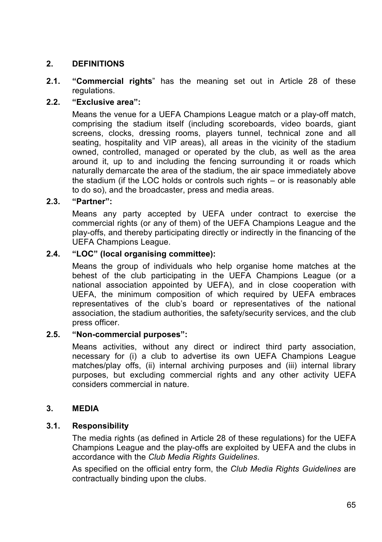# **2. DEFINITIONS**

**2.1. "Commercial rights**" has the meaning set out in Article 28 of these regulations.

# **2.2. "Exclusive area":**

Means the venue for a UEFA Champions League match or a play-off match, comprising the stadium itself (including scoreboards, video boards, giant screens, clocks, dressing rooms, players tunnel, technical zone and all seating, hospitality and VIP areas), all areas in the vicinity of the stadium owned, controlled, managed or operated by the club, as well as the area around it, up to and including the fencing surrounding it or roads which naturally demarcate the area of the stadium, the air space immediately above the stadium (if the LOC holds or controls such rights – or is reasonably able to do so), and the broadcaster, press and media areas.

### **2.3. "Partner":**

Means any party accepted by UEFA under contract to exercise the commercial rights (or any of them) of the UEFA Champions League and the play-offs, and thereby participating directly or indirectly in the financing of the UEFA Champions League.

### **2.4. "LOC" (local organising committee):**

Means the group of individuals who help organise home matches at the behest of the club participating in the UEFA Champions League (or a national association appointed by UEFA), and in close cooperation with UEFA, the minimum composition of which required by UEFA embraces representatives of the club's board or representatives of the national association, the stadium authorities, the safety/security services, and the club press officer.

### **2.5. "Non-commercial purposes":**

Means activities, without any direct or indirect third party association, necessary for (i) a club to advertise its own UEFA Champions League matches/play offs, (ii) internal archiving purposes and (iii) internal library purposes, but excluding commercial rights and any other activity UEFA considers commercial in nature.

### **3. MEDIA**

### **3.1. Responsibility**

The media rights (as defined in Article 28 of these regulations) for the UEFA Champions League and the play-offs are exploited by UEFA and the clubs in accordance with the *Club Media Rights Guidelines*.

As specified on the official entry form, the *Club Media Rights Guidelines* are contractually binding upon the clubs.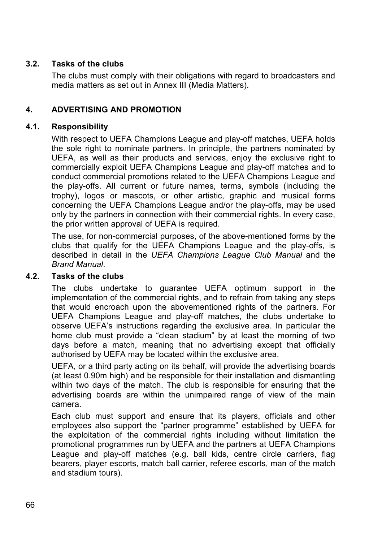# **3.2. Tasks of the clubs**

The clubs must comply with their obligations with regard to broadcasters and media matters as set out in Annex III (Media Matters).

# **4. ADVERTISING AND PROMOTION**

# **4.1. Responsibility**

With respect to UEFA Champions League and play-off matches, UEFA holds the sole right to nominate partners. In principle, the partners nominated by UEFA, as well as their products and services, enjoy the exclusive right to commercially exploit UEFA Champions League and play-off matches and to conduct commercial promotions related to the UEFA Champions League and the play-offs. All current or future names, terms, symbols (including the trophy), logos or mascots, or other artistic, graphic and musical forms concerning the UEFA Champions League and/or the play-offs, may be used only by the partners in connection with their commercial rights. In every case, the prior written approval of UEFA is required.

The use, for non-commercial purposes, of the above-mentioned forms by the clubs that qualify for the UEFA Champions League and the play-offs, is described in detail in the *UEFA Champions League Club Manual* and the *Brand Manual*.

# **4.2. Tasks of the clubs**

The clubs undertake to guarantee UEFA optimum support in the implementation of the commercial rights, and to refrain from taking any steps that would encroach upon the abovementioned rights of the partners. For UEFA Champions League and play-off matches, the clubs undertake to observe UEFA's instructions regarding the exclusive area. In particular the home club must provide a "clean stadium" by at least the morning of two days before a match, meaning that no advertising except that officially authorised by UEFA may be located within the exclusive area.

UEFA, or a third party acting on its behalf, will provide the advertising boards (at least 0.90m high) and be responsible for their installation and dismantling within two days of the match. The club is responsible for ensuring that the advertising boards are within the unimpaired range of view of the main camera.

Each club must support and ensure that its players, officials and other employees also support the "partner programme" established by UEFA for the exploitation of the commercial rights including without limitation the promotional programmes run by UEFA and the partners at UEFA Champions League and play-off matches (e.g. ball kids, centre circle carriers, flag bearers, player escorts, match ball carrier, referee escorts, man of the match and stadium tours).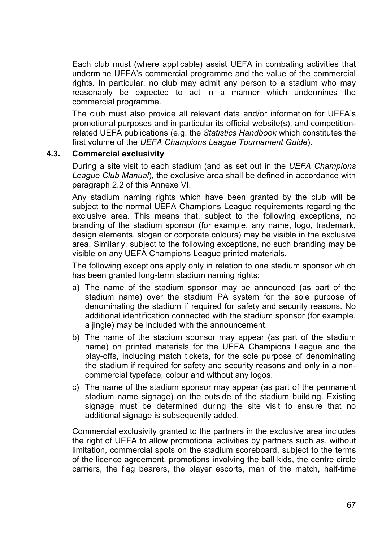Each club must (where applicable) assist UEFA in combating activities that undermine UEFA's commercial programme and the value of the commercial rights. In particular, no club may admit any person to a stadium who may reasonably be expected to act in a manner which undermines the commercial programme.

The club must also provide all relevant data and/or information for UEFA's promotional purposes and in particular its official website(s), and competitionrelated UEFA publications (e.g. the *Statistics Handbook* which constitutes the first volume of the *UEFA Champions League Tournament Guide*).

### **4.3. Commercial exclusivity**

During a site visit to each stadium (and as set out in the *UEFA Champions League Club Manual*), the exclusive area shall be defined in accordance with paragraph 2.2 of this Annexe VI.

Any stadium naming rights which have been granted by the club will be subject to the normal UEFA Champions League requirements regarding the exclusive area. This means that, subject to the following exceptions, no branding of the stadium sponsor (for example, any name, logo, trademark, design elements, slogan or corporate colours) may be visible in the exclusive area. Similarly, subject to the following exceptions, no such branding may be visible on any UEFA Champions League printed materials.

The following exceptions apply only in relation to one stadium sponsor which has been granted long-term stadium naming rights:

- a) The name of the stadium sponsor may be announced (as part of the stadium name) over the stadium PA system for the sole purpose of denominating the stadium if required for safety and security reasons. No additional identification connected with the stadium sponsor (for example, a jingle) may be included with the announcement.
- b) The name of the stadium sponsor may appear (as part of the stadium name) on printed materials for the UEFA Champions League and the play-offs, including match tickets, for the sole purpose of denominating the stadium if required for safety and security reasons and only in a noncommercial typeface, colour and without any logos.
- c) The name of the stadium sponsor may appear (as part of the permanent stadium name signage) on the outside of the stadium building. Existing signage must be determined during the site visit to ensure that no additional signage is subsequently added.

Commercial exclusivity granted to the partners in the exclusive area includes the right of UEFA to allow promotional activities by partners such as, without limitation, commercial spots on the stadium scoreboard, subject to the terms of the licence agreement, promotions involving the ball kids, the centre circle carriers, the flag bearers, the player escorts, man of the match, half-time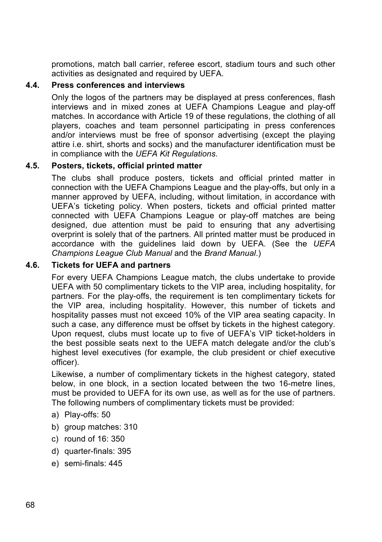promotions, match ball carrier, referee escort, stadium tours and such other activities as designated and required by UEFA.

### **4.4. Press conferences and interviews**

Only the logos of the partners may be displayed at press conferences, flash interviews and in mixed zones at UEFA Champions League and play-off matches. In accordance with Article 19 of these regulations, the clothing of all players, coaches and team personnel participating in press conferences and/or interviews must be free of sponsor advertising (except the playing attire i.e. shirt, shorts and socks) and the manufacturer identification must be in compliance with the *UEFA Kit Regulations*.

### **4.5. Posters, tickets, official printed matter**

The clubs shall produce posters, tickets and official printed matter in connection with the UEFA Champions League and the play-offs, but only in a manner approved by UEFA, including, without limitation, in accordance with UEFA's ticketing policy. When posters, tickets and official printed matter connected with UEFA Champions League or play-off matches are being designed, due attention must be paid to ensuring that any advertising overprint is solely that of the partners. All printed matter must be produced in accordance with the guidelines laid down by UEFA. (See the *UEFA Champions League Club Manual* and the *Brand Manual*.)

### **4.6. Tickets for UEFA and partners**

For every UEFA Champions League match, the clubs undertake to provide UEFA with 50 complimentary tickets to the VIP area, including hospitality, for partners. For the play-offs, the requirement is ten complimentary tickets for the VIP area, including hospitality. However, this number of tickets and hospitality passes must not exceed 10% of the VIP area seating capacity. In such a case, any difference must be offset by tickets in the highest category. Upon request, clubs must locate up to five of UEFA's VIP ticket-holders in the best possible seats next to the UEFA match delegate and/or the club's highest level executives (for example, the club president or chief executive officer).

Likewise, a number of complimentary tickets in the highest category, stated below, in one block, in a section located between the two 16-metre lines, must be provided to UEFA for its own use, as well as for the use of partners. The following numbers of complimentary tickets must be provided:

- a) Play-offs: 50
- b) group matches: 310
- c) round of 16: 350
- d) quarter-finals: 395
- e) semi-finals: 445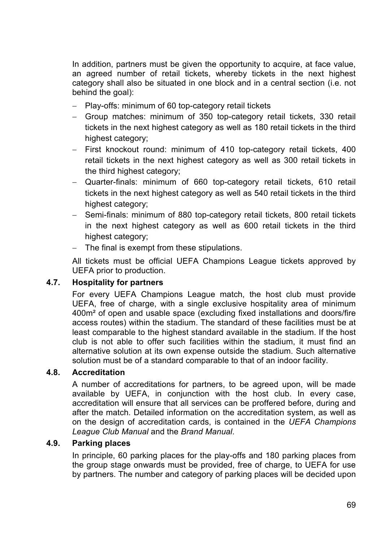In addition, partners must be given the opportunity to acquire, at face value, an agreed number of retail tickets, whereby tickets in the next highest category shall also be situated in one block and in a central section (i.e. not behind the goal):

- Play-offs: minimum of 60 top-category retail tickets
- Group matches: minimum of 350 top-category retail tickets, 330 retail tickets in the next highest category as well as 180 retail tickets in the third highest category;
- First knockout round: minimum of 410 top-category retail tickets, 400 retail tickets in the next highest category as well as 300 retail tickets in the third highest category;
- Quarter-finals: minimum of 660 top-category retail tickets, 610 retail tickets in the next highest category as well as 540 retail tickets in the third highest category;
- Semi-finals: minimum of 880 top-category retail tickets, 800 retail tickets in the next highest category as well as 600 retail tickets in the third highest category;
- The final is exempt from these stipulations.

All tickets must be official UEFA Champions League tickets approved by UEFA prior to production.

#### **4.7. Hospitality for partners**

For every UEFA Champions League match, the host club must provide UEFA, free of charge, with a single exclusive hospitality area of minimum 400m² of open and usable space (excluding fixed installations and doors/fire access routes) within the stadium. The standard of these facilities must be at least comparable to the highest standard available in the stadium. If the host club is not able to offer such facilities within the stadium, it must find an alternative solution at its own expense outside the stadium. Such alternative solution must be of a standard comparable to that of an indoor facility.

#### **4.8. Accreditation**

A number of accreditations for partners, to be agreed upon, will be made available by UEFA, in conjunction with the host club. In every case, accreditation will ensure that all services can be proffered before, during and after the match. Detailed information on the accreditation system, as well as on the design of accreditation cards, is contained in the *UEFA Champions League Club Manual* and the *Brand Manual*.

#### **4.9. Parking places**

In principle, 60 parking places for the play-offs and 180 parking places from the group stage onwards must be provided, free of charge, to UEFA for use by partners. The number and category of parking places will be decided upon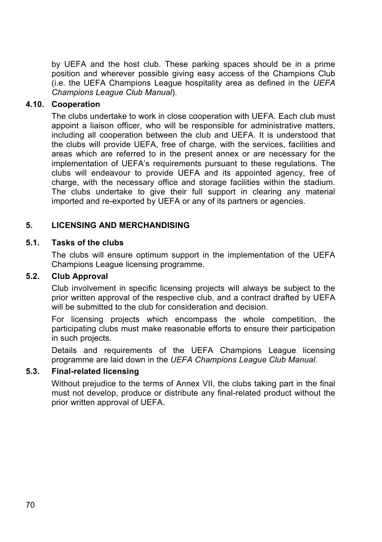by UEFA and the host club. These parking spaces should be in a prime position and wherever possible giving easy access of the Champions Club (i.e. the UEFA Champions League hospitality area as defined in the *UEFA Champions League Club Manual*).

### **4.10. Cooperation**

The clubs undertake to work in close cooperation with UEFA. Each club must appoint a liaison officer, who will be responsible for administrative matters, including all cooperation between the club and UEFA. It is understood that the clubs will provide UEFA, free of charge, with the services, facilities and areas which are referred to in the present annex or are necessary for the implementation of UEFA's requirements pursuant to these regulations. The clubs will endeavour to provide UEFA and its appointed agency, free of charge, with the necessary office and storage facilities within the stadium. The clubs undertake to give their full support in clearing any material imported and re-exported by UEFA or any of its partners or agencies.

### **5. LICENSING AND MERCHANDISING**

#### **5.1. Tasks of the clubs**

The clubs will ensure optimum support in the implementation of the UEFA Champions League licensing programme.

#### **5.2. Club Approval**

Club involvement in specific licensing projects will always be subject to the prior written approval of the respective club, and a contract drafted by UEFA will be submitted to the club for consideration and decision.

For licensing projects which encompass the whole competition, the participating clubs must make reasonable efforts to ensure their participation in such projects.

Details and requirements of the UEFA Champions League licensing programme are laid down in the *UEFA Champions League Club Manual*.

#### **5.3. Final-related licensing**

Without prejudice to the terms of Annex VII, the clubs taking part in the final must not develop, produce or distribute any final-related product without the prior written approval of UEFA.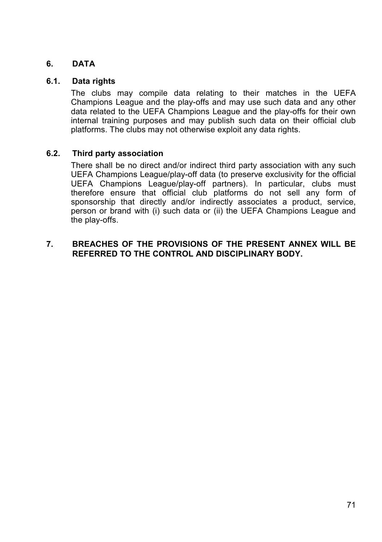### **6. DATA**

#### **6.1. Data rights**

The clubs may compile data relating to their matches in the UEFA Champions League and the play-offs and may use such data and any other data related to the UEFA Champions League and the play-offs for their own internal training purposes and may publish such data on their official club platforms. The clubs may not otherwise exploit any data rights.

#### **6.2. Third party association**

There shall be no direct and/or indirect third party association with any such UEFA Champions League/play-off data (to preserve exclusivity for the official UEFA Champions League/play-off partners). In particular, clubs must therefore ensure that official club platforms do not sell any form of sponsorship that directly and/or indirectly associates a product, service, person or brand with (i) such data or (ii) the UEFA Champions League and the play-offs.

### **7. BREACHES OF THE PROVISIONS OF THE PRESENT ANNEX WILL BE REFERRED TO THE CONTROL AND DISCIPLINARY BODY.**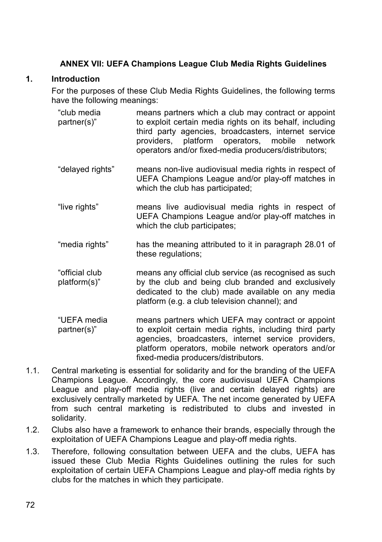### **ANNEX VII: UEFA Champions League Club Media Rights Guidelines**

### **1. Introduction**

For the purposes of these Club Media Rights Guidelines, the following terms have the following meanings:

- "club media partner(s)" means partners which a club may contract or appoint to exploit certain media rights on its behalf, including third party agencies, broadcasters, internet service providers, platform operators, mobile network operators and/or fixed-media producers/distributors;
- "delayed rights" means non-live audiovisual media rights in respect of UEFA Champions League and/or play-off matches in which the club has participated;
- "live rights" means live audiovisual media rights in respect of UEFA Champions League and/or play-off matches in which the club participates;
- "media rights" has the meaning attributed to it in paragraph 28.01 of these regulations;
- "official club platform(s)" means any official club service (as recognised as such by the club and being club branded and exclusively dedicated to the club) made available on any media platform (e.g. a club television channel); and
- "UEFA media partner(s)" means partners which UEFA may contract or appoint to exploit certain media rights, including third party agencies, broadcasters, internet service providers, platform operators, mobile network operators and/or fixed-media producers/distributors.
- 1.1. Central marketing is essential for solidarity and for the branding of the UEFA Champions League. Accordingly, the core audiovisual UEFA Champions League and play-off media rights (live and certain delayed rights) are exclusively centrally marketed by UEFA. The net income generated by UEFA from such central marketing is redistributed to clubs and invested in solidarity.
- 1.2. Clubs also have a framework to enhance their brands, especially through the exploitation of UEFA Champions League and play-off media rights.
- 1.3. Therefore, following consultation between UEFA and the clubs, UEFA has issued these Club Media Rights Guidelines outlining the rules for such exploitation of certain UEFA Champions League and play-off media rights by clubs for the matches in which they participate.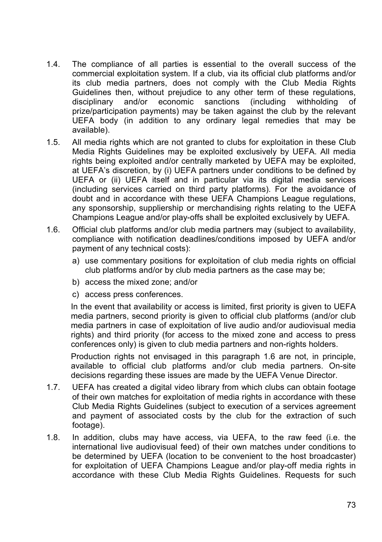- 1.4. The compliance of all parties is essential to the overall success of the commercial exploitation system. If a club, via its official club platforms and/or its club media partners, does not comply with the Club Media Rights Guidelines then, without prejudice to any other term of these regulations, disciplinary and/or economic sanctions (including withholding of prize/participation payments) may be taken against the club by the relevant UEFA body (in addition to any ordinary legal remedies that may be available).
- 1.5. All media rights which are not granted to clubs for exploitation in these Club Media Rights Guidelines may be exploited exclusively by UEFA. All media rights being exploited and/or centrally marketed by UEFA may be exploited, at UEFA's discretion, by (i) UEFA partners under conditions to be defined by UEFA or (ii) UEFA itself and in particular via its digital media services (including services carried on third party platforms). For the avoidance of doubt and in accordance with these UEFA Champions League regulations, any sponsorship, suppliership or merchandising rights relating to the UEFA Champions League and/or play-offs shall be exploited exclusively by UEFA.
- 1.6. Official club platforms and/or club media partners may (subject to availability, compliance with notification deadlines/conditions imposed by UEFA and/or payment of any technical costs):
	- a) use commentary positions for exploitation of club media rights on official club platforms and/or by club media partners as the case may be;
	- b) access the mixed zone; and/or
	- c) access press conferences.

In the event that availability or access is limited, first priority is given to UEFA media partners, second priority is given to official club platforms (and/or club media partners in case of exploitation of live audio and/or audiovisual media rights) and third priority (for access to the mixed zone and access to press conferences only) is given to club media partners and non-rights holders.

Production rights not envisaged in this paragraph 1.6 are not, in principle, available to official club platforms and/or club media partners. On-site decisions regarding these issues are made by the UEFA Venue Director.

- 1.7. UEFA has created a digital video library from which clubs can obtain footage of their own matches for exploitation of media rights in accordance with these Club Media Rights Guidelines (subject to execution of a services agreement and payment of associated costs by the club for the extraction of such footage).
- 1.8. In addition, clubs may have access, via UEFA, to the raw feed (i.e. the international live audiovisual feed) of their own matches under conditions to be determined by UEFA (location to be convenient to the host broadcaster) for exploitation of UEFA Champions League and/or play-off media rights in accordance with these Club Media Rights Guidelines. Requests for such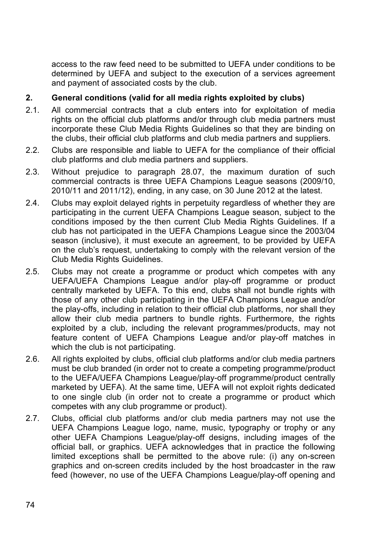access to the raw feed need to be submitted to UEFA under conditions to be determined by UEFA and subject to the execution of a services agreement and payment of associated costs by the club.

### **2. General conditions (valid for all media rights exploited by clubs)**

- 2.1. All commercial contracts that a club enters into for exploitation of media rights on the official club platforms and/or through club media partners must incorporate these Club Media Rights Guidelines so that they are binding on the clubs, their official club platforms and club media partners and suppliers.
- 2.2. Clubs are responsible and liable to UEFA for the compliance of their official club platforms and club media partners and suppliers.
- 2.3. Without prejudice to paragraph 28.07, the maximum duration of such commercial contracts is three UEFA Champions League seasons (2009/10, 2010/11 and 2011/12), ending, in any case, on 30 June 2012 at the latest.
- 2.4. Clubs may exploit delayed rights in perpetuity regardless of whether they are participating in the current UEFA Champions League season, subject to the conditions imposed by the then current Club Media Rights Guidelines. If a club has not participated in the UEFA Champions League since the 2003/04 season (inclusive), it must execute an agreement, to be provided by UEFA on the club's request, undertaking to comply with the relevant version of the Club Media Rights Guidelines.
- 2.5. Clubs may not create a programme or product which competes with any UEFA/UEFA Champions League and/or play-off programme or product centrally marketed by UEFA. To this end, clubs shall not bundle rights with those of any other club participating in the UEFA Champions League and/or the play-offs, including in relation to their official club platforms, nor shall they allow their club media partners to bundle rights. Furthermore, the rights exploited by a club, including the relevant programmes/products, may not feature content of UEFA Champions League and/or play-off matches in which the club is not participating.
- 2.6. All rights exploited by clubs, official club platforms and/or club media partners must be club branded (in order not to create a competing programme/product to the UEFA/UEFA Champions League/play-off programme/product centrally marketed by UEFA). At the same time, UEFA will not exploit rights dedicated to one single club (in order not to create a programme or product which competes with any club programme or product).
- 2.7. Clubs, official club platforms and/or club media partners may not use the UEFA Champions League logo, name, music, typography or trophy or any other UEFA Champions League/play-off designs, including images of the official ball, or graphics. UEFA acknowledges that in practice the following limited exceptions shall be permitted to the above rule: (i) any on-screen graphics and on-screen credits included by the host broadcaster in the raw feed (however, no use of the UEFA Champions League/play-off opening and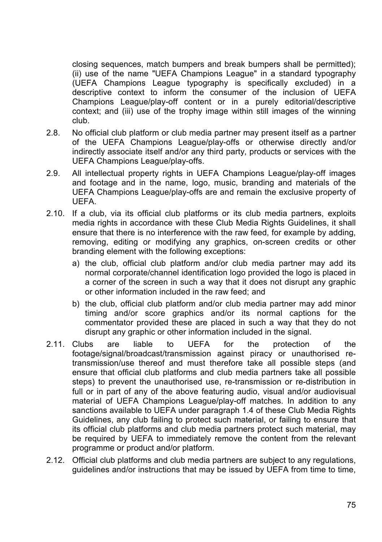closing sequences, match bumpers and break bumpers shall be permitted); (ii) use of the name "UEFA Champions League" in a standard typography (UEFA Champions League typography is specifically excluded) in a descriptive context to inform the consumer of the inclusion of UEFA Champions League/play-off content or in a purely editorial/descriptive context; and (iii) use of the trophy image within still images of the winning club.

- 2.8. No official club platform or club media partner may present itself as a partner of the UEFA Champions League/play-offs or otherwise directly and/or indirectly associate itself and/or any third party, products or services with the UEFA Champions League/play-offs.
- 2.9. All intellectual property rights in UEFA Champions League/play-off images and footage and in the name, logo, music, branding and materials of the UEFA Champions League/play-offs are and remain the exclusive property of UEFA.
- 2.10. If a club, via its official club platforms or its club media partners, exploits media rights in accordance with these Club Media Rights Guidelines, it shall ensure that there is no interference with the raw feed, for example by adding, removing, editing or modifying any graphics, on-screen credits or other branding element with the following exceptions:
	- a) the club, official club platform and/or club media partner may add its normal corporate/channel identification logo provided the logo is placed in a corner of the screen in such a way that it does not disrupt any graphic or other information included in the raw feed; and
	- b) the club, official club platform and/or club media partner may add minor timing and/or score graphics and/or its normal captions for the commentator provided these are placed in such a way that they do not disrupt any graphic or other information included in the signal.
- 2.11. Clubs are liable to UEFA for the protection of the footage/signal/broadcast/transmission against piracy or unauthorised retransmission/use thereof and must therefore take all possible steps (and ensure that official club platforms and club media partners take all possible steps) to prevent the unauthorised use, re-transmission or re-distribution in full or in part of any of the above featuring audio, visual and/or audiovisual material of UEFA Champions League/play-off matches. In addition to any sanctions available to UEFA under paragraph 1.4 of these Club Media Rights Guidelines, any club failing to protect such material, or failing to ensure that its official club platforms and club media partners protect such material, may be required by UEFA to immediately remove the content from the relevant programme or product and/or platform.
- 2.12. Official club platforms and club media partners are subject to any regulations, guidelines and/or instructions that may be issued by UEFA from time to time,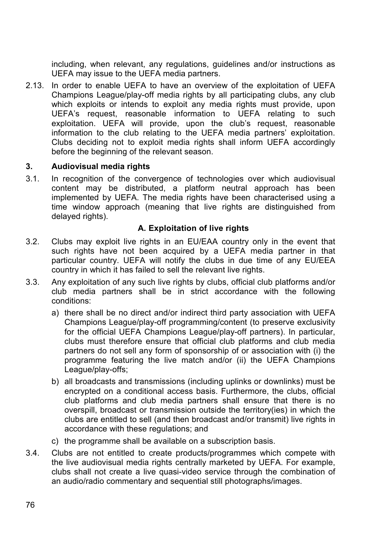including, when relevant, any regulations, guidelines and/or instructions as UEFA may issue to the UEFA media partners.

2.13. In order to enable UEFA to have an overview of the exploitation of UEFA Champions League/play-off media rights by all participating clubs, any club which exploits or intends to exploit any media rights must provide, upon UEFA's request, reasonable information to UEFA relating to such exploitation. UEFA will provide, upon the club's request, reasonable information to the club relating to the UEFA media partners' exploitation. Clubs deciding not to exploit media rights shall inform UEFA accordingly before the beginning of the relevant season.

### **3. Audiovisual media rights**

3.1. In recognition of the convergence of technologies over which audiovisual content may be distributed, a platform neutral approach has been implemented by UEFA. The media rights have been characterised using a time window approach (meaning that live rights are distinguished from delayed rights).

### **A. Exploitation of live rights**

- 3.2. Clubs may exploit live rights in an EU/EAA country only in the event that such rights have not been acquired by a UEFA media partner in that particular country. UEFA will notify the clubs in due time of any EU/EEA country in which it has failed to sell the relevant live rights.
- 3.3. Any exploitation of any such live rights by clubs, official club platforms and/or club media partners shall be in strict accordance with the following conditions:
	- a) there shall be no direct and/or indirect third party association with UEFA Champions League/play-off programming/content (to preserve exclusivity for the official UEFA Champions League/play-off partners). In particular, clubs must therefore ensure that official club platforms and club media partners do not sell any form of sponsorship of or association with (i) the programme featuring the live match and/or (ii) the UEFA Champions League/play-offs;
	- b) all broadcasts and transmissions (including uplinks or downlinks) must be encrypted on a conditional access basis. Furthermore, the clubs, official club platforms and club media partners shall ensure that there is no overspill, broadcast or transmission outside the territory(ies) in which the clubs are entitled to sell (and then broadcast and/or transmit) live rights in accordance with these regulations; and
	- c) the programme shall be available on a subscription basis.
- 3.4. Clubs are not entitled to create products/programmes which compete with the live audiovisual media rights centrally marketed by UEFA. For example, clubs shall not create a live quasi-video service through the combination of an audio/radio commentary and sequential still photographs/images.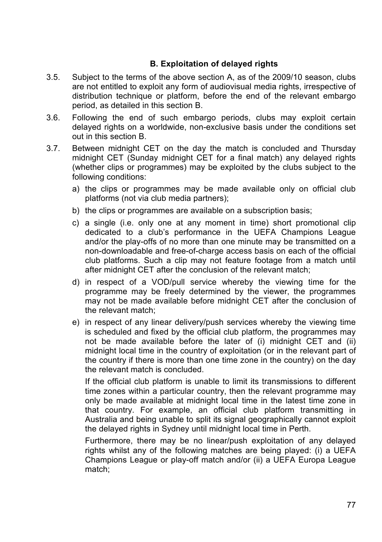### **B. Exploitation of delayed rights**

- 3.5. Subject to the terms of the above section A, as of the 2009/10 season, clubs are not entitled to exploit any form of audiovisual media rights, irrespective of distribution technique or platform, before the end of the relevant embargo period, as detailed in this section B.
- 3.6. Following the end of such embargo periods, clubs may exploit certain delayed rights on a worldwide, non-exclusive basis under the conditions set out in this section B.
- 3.7. Between midnight CET on the day the match is concluded and Thursday midnight CET (Sunday midnight CET for a final match) any delayed rights (whether clips or programmes) may be exploited by the clubs subject to the following conditions:
	- a) the clips or programmes may be made available only on official club platforms (not via club media partners);
	- b) the clips or programmes are available on a subscription basis;
	- c) a single (i.e. only one at any moment in time) short promotional clip dedicated to a club's performance in the UEFA Champions League and/or the play-offs of no more than one minute may be transmitted on a non-downloadable and free-of-charge access basis on each of the official club platforms. Such a clip may not feature footage from a match until after midnight CET after the conclusion of the relevant match;
	- d) in respect of a VOD/pull service whereby the viewing time for the programme may be freely determined by the viewer, the programmes may not be made available before midnight CET after the conclusion of the relevant match;
	- e) in respect of any linear delivery/push services whereby the viewing time is scheduled and fixed by the official club platform, the programmes may not be made available before the later of (i) midnight CET and (ii) midnight local time in the country of exploitation (or in the relevant part of the country if there is more than one time zone in the country) on the day the relevant match is concluded.

If the official club platform is unable to limit its transmissions to different time zones within a particular country, then the relevant programme may only be made available at midnight local time in the latest time zone in that country. For example, an official club platform transmitting in Australia and being unable to split its signal geographically cannot exploit the delayed rights in Sydney until midnight local time in Perth.

Furthermore, there may be no linear/push exploitation of any delayed rights whilst any of the following matches are being played: (i) a UEFA Champions League or play-off match and/or (ii) a UEFA Europa League match;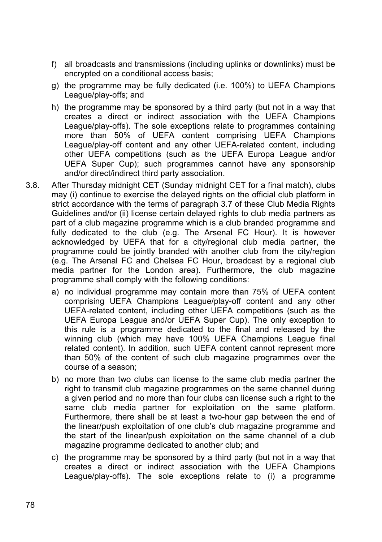- f) all broadcasts and transmissions (including uplinks or downlinks) must be encrypted on a conditional access basis;
- g) the programme may be fully dedicated (i.e. 100%) to UEFA Champions League/play-offs; and
- h) the programme may be sponsored by a third party (but not in a way that creates a direct or indirect association with the UEFA Champions League/play-offs). The sole exceptions relate to programmes containing more than 50% of UEFA content comprising UEFA Champions League/play-off content and any other UEFA-related content, including other UEFA competitions (such as the UEFA Europa League and/or UEFA Super Cup); such programmes cannot have any sponsorship and/or direct/indirect third party association.
- 3.8. After Thursday midnight CET (Sunday midnight CET for a final match), clubs may (i) continue to exercise the delayed rights on the official club platform in strict accordance with the terms of paragraph 3.7 of these Club Media Rights Guidelines and/or (ii) license certain delayed rights to club media partners as part of a club magazine programme which is a club branded programme and fully dedicated to the club (e.g. The Arsenal FC Hour). It is however acknowledged by UEFA that for a city/regional club media partner, the programme could be jointly branded with another club from the city/region (e.g. The Arsenal FC and Chelsea FC Hour, broadcast by a regional club media partner for the London area). Furthermore, the club magazine programme shall comply with the following conditions:
	- a) no individual programme may contain more than 75% of UEFA content comprising UEFA Champions League/play-off content and any other UEFA-related content, including other UEFA competitions (such as the UEFA Europa League and/or UEFA Super Cup). The only exception to this rule is a programme dedicated to the final and released by the winning club (which may have 100% UEFA Champions League final related content). In addition, such UEFA content cannot represent more than 50% of the content of such club magazine programmes over the course of a season;
	- b) no more than two clubs can license to the same club media partner the right to transmit club magazine programmes on the same channel during a given period and no more than four clubs can license such a right to the same club media partner for exploitation on the same platform. Furthermore, there shall be at least a two-hour gap between the end of the linear/push exploitation of one club's club magazine programme and the start of the linear/push exploitation on the same channel of a club magazine programme dedicated to another club; and
	- c) the programme may be sponsored by a third party (but not in a way that creates a direct or indirect association with the UEFA Champions League/play-offs). The sole exceptions relate to (i) a programme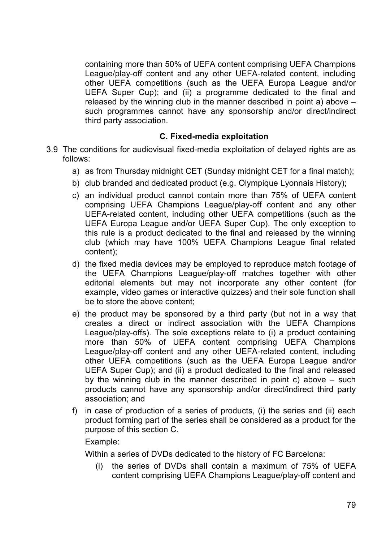containing more than 50% of UEFA content comprising UEFA Champions League/play-off content and any other UEFA-related content, including other UEFA competitions (such as the UEFA Europa League and/or UEFA Super Cup); and (ii) a programme dedicated to the final and released by the winning club in the manner described in point a) above – such programmes cannot have any sponsorship and/or direct/indirect third party association.

#### **C. Fixed-media exploitation**

- 3.9 The conditions for audiovisual fixed-media exploitation of delayed rights are as follows:
	- a) as from Thursday midnight CET (Sunday midnight CET for a final match);
	- b) club branded and dedicated product (e.g. Olympique Lyonnais History);
	- c) an individual product cannot contain more than 75% of UEFA content comprising UEFA Champions League/play-off content and any other UEFA-related content, including other UEFA competitions (such as the UEFA Europa League and/or UEFA Super Cup). The only exception to this rule is a product dedicated to the final and released by the winning club (which may have 100% UEFA Champions League final related content);
	- d) the fixed media devices may be employed to reproduce match footage of the UEFA Champions League/play-off matches together with other editorial elements but may not incorporate any other content (for example, video games or interactive quizzes) and their sole function shall be to store the above content;
	- e) the product may be sponsored by a third party (but not in a way that creates a direct or indirect association with the UEFA Champions League/play-offs). The sole exceptions relate to (i) a product containing more than 50% of UEFA content comprising UEFA Champions League/play-off content and any other UEFA-related content, including other UEFA competitions (such as the UEFA Europa League and/or UEFA Super Cup); and (ii) a product dedicated to the final and released by the winning club in the manner described in point c) above – such products cannot have any sponsorship and/or direct/indirect third party association; and
	- f) in case of production of a series of products, (i) the series and (ii) each product forming part of the series shall be considered as a product for the purpose of this section C.

Example:

Within a series of DVDs dedicated to the history of FC Barcelona:

(i) the series of DVDs shall contain a maximum of 75% of UEFA content comprising UEFA Champions League/play-off content and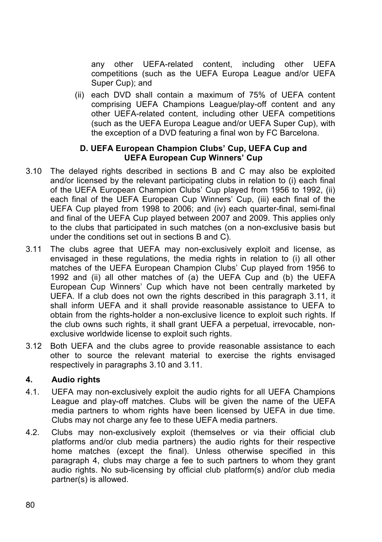any other UEFA-related content, including other UEFA competitions (such as the UEFA Europa League and/or UEFA Super Cup); and

(ii) each DVD shall contain a maximum of 75% of UEFA content comprising UEFA Champions League/play-off content and any other UEFA-related content, including other UEFA competitions (such as the UEFA Europa League and/or UEFA Super Cup), with the exception of a DVD featuring a final won by FC Barcelona.

#### **D. UEFA European Champion Clubs' Cup, UEFA Cup and UEFA European Cup Winners' Cup**

- 3.10 The delayed rights described in sections B and C may also be exploited and/or licensed by the relevant participating clubs in relation to (i) each final of the UEFA European Champion Clubs' Cup played from 1956 to 1992, (ii) each final of the UEFA European Cup Winners' Cup, (iii) each final of the UEFA Cup played from 1998 to 2006; and (iv) each quarter-final, semi-final and final of the UEFA Cup played between 2007 and 2009. This applies only to the clubs that participated in such matches (on a non-exclusive basis but under the conditions set out in sections B and C).
- 3.11 The clubs agree that UEFA may non-exclusively exploit and license, as envisaged in these regulations, the media rights in relation to (i) all other matches of the UEFA European Champion Clubs' Cup played from 1956 to 1992 and (ii) all other matches of (a) the UEFA Cup and (b) the UEFA European Cup Winners' Cup which have not been centrally marketed by UEFA. If a club does not own the rights described in this paragraph 3.11, it shall inform UEFA and it shall provide reasonable assistance to UEFA to obtain from the rights-holder a non-exclusive licence to exploit such rights. If the club owns such rights, it shall grant UEFA a perpetual, irrevocable, nonexclusive worldwide license to exploit such rights.
- 3.12 Both UEFA and the clubs agree to provide reasonable assistance to each other to source the relevant material to exercise the rights envisaged respectively in paragraphs 3.10 and 3.11.

### **4. Audio rights**

- 4.1. UEFA may non-exclusively exploit the audio rights for all UEFA Champions League and play-off matches. Clubs will be given the name of the UEFA media partners to whom rights have been licensed by UEFA in due time. Clubs may not charge any fee to these UEFA media partners.
- 4.2. Clubs may non-exclusively exploit (themselves or via their official club platforms and/or club media partners) the audio rights for their respective home matches (except the final). Unless otherwise specified in this paragraph 4, clubs may charge a fee to such partners to whom they grant audio rights. No sub-licensing by official club platform(s) and/or club media partner(s) is allowed.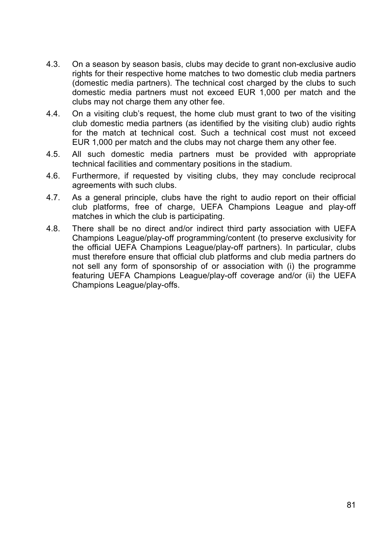- 4.3. On a season by season basis, clubs may decide to grant non-exclusive audio rights for their respective home matches to two domestic club media partners (domestic media partners). The technical cost charged by the clubs to such domestic media partners must not exceed EUR 1,000 per match and the clubs may not charge them any other fee.
- 4.4. On a visiting club's request, the home club must grant to two of the visiting club domestic media partners (as identified by the visiting club) audio rights for the match at technical cost. Such a technical cost must not exceed EUR 1,000 per match and the clubs may not charge them any other fee.
- 4.5. All such domestic media partners must be provided with appropriate technical facilities and commentary positions in the stadium.
- 4.6. Furthermore, if requested by visiting clubs, they may conclude reciprocal agreements with such clubs.
- 4.7. As a general principle, clubs have the right to audio report on their official club platforms, free of charge, UEFA Champions League and play-off matches in which the club is participating.
- 4.8. There shall be no direct and/or indirect third party association with UEFA Champions League/play-off programming/content (to preserve exclusivity for the official UEFA Champions League/play-off partners). In particular, clubs must therefore ensure that official club platforms and club media partners do not sell any form of sponsorship of or association with (i) the programme featuring UEFA Champions League/play-off coverage and/or (ii) the UEFA Champions League/play-offs.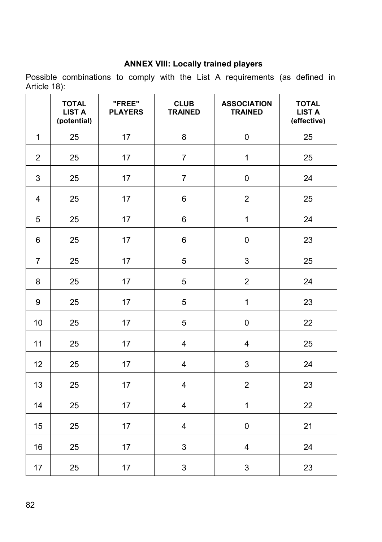## **ANNEX VIII: Locally trained players**

Possible combinations to comply with the List A requirements (as defined in Article 18):

|                | <b>TOTAL</b><br><b>LIST A</b><br>(potential) | "FREE"<br><b>PLAYERS</b> | <b>CLUB</b><br><b>TRAINED</b> | <b>ASSOCIATION</b><br><b>TRAINED</b> | <b>TOTAL</b><br><b>LIST A</b><br>(effective) |
|----------------|----------------------------------------------|--------------------------|-------------------------------|--------------------------------------|----------------------------------------------|
| $\mathbf{1}$   | 25                                           | 17                       | 8                             | $\pmb{0}$                            | 25                                           |
| $\overline{2}$ | 25                                           | 17                       | $\overline{7}$                | $\mathbf{1}$                         | 25                                           |
| 3              | 25                                           | 17                       | $\overline{7}$                | 0                                    | 24                                           |
| 4              | 25                                           | 17                       | 6                             | $\overline{2}$                       | 25                                           |
| 5              | 25                                           | 17                       | 6                             | $\mathbf{1}$                         | 24                                           |
| 6              | 25                                           | 17                       | 6                             | 0                                    | 23                                           |
| $\overline{7}$ | 25                                           | 17                       | 5                             | 3                                    | 25                                           |
| 8              | 25                                           | 17                       | 5                             | $\overline{2}$                       | 24                                           |
| 9              | 25                                           | 17                       | 5                             | $\mathbf{1}$                         | 23                                           |
| 10             | 25                                           | 17                       | 5                             | 0                                    | 22                                           |
| 11             | 25                                           | 17                       | 4                             | 4                                    | 25                                           |
| 12             | 25                                           | 17                       | 4                             | 3                                    | 24                                           |
| 13             | 25                                           | 17                       | 4                             | $\overline{2}$                       | 23                                           |
| 14             | 25                                           | 17                       | 4                             | $\mathbf{1}$                         | 22                                           |
| 15             | 25                                           | 17                       | 4                             | 0                                    | 21                                           |
| 16             | 25                                           | 17                       | 3                             | 4                                    | 24                                           |
| 17             | 25                                           | 17                       | 3                             | 3                                    | 23                                           |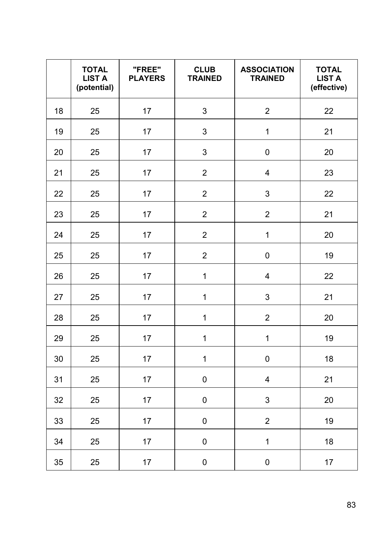|    | <b>TOTAL</b><br><b>LIST A</b><br>(potential) | "FREE"<br><b>PLAYERS</b> | <b>CLUB</b><br><b>TRAINED</b> | <b>ASSOCIATION</b><br><b>TRAINED</b> | <b>TOTAL</b><br><b>LIST A</b><br>(effective) |
|----|----------------------------------------------|--------------------------|-------------------------------|--------------------------------------|----------------------------------------------|
| 18 | 25                                           | 17                       | 3                             | $\overline{2}$                       | 22                                           |
| 19 | 25                                           | 17                       | 3                             | $\mathbf{1}$                         | 21                                           |
| 20 | 25                                           | 17                       | 3                             | $\pmb{0}$                            | 20                                           |
| 21 | 25                                           | 17                       | $\overline{2}$                | $\overline{\mathbf{4}}$              | 23                                           |
| 22 | 25                                           | 17                       | $\overline{c}$                | 3                                    | 22                                           |
| 23 | 25                                           | 17                       | $\overline{c}$                | $\overline{c}$                       | 21                                           |
| 24 | 25                                           | 17                       | $\overline{2}$                | $\mathbf 1$                          | 20                                           |
| 25 | 25                                           | 17                       | $\overline{\mathbf{c}}$       | 0                                    | 19                                           |
| 26 | 25                                           | 17                       | $\mathbf{1}$                  | $\overline{\mathbf{4}}$              | 22                                           |
| 27 | 25                                           | 17                       | $\mathbf{1}$                  | 3                                    | 21                                           |
| 28 | 25                                           | 17                       | $\mathbf{1}$                  | $\overline{c}$                       | 20                                           |
| 29 | 25                                           | 17                       | $\mathbf{1}$                  | $\mathbf{1}$                         | 19                                           |
| 30 | 25                                           | 17                       | $\mathbf{1}$                  | 0                                    | 18                                           |
| 31 | 25                                           | 17                       | $\pmb{0}$                     | $\overline{\mathbf{4}}$              | 21                                           |
| 32 | 25                                           | 17                       | $\pmb{0}$                     | 3                                    | 20                                           |
| 33 | 25                                           | 17                       | 0                             | $\overline{\mathbf{c}}$              | 19                                           |
| 34 | 25                                           | 17                       | 0                             | $\mathbf{1}$                         | 18                                           |
| 35 | 25                                           | 17                       | 0                             | 0                                    | 17                                           |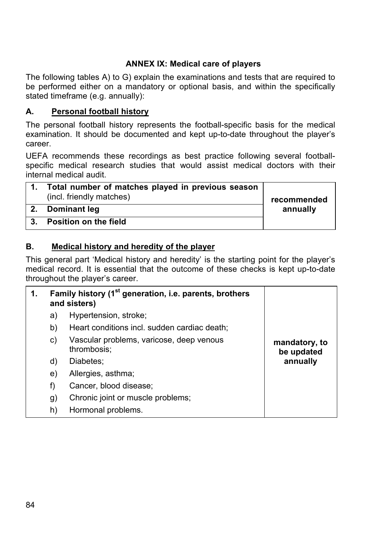### **ANNEX IX: Medical care of players**

The following tables A) to G) explain the examinations and tests that are required to be performed either on a mandatory or optional basis, and within the specifically stated timeframe (e.g. annually):

### **A. Personal football history**

The personal football history represents the football-specific basis for the medical examination. It should be documented and kept up-to-date throughout the player's career.

UEFA recommends these recordings as best practice following several footballspecific medical research studies that would assist medical doctors with their internal medical audit.

|            | Total number of matches played in previous season<br>(incl. friendly matches) | recommended |
|------------|-------------------------------------------------------------------------------|-------------|
| $\cdot$ 2. | Dominant leg                                                                  | annually    |
| 3.         | Position on the field                                                         |             |

### **B. Medical history and heredity of the player**

This general part 'Medical history and heredity' is the starting point for the player's medical record. It is essential that the outcome of these checks is kept up-to-date throughout the player's career.

| 1. |    | Family history (1 <sup>st</sup> generation, i.e. parents, brothers<br>and sisters) |                             |
|----|----|------------------------------------------------------------------------------------|-----------------------------|
|    | a) | Hypertension, stroke;                                                              |                             |
|    | b) | Heart conditions incl. sudden cardiac death;                                       |                             |
|    | C) | Vascular problems, varicose, deep venous<br>thrombosis;                            | mandatory, to<br>be updated |
|    | d) | Diabetes:                                                                          | annually                    |
|    | e) | Allergies, asthma;                                                                 |                             |
|    | f) | Cancer, blood disease;                                                             |                             |
|    | g) | Chronic joint or muscle problems;                                                  |                             |
|    | h) | Hormonal problems.                                                                 |                             |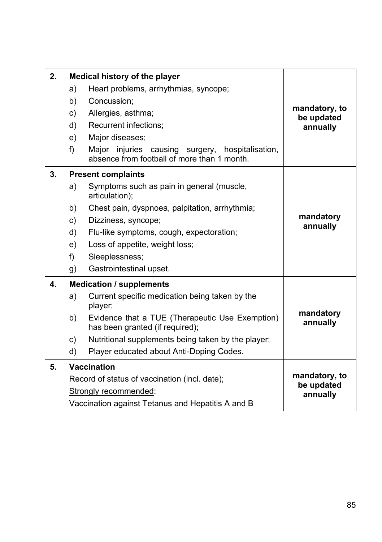| 2. |    | Medical history of the player                                                                   |                                         |  |
|----|----|-------------------------------------------------------------------------------------------------|-----------------------------------------|--|
|    | a) | Heart problems, arrhythmias, syncope;                                                           |                                         |  |
|    | b) | Concussion;                                                                                     |                                         |  |
|    | c) | Allergies, asthma;                                                                              | mandatory, to<br>be updated             |  |
|    | d) | Recurrent infections;                                                                           | annually                                |  |
|    | e) | Major diseases;                                                                                 |                                         |  |
|    | f) | Major injuries causing surgery, hospitalisation,<br>absence from football of more than 1 month. |                                         |  |
| 3. |    | <b>Present complaints</b>                                                                       |                                         |  |
|    | a) | Symptoms such as pain in general (muscle,<br>articulation);                                     |                                         |  |
|    | b) | Chest pain, dyspnoea, palpitation, arrhythmia;                                                  |                                         |  |
|    | c) | Dizziness, syncope;                                                                             | mandatory                               |  |
|    | d) | Flu-like symptoms, cough, expectoration;                                                        | annually                                |  |
|    | e) | Loss of appetite, weight loss;                                                                  |                                         |  |
|    | f) | Sleeplessness;                                                                                  |                                         |  |
|    | g) | Gastrointestinal upset.                                                                         |                                         |  |
| 4. |    | <b>Medication / supplements</b>                                                                 |                                         |  |
|    | a) | Current specific medication being taken by the<br>player;                                       |                                         |  |
|    | b) | Evidence that a TUE (Therapeutic Use Exemption)<br>has been granted (if required);              | mandatory<br>annually                   |  |
|    | c) | Nutritional supplements being taken by the player;                                              |                                         |  |
|    | d) | Player educated about Anti-Doping Codes.                                                        |                                         |  |
| 5. |    | <b>Vaccination</b>                                                                              |                                         |  |
|    |    | Record of status of vaccination (incl. date);                                                   | mandatory, to<br>be updated<br>annually |  |
|    |    | Strongly recommended:                                                                           |                                         |  |
|    |    | Vaccination against Tetanus and Hepatitis A and B                                               |                                         |  |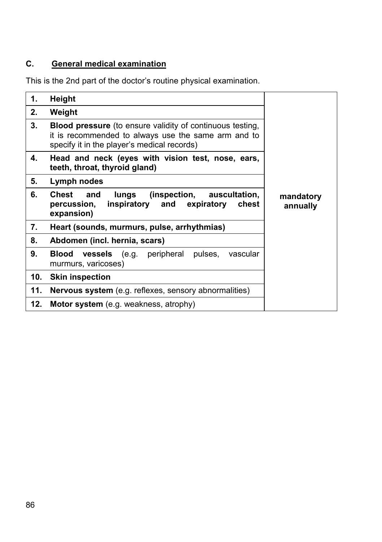# **C. General medical examination**

This is the 2nd part of the doctor's routine physical examination.

| 1.  | <b>Height</b>                                                                                                                                                          |                       |
|-----|------------------------------------------------------------------------------------------------------------------------------------------------------------------------|-----------------------|
| 2.  | Weight                                                                                                                                                                 |                       |
| 3.  | <b>Blood pressure</b> (to ensure validity of continuous testing,<br>it is recommended to always use the same arm and to<br>specify it in the player's medical records) |                       |
| 4.  | Head and neck (eyes with vision test, nose, ears,<br>teeth, throat, thyroid gland)                                                                                     |                       |
| 5.  | Lymph nodes                                                                                                                                                            |                       |
| 6.  | lungs (inspection,<br>Chest and<br>auscultation,<br>inspiratory and<br>expiratory<br>percussion,<br>chest<br>expansion)                                                | mandatory<br>annually |
| 7.  | Heart (sounds, murmurs, pulse, arrhythmias)                                                                                                                            |                       |
| 8.  | Abdomen (incl. hernia, scars)                                                                                                                                          |                       |
| 9.  | <b>vessels</b> (e.g. peripheral pulses, vascular<br>Blood<br>murmurs, varicoses)                                                                                       |                       |
| 10. | <b>Skin inspection</b>                                                                                                                                                 |                       |
| 11. | <b>Nervous system</b> (e.g. reflexes, sensory abnormalities)                                                                                                           |                       |
| 12. | Motor system (e.g. weakness, atrophy)                                                                                                                                  |                       |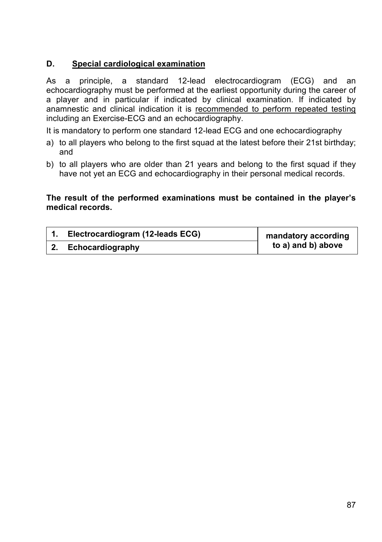### **D. Special cardiological examination**

As a principle, a standard 12-lead electrocardiogram (ECG) and an echocardiography must be performed at the earliest opportunity during the career of a player and in particular if indicated by clinical examination. If indicated by anamnestic and clinical indication it is recommended to perform repeated testing including an Exercise-ECG and an echocardiography.

It is mandatory to perform one standard 12-lead ECG and one echocardiography

- a) to all players who belong to the first squad at the latest before their 21st birthday; and
- b) to all players who are older than 21 years and belong to the first squad if they have not yet an ECG and echocardiography in their personal medical records.

### **The result of the performed examinations must be contained in the player's medical records.**

| Electrocardiogram (12-leads ECG) | mandatory according |
|----------------------------------|---------------------|
| Echocardiography                 | to a) and b) above  |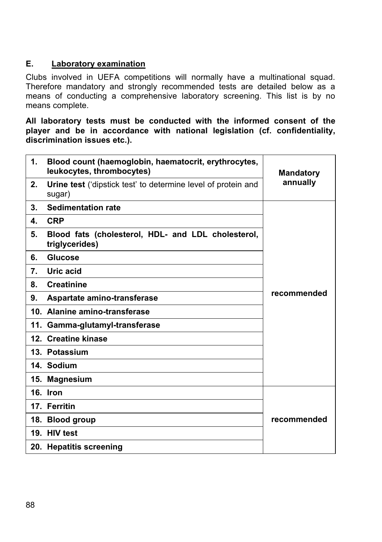### **E. Laboratory examination**

Clubs involved in UEFA competitions will normally have a multinational squad. Therefore mandatory and strongly recommended tests are detailed below as a means of conducting a comprehensive laboratory screening. This list is by no means complete.

**All laboratory tests must be conducted with the informed consent of the player and be in accordance with national legislation (cf. confidentiality, discrimination issues etc.).** 

| 1. | Blood count (haemoglobin, haematocrit, erythrocytes,<br>leukocytes, thrombocytes) | <b>Mandatory</b> |  |
|----|-----------------------------------------------------------------------------------|------------------|--|
| 2. | Urine test ('dipstick test' to determine level of protein and<br>sugar)           | annually         |  |
| 3. | <b>Sedimentation rate</b>                                                         |                  |  |
| 4. | <b>CRP</b>                                                                        |                  |  |
| 5. | Blood fats (cholesterol, HDL- and LDL cholesterol,<br>triglycerides)              |                  |  |
| 6. | Glucose                                                                           |                  |  |
| 7. | Uric acid                                                                         |                  |  |
| 8. | <b>Creatinine</b>                                                                 |                  |  |
| 9. | Aspartate amino-transferase                                                       | recommended      |  |
|    | 10. Alanine amino-transferase                                                     |                  |  |
|    | 11. Gamma-glutamyl-transferase                                                    |                  |  |
|    | 12. Creatine kinase                                                               |                  |  |
|    | 13. Potassium                                                                     |                  |  |
|    | 14. Sodium                                                                        |                  |  |
|    | 15. Magnesium                                                                     |                  |  |
|    | 16. Iron                                                                          |                  |  |
|    | 17. Ferritin                                                                      |                  |  |
|    | 18. Blood group                                                                   | recommended      |  |
|    | 19. HIV test                                                                      |                  |  |
|    | 20. Hepatitis screening                                                           |                  |  |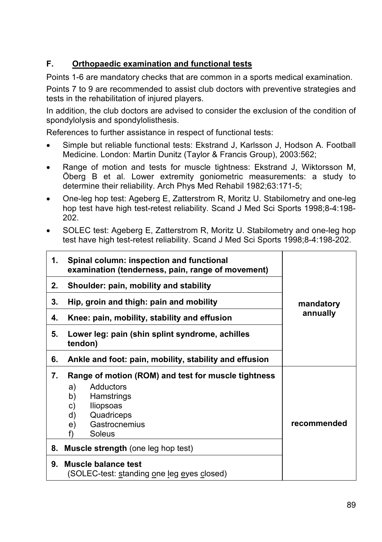# **F. Orthopaedic examination and functional tests**

Points 1-6 are mandatory checks that are common in a sports medical examination.

Points 7 to 9 are recommended to assist club doctors with preventive strategies and tests in the rehabilitation of injured players.

In addition, the club doctors are advised to consider the exclusion of the condition of spondylolysis and spondylolisthesis.

References to further assistance in respect of functional tests:

- Simple but reliable functional tests: Ekstrand J, Karlsson J, Hodson A. Football Medicine. London: Martin Dunitz (Taylor & Francis Group), 2003:562;
- Range of motion and tests for muscle tightness: Ekstrand J, Wiktorsson M, Öberg B et al. Lower extremity goniometric measurements: a study to determine their reliability. Arch Phys Med Rehabil 1982;63:171-5;
- x One-leg hop test: Ageberg E, Zatterstrom R, Moritz U. Stabilometry and one-leg hop test have high test-retest reliability. Scand J Med Sci Sports 1998;8-4:198- 202.
- SOLEC test: Ageberg E, Zatterstrom R, Moritz U, Stabilometry and one-leg hop test have high test-retest reliability. Scand J Med Sci Sports 1998:8-4:198-202.

| 1. | Spinal column: inspection and functional<br>examination (tenderness, pain, range of movement)                                                            |             |
|----|----------------------------------------------------------------------------------------------------------------------------------------------------------|-------------|
| 2. | Shoulder: pain, mobility and stability                                                                                                                   |             |
| 3. | Hip, groin and thigh: pain and mobility                                                                                                                  | mandatory   |
| 4. | Knee: pain, mobility, stability and effusion                                                                                                             | annually    |
| 5. | Lower leg: pain (shin splint syndrome, achilles<br>tendon)                                                                                               |             |
| 6. | Ankle and foot: pain, mobility, stability and effusion                                                                                                   |             |
| 7. | Range of motion (ROM) and test for muscle tightness<br>Adductors<br>a)<br>Hamstrings<br>b)<br>lliopsoas<br>C)<br>Quadriceps<br>d)<br>Gastrocnemius<br>e) | recommended |
|    | Soleus<br>f)                                                                                                                                             |             |
| 8. | <b>Muscle strength</b> (one leg hop test)                                                                                                                |             |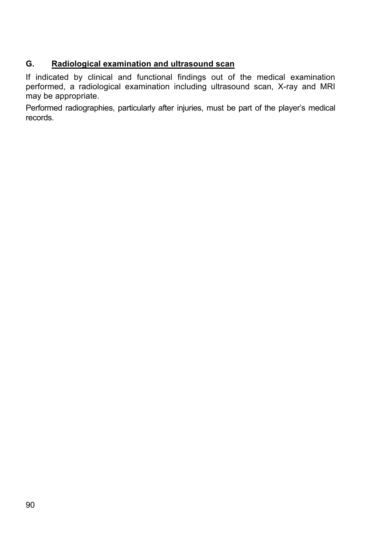# **G. Radiological examination and ultrasound scan**

If indicated by clinical and functional findings out of the medical examination performed, a radiological examination including ultrasound scan, X-ray and MRI may be appropriate.

Performed radiographies, particularly after injuries, must be part of the player's medical records.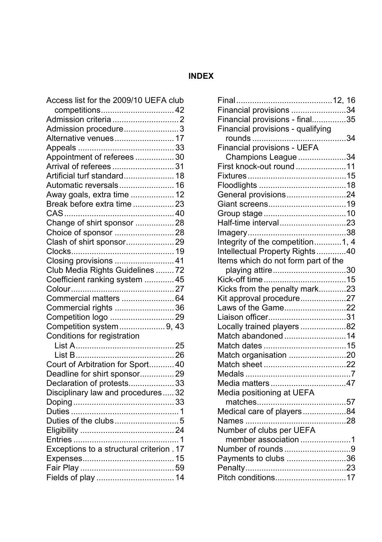# **INDEX**

| Access list for the 2009/10 UEFA club     |  |
|-------------------------------------------|--|
| competitions 42                           |  |
|                                           |  |
| Admission procedure 3                     |  |
| Alternative venues 17                     |  |
|                                           |  |
| Appointment of referees  30               |  |
| Arrival of referees  31                   |  |
| Artificial turf standard 18               |  |
| Automatic reversals 16                    |  |
| Away goals, extra time  12                |  |
| Break before extra time  23               |  |
|                                           |  |
| Change of shirt sponsor 28                |  |
| Choice of sponsor 28                      |  |
| Clash of shirt sponsor29                  |  |
|                                           |  |
| Closing provisions  41                    |  |
| Club Media Rights Guidelines  72          |  |
| Coefficient ranking system  45            |  |
|                                           |  |
| Commercial matters  64                    |  |
| Commercial rights  36                     |  |
| Competition logo 29                       |  |
| Competition system9, 43                   |  |
| Conditions for registration               |  |
|                                           |  |
|                                           |  |
| Court of Arbitration for Sport 40         |  |
| Deadline for shirt sponsor29              |  |
| Declaration of protests 33                |  |
| Disciplinary law and procedures32         |  |
|                                           |  |
|                                           |  |
|                                           |  |
|                                           |  |
|                                           |  |
| Exceptions to a structural criterion . 17 |  |
|                                           |  |
|                                           |  |
| Fields of play  14                        |  |
|                                           |  |

| Financial provisions 34             |  |
|-------------------------------------|--|
| Financial provisions - final35      |  |
| Financial provisions - qualifying   |  |
|                                     |  |
| Financial provisions - UEFA         |  |
| Champions League 34                 |  |
| First knock-out round 11            |  |
|                                     |  |
|                                     |  |
| General provisions24                |  |
|                                     |  |
|                                     |  |
| Half-time interval23                |  |
|                                     |  |
| Integrity of the competition1, 4    |  |
| Intellectual Property Rights40      |  |
| Items which do not form part of the |  |
| playing attire30                    |  |
|                                     |  |
| Kicks from the penalty mark23       |  |
| Kit approval procedure27            |  |
| Laws of the Game22                  |  |
| Liaison officer31                   |  |
| Locally trained players82           |  |
| Match abandoned 14                  |  |
|                                     |  |
| Match organisation 20               |  |
|                                     |  |
|                                     |  |
| Media matters47                     |  |
| Media positioning at UEFA           |  |
|                                     |  |
| Medical care of players84           |  |
|                                     |  |
| Number of clubs per UEFA            |  |
| member association 1                |  |
| Number of rounds9                   |  |
| Payments to clubs 36                |  |
|                                     |  |
| Pitch conditions17                  |  |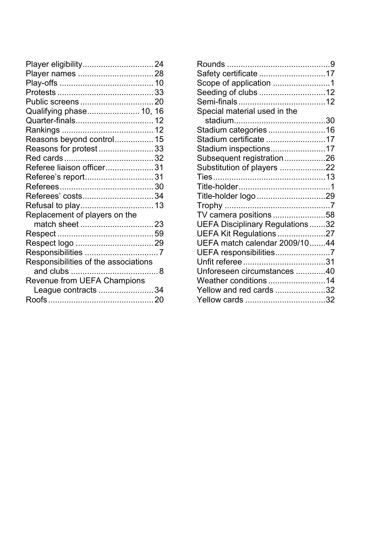| Player eligibility 24                |  |
|--------------------------------------|--|
| Player names 28                      |  |
|                                      |  |
|                                      |  |
|                                      |  |
| Qualifying phase 10, 16              |  |
|                                      |  |
|                                      |  |
| Reasons beyond control 15            |  |
| Reasons for protest33                |  |
|                                      |  |
| Referee liaison officer31            |  |
| Referee's report31                   |  |
|                                      |  |
| Referees' costs34                    |  |
| Refusal to play 13                   |  |
| Replacement of players on the        |  |
| match sheet 23                       |  |
|                                      |  |
|                                      |  |
|                                      |  |
| Responsibilities of the associations |  |
|                                      |  |
| Revenue from UEFA Champions          |  |
| League contracts 34                  |  |
|                                      |  |

| Safety certificate 17           |  |
|---------------------------------|--|
| Scope of application 1          |  |
| Seeding of clubs 12             |  |
|                                 |  |
| Special material used in the    |  |
|                                 |  |
| Stadium categories 16           |  |
| Stadium certificate 17          |  |
| Stadium inspections17           |  |
| Subsequent registration26       |  |
| Substitution of players 22      |  |
| Ties…………………………………………13          |  |
|                                 |  |
| Title-holder logo 29            |  |
|                                 |  |
| TV camera positions 58          |  |
| UEFA Disciplinary Regulations32 |  |
| UEFA Kit Regulations 27         |  |
| UEFA match calendar 2009/1044   |  |
| UEFA responsibilities7          |  |
|                                 |  |
| Unforeseen circumstances 40     |  |
| Weather conditions 14           |  |
| Yellow and red cards 32         |  |
|                                 |  |